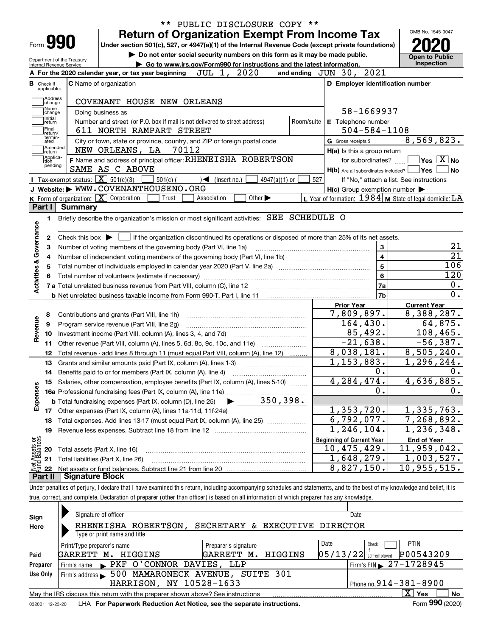|                                     |                                        | <b>Return of Organization Exempt From Income Tax</b>                                                                                                 |                         |                                                         | OMB No. 1545-0047                                                                                                                                                                                        |
|-------------------------------------|----------------------------------------|------------------------------------------------------------------------------------------------------------------------------------------------------|-------------------------|---------------------------------------------------------|----------------------------------------------------------------------------------------------------------------------------------------------------------------------------------------------------------|
|                                     | Form 990                               | Under section 501(c), 527, or 4947(a)(1) of the Internal Revenue Code (except private foundations)                                                   |                         |                                                         |                                                                                                                                                                                                          |
|                                     |                                        | Do not enter social security numbers on this form as it may be made public.<br>Department of the Treasury                                            |                         |                                                         | <b>Open to Public</b>                                                                                                                                                                                    |
|                                     |                                        | Go to www.irs.gov/Form990 for instructions and the latest information.<br>Internal Revenue Service                                                   |                         |                                                         | Inspection                                                                                                                                                                                               |
|                                     |                                        | JUL 1, 2020<br>A For the 2020 calendar year, or tax year beginning                                                                                   |                         | 2021<br>and ending $JUN$ $30$ ,                         |                                                                                                                                                                                                          |
|                                     | <b>B</b> Check if<br>applicable:       | <b>C</b> Name of organization                                                                                                                        |                         | D Employer identification number                        |                                                                                                                                                                                                          |
|                                     | Address<br>change                      | COVENANT HOUSE NEW ORLEANS                                                                                                                           |                         |                                                         |                                                                                                                                                                                                          |
|                                     | Name<br>change                         | Doing business as                                                                                                                                    |                         | 58-1669937                                              |                                                                                                                                                                                                          |
|                                     | Initial<br>return<br> Final<br>return/ | Number and street (or P.O. box if mail is not delivered to street address)<br>611 NORTH RAMPART STREET                                               | Room/suite              | E Telephone number<br>$504 - 584 - 1108$                |                                                                                                                                                                                                          |
|                                     | termin-<br>ated                        | City or town, state or province, country, and ZIP or foreign postal code                                                                             |                         | G Gross receipts \$                                     | 8,569,823.                                                                                                                                                                                               |
|                                     | Amended<br>return                      | NEW ORLEANS, LA 70112                                                                                                                                |                         | H(a) Is this a group return                             |                                                                                                                                                                                                          |
|                                     | Applica-<br>tion<br>pending            | F Name and address of principal officer: RHENEISHA ROBERTSON                                                                                         |                         | for subordinates?                                       | $\blacksquare$ Yes $\overline{X}$ No                                                                                                                                                                     |
|                                     |                                        | SAME AS C ABOVE                                                                                                                                      |                         | $H(b)$ Are all subordinates included? $\Box$ Yes        | No                                                                                                                                                                                                       |
|                                     |                                        | Tax-exempt status: $\boxed{\mathbf{X}}$ 501(c)(3)<br>4947(a)(1) or<br>$501(c)$ (<br>$\mathcal{A}$ (insert no.)<br>J Website: WWW.COVENANTHOUSENO.ORG | 527                     |                                                         | If "No," attach a list. See instructions                                                                                                                                                                 |
|                                     |                                        | Other $\blacktriangleright$                                                                                                                          |                         | $H(c)$ Group exemption number $\blacktriangleright$     |                                                                                                                                                                                                          |
|                                     | Part I                                 | <b>K</b> Form of organization: $\boxed{\mathbf{X}}$ Corporation<br>Trust<br>Association<br><b>Summary</b>                                            |                         | L Year of formation: 1984 M State of legal domicile: LA |                                                                                                                                                                                                          |
|                                     |                                        |                                                                                                                                                      |                         |                                                         |                                                                                                                                                                                                          |
|                                     | 1.                                     | Briefly describe the organization's mission or most significant activities: SEE SCHEDULE O                                                           |                         |                                                         |                                                                                                                                                                                                          |
|                                     |                                        |                                                                                                                                                      |                         |                                                         |                                                                                                                                                                                                          |
|                                     | 2                                      | Check this box $\blacktriangleright$ $\Box$ if the organization discontinued its operations or disposed of more than 25% of its net assets.          |                         |                                                         |                                                                                                                                                                                                          |
| Governance                          | з                                      | Number of voting members of the governing body (Part VI, line 1a)                                                                                    |                         | 3                                                       | 21                                                                                                                                                                                                       |
|                                     | 4                                      |                                                                                                                                                      | $\overline{\mathbf{4}}$ | $\overline{21}$                                         |                                                                                                                                                                                                          |
|                                     | 5                                      |                                                                                                                                                      |                         |                                                         |                                                                                                                                                                                                          |
|                                     |                                        |                                                                                                                                                      |                         | 5                                                       |                                                                                                                                                                                                          |
|                                     | 6                                      |                                                                                                                                                      |                         | 6                                                       |                                                                                                                                                                                                          |
|                                     |                                        | 7 a Total unrelated business revenue from Part VIII, column (C), line 12                                                                             |                         | 7a                                                      |                                                                                                                                                                                                          |
|                                     |                                        |                                                                                                                                                      |                         | 7b                                                      |                                                                                                                                                                                                          |
|                                     |                                        |                                                                                                                                                      |                         | <b>Prior Year</b>                                       | <b>Current Year</b>                                                                                                                                                                                      |
|                                     | 8                                      | Contributions and grants (Part VIII, line 1h)                                                                                                        |                         | 7,809,897.                                              |                                                                                                                                                                                                          |
|                                     | 9                                      | Program service revenue (Part VIII, line 2g)                                                                                                         |                         | 164,430.                                                |                                                                                                                                                                                                          |
|                                     | 10                                     |                                                                                                                                                      |                         | 85,492.                                                 |                                                                                                                                                                                                          |
|                                     | 11                                     | Other revenue (Part VIII, column (A), lines 5, 6d, 8c, 9c, 10c, and 11e)                                                                             |                         | $-21,638.$                                              |                                                                                                                                                                                                          |
|                                     | 12                                     | Total revenue - add lines 8 through 11 (must equal Part VIII, column (A), line 12)                                                                   |                         | 8,038,181.                                              |                                                                                                                                                                                                          |
|                                     | 13                                     | Grants and similar amounts paid (Part IX, column (A), lines 1-3)                                                                                     |                         | 1, 153, 883.                                            |                                                                                                                                                                                                          |
|                                     | 14                                     | Benefits paid to or for members (Part IX, column (A), line 4)                                                                                        |                         | 0.                                                      |                                                                                                                                                                                                          |
|                                     | 15                                     | Salaries, other compensation, employee benefits (Part IX, column (A), lines 5-10)                                                                    |                         | 4,284,474.                                              |                                                                                                                                                                                                          |
|                                     |                                        |                                                                                                                                                      |                         | о.                                                      |                                                                                                                                                                                                          |
|                                     |                                        |                                                                                                                                                      |                         |                                                         |                                                                                                                                                                                                          |
|                                     | 17                                     |                                                                                                                                                      |                         | 1,353,720.                                              |                                                                                                                                                                                                          |
|                                     | 18                                     |                                                                                                                                                      |                         | 6,792,077.                                              |                                                                                                                                                                                                          |
|                                     | 19                                     | Total expenses. Add lines 13-17 (must equal Part IX, column (A), line 25)                                                                            |                         | 1,246,104.                                              |                                                                                                                                                                                                          |
|                                     |                                        |                                                                                                                                                      |                         |                                                         |                                                                                                                                                                                                          |
|                                     |                                        |                                                                                                                                                      |                         | <b>Beginning of Current Year</b>                        | <b>End of Year</b>                                                                                                                                                                                       |
| Activities &<br>Revenue<br>Expenses | 20                                     | Total assets (Part X, line 16)                                                                                                                       |                         | $10,475,429$ .                                          | 106<br>120<br>0.<br>0.<br>8,388,287.<br>64,875.<br>108,465.<br>$-56,387.$<br>8,505,240.<br>$\overline{1}$ , 296, 244.<br>0.<br>4,636,885.<br>0.<br>1,335,763.<br>7,268,892.<br>1,236,348.<br>11,959,042. |
| Net Assets or<br>Fund Balances      | 21<br>22                               | Total liabilities (Part X, line 26)                                                                                                                  |                         | 1,648,279.<br>8,827,150.                                | 1,003,527.<br>10,955,515.                                                                                                                                                                                |

| true, correct. | .<br>___<br>f preparer (other than officer) is based on all information of which preparer l<br>. Declaration of :<br>. and complete.<br>has anv | , knowledge. |  |  |
|----------------|-------------------------------------------------------------------------------------------------------------------------------------------------|--------------|--|--|
|                |                                                                                                                                                 |              |  |  |
| Sian           | Signature of officer                                                                                                                            | Date         |  |  |

| Sign                                                                                                          | Signature of officer                                    |                                                   |                                |  | Dale                     |                                                         |  |  |  |  |
|---------------------------------------------------------------------------------------------------------------|---------------------------------------------------------|---------------------------------------------------|--------------------------------|--|--------------------------|---------------------------------------------------------|--|--|--|--|
| Here                                                                                                          |                                                         | RHENEISHA ROBERTSON,                              | SECRETARY & EXECUTIVE DIRECTOR |  |                          |                                                         |  |  |  |  |
|                                                                                                               | Type or print name and title                            |                                                   |                                |  |                          |                                                         |  |  |  |  |
|                                                                                                               | Print/Type preparer's name                              |                                                   | Preparer's signature           |  | Date                     | <b>PTIN</b><br>Check                                    |  |  |  |  |
| Paid                                                                                                          | GARRETT M. HIGGINS                                      |                                                   | GARRETT M. HIGGINS             |  | $05/13/22$ self-employed | P00543209                                               |  |  |  |  |
| Preparer                                                                                                      |                                                         | Firm's name PKF O'CONNOR DAVIES, LLP              |                                |  |                          | $^{\prime}$ Firm's EIN $\blacktriangleright$ 27-1728945 |  |  |  |  |
| Use Only                                                                                                      |                                                         | Firm's address > 500 MAMARONECK AVENUE, SUITE 301 |                                |  |                          |                                                         |  |  |  |  |
|                                                                                                               | HARRISON, NY 10528-1633<br>Phone no. $914 - 381 - 8900$ |                                                   |                                |  |                          |                                                         |  |  |  |  |
| $X \mid Y$ es<br><b>No</b><br>May the IRS discuss this return with the preparer shown above? See instructions |                                                         |                                                   |                                |  |                          |                                                         |  |  |  |  |
| Form 990 (2020)<br>LHA For Paperwork Reduction Act Notice, see the separate instructions.<br>032001 12-23-20  |                                                         |                                                   |                                |  |                          |                                                         |  |  |  |  |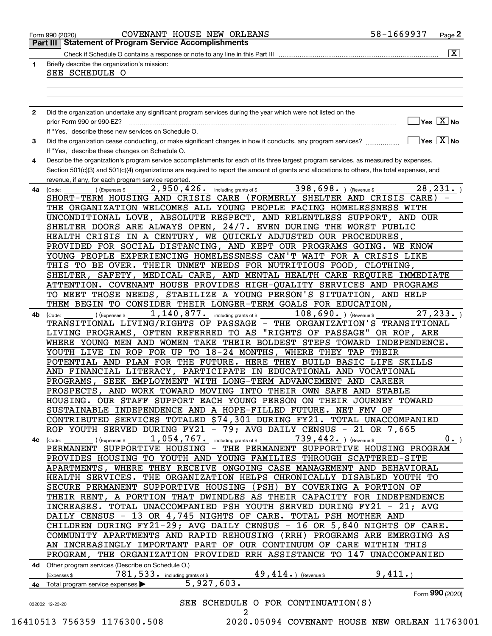|              |                                                                                                                                                | $\overline{\mathbf{x}}$                     |
|--------------|------------------------------------------------------------------------------------------------------------------------------------------------|---------------------------------------------|
| 1            | Briefly describe the organization's mission:<br>SEE SCHEDULE O                                                                                 |                                             |
|              |                                                                                                                                                |                                             |
|              |                                                                                                                                                |                                             |
|              |                                                                                                                                                |                                             |
| $\mathbf{2}$ | Did the organization undertake any significant program services during the year which were not listed on the                                   |                                             |
|              | prior Form 990 or 990-EZ?                                                                                                                      | $\overline{\ }$ Yes $\overline{\rm \ }X$ No |
|              | If "Yes." describe these new services on Schedule O.                                                                                           |                                             |
| 3            | Did the organization cease conducting, or make significant changes in how it conducts, any program services?                                   | $\overline{\ }$ Yes $\overline{\rm X}$ No   |
|              | If "Yes," describe these changes on Schedule O.                                                                                                |                                             |
| 4            | Describe the organization's program service accomplishments for each of its three largest program services, as measured by expenses.           |                                             |
|              | Section 501(c)(3) and 501(c)(4) organizations are required to report the amount of grants and allocations to others, the total expenses, and   |                                             |
|              | revenue, if any, for each program service reported.                                                                                            |                                             |
| 4a           | 2,950,426.<br>398,698. ) (Revenue \$<br>including grants of \$<br>(Code:<br>) (Expenses \$                                                     | 28, 231.                                    |
|              | SHORT-TERM HOUSING AND CRISIS CARE (FORMERLY SHELTER AND CRISIS CARE)                                                                          |                                             |
|              | THE ORGANIZATION WELCOMES ALL YOUNG PEOPLE FACING HOMELESSNESS WITH                                                                            |                                             |
|              | UNCONDITIONAL LOVE, ABSOLUTE RESPECT, AND RELENTLESS SUPPORT, AND OUR                                                                          |                                             |
|              | SHELTER DOORS ARE ALWAYS OPEN, 24/7. EVEN DURING THE WORST PUBLIC                                                                              |                                             |
|              | HEALTH CRISIS IN A CENTURY, WE QUICKLY ADJUSTED OUR PROCEDURES,<br>PROVIDED FOR SOCIAL DISTANCING, AND KEPT OUR PROGRAMS GOING. WE KNOW        |                                             |
|              | YOUNG PEOPLE EXPERIENCING HOMELESSNESS CAN'T WAIT FOR A CRISIS LIKE                                                                            |                                             |
|              | THIS TO BE OVER. THEIR UNMET NEEDS FOR NUTRITIOUS FOOD, CLOTHING,                                                                              |                                             |
|              | SAFETY, MEDICAL CARE, AND MENTAL HEALTH CARE REQUIRE IMMEDIATE<br>SHELTER,                                                                     |                                             |
|              | ATTENTION. COVENANT HOUSE PROVIDES HIGH-QUALITY SERVICES AND PROGRAMS                                                                          |                                             |
|              | TO MEET THOSE NEEDS, STABILIZE A YOUNG PERSON'S SITUATION, AND HELP                                                                            |                                             |
|              | THEM BEGIN TO CONSIDER THEIR LONGER-TERM GOALS FOR EDUCATION,                                                                                  |                                             |
| 4b           | $108,690.$ (Revenue \$<br>$\overline{1,140,877}$ . including grants of \$<br>) (Expenses \$<br>(Code:                                          | 27, 233.                                    |
|              | TRANSITIONAL LIVING/RIGHTS OF PASSAGE - THE ORGANIZATION'S TRANSITIONAL                                                                        |                                             |
|              | LIVING PROGRAMS, OFTEN REFERRED TO AS "RIGHTS OF PASSAGE" OR ROP, ARE                                                                          |                                             |
|              | WHERE YOUNG MEN AND WOMEN TAKE THEIR BOLDEST STEPS TOWARD INDEPENDENCE.                                                                        |                                             |
|              | YOUTH LIVE IN ROP FOR UP TO 18-24 MONTHS, WHERE THEY TAP THEIR                                                                                 |                                             |
|              | POTENTIAL AND PLAN FOR THE FUTURE. HERE THEY BUILD BASIC LIFE SKILLS                                                                           |                                             |
|              | AND FINANCIAL LITERACY, PARTICIPATE IN EDUCATIONAL AND VOCATIONAL                                                                              |                                             |
|              | SEEK EMPLOYMENT WITH LONG-TERM ADVANCEMENT AND CAREER<br>PROGRAMS,                                                                             |                                             |
|              | PROSPECTS, AND WORK TOWARD MOVING INTO THEIR OWN SAFE AND STABLE                                                                               |                                             |
|              | HOUSING. OUR STAFF SUPPORT EACH YOUNG PERSON ON THEIR JOURNEY TOWARD                                                                           |                                             |
|              | SUSTAINABLE INDEPENDENCE AND A HOPE-FILLED FUTURE. NET FMV OF                                                                                  |                                             |
|              | CONTRIBUTED SERVICES TOTALED \$74,301 DURING FY21. TOTAL UNACCOMPANIED                                                                         |                                             |
|              | ROP YOUTH SERVED DURING FY21 - 79; AVG DAILY CENSUS - 21 OR 7,665                                                                              |                                             |
|              | $1,054,767$ and including grants of \$<br>739, 442. ) (Revenue \$<br>(Expenses \$<br>4c (Code:                                                 | $0 \cdot$                                   |
|              | PERMANENT SUPPORTIVE HOUSING - THE PERMANENT SUPPORTIVE HOUSING PROGRAM<br>PROVIDES HOUSING TO YOUTH AND YOUNG FAMILIES THROUGH SCATTERED-SITE |                                             |
|              | APARTMENTS, WHERE THEY RECEIVE ONGOING CASE MANAGEMENT AND BEHAVIORAL                                                                          |                                             |
|              | HEALTH SERVICES. THE ORGANIZATION HELPS CHRONICALLY DISABLED YOUTH TO                                                                          |                                             |
|              | SECURE PERMANENT SUPPORTIVE HOUSING (PSH) BY COVERING A PORTION OF                                                                             |                                             |
|              | THEIR RENT, A PORTION THAT DWINDLES AS THEIR CAPACITY FOR INDEPENDENCE                                                                         |                                             |
|              | INCREASES. TOTAL UNACCOMPANIED PSH YOUTH SERVED DURING FY21 - 21; AVG                                                                          |                                             |
|              | DAILY CENSUS - 13 OR 4, 745 NIGHTS OF CARE. TOTAL PSH MOTHER AND                                                                               |                                             |
|              | CHILDREN DURING FY21-29; AVG DAILY CENSUS - 16 OR 5,840 NIGHTS OF CARE.                                                                        |                                             |
|              | COMMUNITY APARTMENTS AND RAPID REHOUSING (RRH) PROGRAMS ARE EMERGING AS                                                                        |                                             |
|              | AN INCREASINGLY IMPORTANT PART OF OUR CONTINUUM OF CARE WITHIN THIS                                                                            |                                             |
|              | PROGRAM, THE ORGANIZATION PROVIDED RRH ASSISTANCE TO 147 UNACCOMPANIED                                                                         |                                             |
|              | 4d Other program services (Describe on Schedule O.)                                                                                            |                                             |
|              | 49, 414.) (Revenue \$<br>781, 533. including grants of \$<br>Expenses \$                                                                       | 9,411.                                      |
| 4е           | 5,927,603.<br>Total program service expenses                                                                                                   |                                             |
|              |                                                                                                                                                | Form 990 (2020)                             |
|              | SEE SCHEDULE O FOR CONTINUATION(S)                                                                                                             |                                             |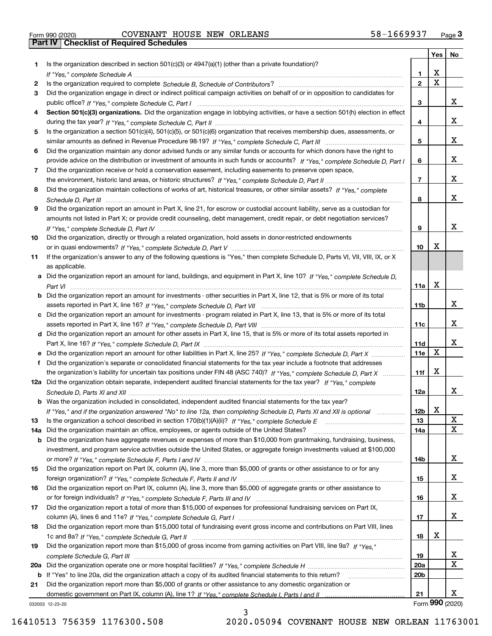|  | Form 990 (2020) |
|--|-----------------|

# Form 990 (2020) Page **3Part IV Checklist of Required Schedules** COVENANT HOUSE NEW ORLEANS 58-1669937

|     |                                                                                                                                                                                                                                                   |                | Yes                   | No                      |
|-----|---------------------------------------------------------------------------------------------------------------------------------------------------------------------------------------------------------------------------------------------------|----------------|-----------------------|-------------------------|
| 1   | Is the organization described in section $501(c)(3)$ or $4947(a)(1)$ (other than a private foundation)?                                                                                                                                           |                |                       |                         |
|     |                                                                                                                                                                                                                                                   | 1.             | х                     |                         |
| 2   |                                                                                                                                                                                                                                                   | $\mathbf{2}$   | $\overline{\text{x}}$ |                         |
| 3   | Did the organization engage in direct or indirect political campaign activities on behalf of or in opposition to candidates for                                                                                                                   |                |                       |                         |
|     |                                                                                                                                                                                                                                                   | 3              |                       | x                       |
| 4   | Section 501(c)(3) organizations. Did the organization engage in lobbying activities, or have a section 501(h) election in effect                                                                                                                  |                |                       |                         |
|     |                                                                                                                                                                                                                                                   | 4              |                       | x                       |
| 5   | Is the organization a section 501(c)(4), 501(c)(5), or 501(c)(6) organization that receives membership dues, assessments, or                                                                                                                      |                |                       |                         |
|     |                                                                                                                                                                                                                                                   | 5              |                       | x                       |
| 6   | Did the organization maintain any donor advised funds or any similar funds or accounts for which donors have the right to                                                                                                                         |                |                       | x                       |
| 7   | provide advice on the distribution or investment of amounts in such funds or accounts? If "Yes," complete Schedule D, Part I                                                                                                                      | 6              |                       |                         |
|     | Did the organization receive or hold a conservation easement, including easements to preserve open space,                                                                                                                                         | $\overline{7}$ |                       | x                       |
| 8   | Did the organization maintain collections of works of art, historical treasures, or other similar assets? If "Yes," complete                                                                                                                      |                |                       |                         |
|     |                                                                                                                                                                                                                                                   | 8              |                       | x                       |
| 9   | Did the organization report an amount in Part X, line 21, for escrow or custodial account liability, serve as a custodian for                                                                                                                     |                |                       |                         |
|     | amounts not listed in Part X; or provide credit counseling, debt management, credit repair, or debt negotiation services?                                                                                                                         |                |                       |                         |
|     |                                                                                                                                                                                                                                                   | 9              |                       | X                       |
| 10  | Did the organization, directly or through a related organization, hold assets in donor-restricted endowments                                                                                                                                      |                |                       |                         |
|     |                                                                                                                                                                                                                                                   | 10             | Х                     |                         |
| 11  | If the organization's answer to any of the following questions is "Yes," then complete Schedule D, Parts VI, VII, VIII, IX, or X                                                                                                                  |                |                       |                         |
|     | as applicable.                                                                                                                                                                                                                                    |                |                       |                         |
|     | a Did the organization report an amount for land, buildings, and equipment in Part X, line 10? If "Yes," complete Schedule D,                                                                                                                     |                |                       |                         |
|     |                                                                                                                                                                                                                                                   | 11a            | X                     |                         |
|     | <b>b</b> Did the organization report an amount for investments - other securities in Part X, line 12, that is 5% or more of its total                                                                                                             |                |                       |                         |
|     |                                                                                                                                                                                                                                                   | 11b            |                       | x                       |
|     | c Did the organization report an amount for investments - program related in Part X, line 13, that is 5% or more of its total                                                                                                                     |                |                       |                         |
|     |                                                                                                                                                                                                                                                   | 11c            |                       | x                       |
|     | d Did the organization report an amount for other assets in Part X, line 15, that is 5% or more of its total assets reported in                                                                                                                   |                |                       |                         |
|     |                                                                                                                                                                                                                                                   | 11d            | X                     | x                       |
|     |                                                                                                                                                                                                                                                   | <b>11e</b>     |                       |                         |
| f   | Did the organization's separate or consolidated financial statements for the tax year include a footnote that addresses<br>the organization's liability for uncertain tax positions under FIN 48 (ASC 740)? If "Yes," complete Schedule D, Part X | 11f            | X                     |                         |
|     | 12a Did the organization obtain separate, independent audited financial statements for the tax year? If "Yes," complete                                                                                                                           |                |                       |                         |
|     |                                                                                                                                                                                                                                                   | 12a            |                       | x                       |
|     | <b>b</b> Was the organization included in consolidated, independent audited financial statements for the tax year?                                                                                                                                |                |                       |                         |
|     | If "Yes," and if the organization answered "No" to line 12a, then completing Schedule D, Parts XI and XII is optional                                                                                                                             | 12b            | X                     |                         |
| 13  |                                                                                                                                                                                                                                                   | 13             |                       | $\mathbf{X}$            |
| 14a | Did the organization maintain an office, employees, or agents outside of the United States?                                                                                                                                                       | 14a            |                       | $\overline{\text{x}}$   |
| b   | Did the organization have aggregate revenues or expenses of more than \$10,000 from grantmaking, fundraising, business,                                                                                                                           |                |                       |                         |
|     | investment, and program service activities outside the United States, or aggregate foreign investments valued at \$100,000                                                                                                                        |                |                       |                         |
|     |                                                                                                                                                                                                                                                   | 14b            |                       | x                       |
| 15  | Did the organization report on Part IX, column (A), line 3, more than \$5,000 of grants or other assistance to or for any                                                                                                                         |                |                       |                         |
|     |                                                                                                                                                                                                                                                   | 15             |                       | x                       |
| 16  | Did the organization report on Part IX, column (A), line 3, more than \$5,000 of aggregate grants or other assistance to                                                                                                                          |                |                       |                         |
|     |                                                                                                                                                                                                                                                   | 16             |                       | x                       |
| 17  | Did the organization report a total of more than \$15,000 of expenses for professional fundraising services on Part IX,                                                                                                                           |                |                       |                         |
|     |                                                                                                                                                                                                                                                   | 17             |                       | x                       |
| 18  | Did the organization report more than \$15,000 total of fundraising event gross income and contributions on Part VIII, lines                                                                                                                      |                | х                     |                         |
|     |                                                                                                                                                                                                                                                   | 18             |                       |                         |
| 19  | Did the organization report more than \$15,000 of gross income from gaming activities on Part VIII, line 9a? If "Yes."                                                                                                                            |                |                       | $\overline{\mathbf{x}}$ |
| 20a |                                                                                                                                                                                                                                                   | 19<br>20a      |                       | $\overline{\mathbf{x}}$ |
| b   | If "Yes" to line 20a, did the organization attach a copy of its audited financial statements to this return?                                                                                                                                      | 20b            |                       |                         |
| 21  | Did the organization report more than \$5,000 of grants or other assistance to any domestic organization or                                                                                                                                       |                |                       |                         |
|     |                                                                                                                                                                                                                                                   | 21             |                       | x                       |
|     | 032003 12-23-20                                                                                                                                                                                                                                   |                |                       | Form 990 (2020)         |

032003 12-23-20

3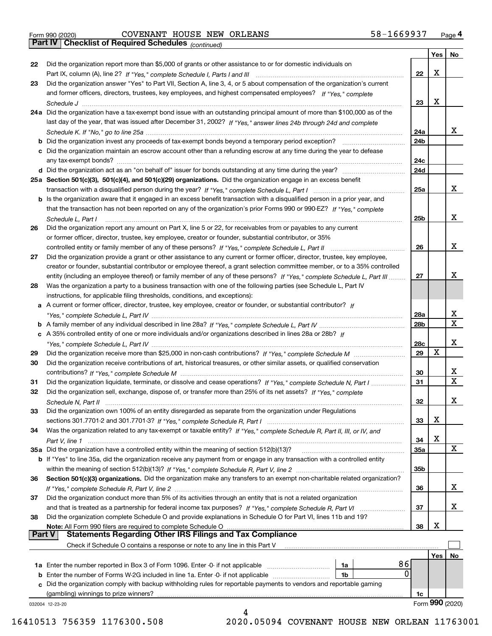|  | Form 990 (2020) |
|--|-----------------|
|  |                 |

# Form 990 (2020) Page **4Part IV Checklist of Required Schedules** COVENANT HOUSE NEW ORLEANS 58-1669937

*(continued)*

|               |                                                                                                                                    |                 | Yes | No              |
|---------------|------------------------------------------------------------------------------------------------------------------------------------|-----------------|-----|-----------------|
| 22            | Did the organization report more than \$5,000 of grants or other assistance to or for domestic individuals on                      |                 |     |                 |
|               |                                                                                                                                    | 22              | х   |                 |
| 23            | Did the organization answer "Yes" to Part VII, Section A, line 3, 4, or 5 about compensation of the organization's current         |                 |     |                 |
|               | and former officers, directors, trustees, key employees, and highest compensated employees? If "Yes," complete                     |                 |     |                 |
|               |                                                                                                                                    | 23              | х   |                 |
|               | 24a Did the organization have a tax-exempt bond issue with an outstanding principal amount of more than \$100,000 as of the        |                 |     |                 |
|               | last day of the year, that was issued after December 31, 2002? If "Yes," answer lines 24b through 24d and complete                 |                 |     |                 |
|               |                                                                                                                                    | 24a             |     | х               |
|               | <b>b</b> Did the organization invest any proceeds of tax-exempt bonds beyond a temporary period exception?                         | 24 <sub>b</sub> |     |                 |
|               | c Did the organization maintain an escrow account other than a refunding escrow at any time during the year to defease             |                 |     |                 |
|               |                                                                                                                                    | 24c             |     |                 |
|               |                                                                                                                                    | 24d             |     |                 |
|               | 25a Section 501(c)(3), 501(c)(4), and 501(c)(29) organizations. Did the organization engage in an excess benefit                   |                 |     |                 |
|               |                                                                                                                                    | 25a             |     | х               |
|               | b Is the organization aware that it engaged in an excess benefit transaction with a disqualified person in a prior year, and       |                 |     |                 |
|               | that the transaction has not been reported on any of the organization's prior Forms 990 or 990-EZ? If "Yes," complete              |                 |     |                 |
|               |                                                                                                                                    | 25 <sub>b</sub> |     | х               |
|               | Schedule L, Part I                                                                                                                 |                 |     |                 |
| 26            | Did the organization report any amount on Part X, line 5 or 22, for receivables from or payables to any current                    |                 |     |                 |
|               | or former officer, director, trustee, key employee, creator or founder, substantial contributor, or 35%                            |                 |     |                 |
|               |                                                                                                                                    | 26              |     | х               |
| 27            | Did the organization provide a grant or other assistance to any current or former officer, director, trustee, key employee,        |                 |     |                 |
|               | creator or founder, substantial contributor or employee thereof, a grant selection committee member, or to a 35% controlled        |                 |     |                 |
|               | entity (including an employee thereof) or family member of any of these persons? If "Yes," complete Schedule L, Part III           | 27              |     | х               |
| 28            | Was the organization a party to a business transaction with one of the following parties (see Schedule L, Part IV                  |                 |     |                 |
|               | instructions, for applicable filing thresholds, conditions, and exceptions):                                                       |                 |     |                 |
|               | a A current or former officer, director, trustee, key employee, creator or founder, or substantial contributor? If                 |                 |     |                 |
|               |                                                                                                                                    | 28a             |     | х               |
|               |                                                                                                                                    | 28b             |     | $\mathbf x$     |
|               | c A 35% controlled entity of one or more individuals and/or organizations described in lines 28a or 28b? If                        |                 |     |                 |
|               |                                                                                                                                    | 28c             |     | х               |
| 29            |                                                                                                                                    | 29              | X   |                 |
| 30            | Did the organization receive contributions of art, historical treasures, or other similar assets, or qualified conservation        |                 |     |                 |
|               |                                                                                                                                    | 30              |     | х               |
| 31            | Did the organization liquidate, terminate, or dissolve and cease operations? If "Yes," complete Schedule N, Part I                 | 31              |     | $\mathbf x$     |
| 32            | Did the organization sell, exchange, dispose of, or transfer more than 25% of its net assets? If "Yes," complete                   |                 |     |                 |
|               |                                                                                                                                    | 32              |     | х               |
| 33            | Did the organization own 100% of an entity disregarded as separate from the organization under Regulations                         |                 |     |                 |
|               |                                                                                                                                    | 33              | Χ   |                 |
| 34            | Was the organization related to any tax-exempt or taxable entity? If "Yes," complete Schedule R, Part II, III, or IV, and          |                 |     |                 |
|               |                                                                                                                                    | 34              | х   |                 |
|               | 35a Did the organization have a controlled entity within the meaning of section 512(b)(13)?                                        | 35a             |     | x               |
|               |                                                                                                                                    |                 |     |                 |
|               | <b>b</b> If "Yes" to line 35a, did the organization receive any payment from or engage in any transaction with a controlled entity |                 |     |                 |
|               |                                                                                                                                    | 35 <sub>b</sub> |     |                 |
| 36            | Section 501(c)(3) organizations. Did the organization make any transfers to an exempt non-charitable related organization?         |                 |     |                 |
|               |                                                                                                                                    | 36              |     | x               |
| 37            | Did the organization conduct more than 5% of its activities through an entity that is not a related organization                   |                 |     |                 |
|               | and that is treated as a partnership for federal income tax purposes? If "Yes," complete Schedule R, Part VI                       | 37              |     | х               |
| 38            | Did the organization complete Schedule O and provide explanations in Schedule O for Part VI, lines 11b and 19?                     |                 |     |                 |
|               | Note: All Form 990 filers are required to complete Schedule O                                                                      | 38              | х   |                 |
| <b>Part V</b> | <b>Statements Regarding Other IRS Filings and Tax Compliance</b>                                                                   |                 |     |                 |
|               | Check if Schedule O contains a response or note to any line in this Part V                                                         |                 |     |                 |
|               |                                                                                                                                    |                 | Yes | No              |
|               | 86<br>1a Enter the number reported in Box 3 of Form 1096. Enter -0- if not applicable<br>1a                                        |                 |     |                 |
|               | 0<br>1b                                                                                                                            |                 |     |                 |
|               | c Did the organization comply with backup withholding rules for reportable payments to vendors and reportable gaming               |                 |     |                 |
|               | (gambling) winnings to prize winners?                                                                                              | 1c              |     |                 |
|               | 032004 12-23-20                                                                                                                    |                 |     | Form 990 (2020) |
|               | 4                                                                                                                                  |                 |     |                 |

 <sup>16410513 756359 1176300.508 2020.05094</sup> COVENANT HOUSE NEW ORLEAN 11763001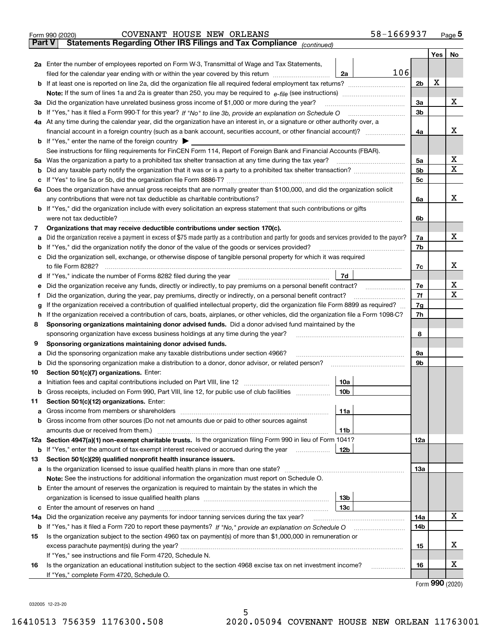|        | 58-1669937<br>COVENANT HOUSE NEW ORLEANS<br>Form 990 (2020)                                                                                                                               |                |     | Page $5$ |
|--------|-------------------------------------------------------------------------------------------------------------------------------------------------------------------------------------------|----------------|-----|----------|
| Part V | Statements Regarding Other IRS Filings and Tax Compliance (continued)                                                                                                                     |                |     |          |
|        |                                                                                                                                                                                           |                | Yes | No       |
|        | 2a Enter the number of employees reported on Form W-3, Transmittal of Wage and Tax Statements,                                                                                            |                |     |          |
|        | 106<br>2a<br>filed for the calendar year ending with or within the year covered by this return                                                                                            |                |     |          |
| b      | If at least one is reported on line 2a, did the organization file all required federal employment tax returns?                                                                            | 2 <sub>b</sub> | X   |          |
|        |                                                                                                                                                                                           |                |     |          |
|        | 3a Did the organization have unrelated business gross income of \$1,000 or more during the year?                                                                                          | 3a             |     | х        |
| b      |                                                                                                                                                                                           | 3 <sub>b</sub> |     |          |
|        | 4a At any time during the calendar year, did the organization have an interest in, or a signature or other authority over, a                                                              |                |     |          |
|        |                                                                                                                                                                                           | 4a             |     | х        |
| b      | If "Yes," enter the name of the foreign country ▶                                                                                                                                         |                |     |          |
|        | See instructions for filing requirements for FinCEN Form 114, Report of Foreign Bank and Financial Accounts (FBAR).                                                                       |                |     |          |
| 5a     | Was the organization a party to a prohibited tax shelter transaction at any time during the tax year?                                                                                     | 5a             |     | X        |
| b      |                                                                                                                                                                                           | 5 <sub>b</sub> |     | x        |
| с      |                                                                                                                                                                                           | 5 <sub>c</sub> |     |          |
|        | 6a Does the organization have annual gross receipts that are normally greater than \$100,000, and did the organization solicit                                                            |                |     |          |
|        | any contributions that were not tax deductible as charitable contributions?                                                                                                               | 6a             |     | х        |
| b      | If "Yes," did the organization include with every solicitation an express statement that such contributions or gifts                                                                      |                |     |          |
|        | were not tax deductible?                                                                                                                                                                  | 6b             |     |          |
| 7      | Organizations that may receive deductible contributions under section 170(c).                                                                                                             |                |     |          |
| а      | Did the organization receive a payment in excess of \$75 made partly as a contribution and partly for goods and services provided to the payor?                                           | 7a             |     | x.       |
| b      | If "Yes," did the organization notify the donor of the value of the goods or services provided?                                                                                           | 7b             |     |          |
| с      | Did the organization sell, exchange, or otherwise dispose of tangible personal property for which it was required                                                                         |                |     |          |
|        | to file Form 8282?                                                                                                                                                                        | 7c             |     | x        |
| d      | 7d<br>If "Yes," indicate the number of Forms 8282 filed during the year manufactured in the water of the number of Forms 8282 filed during the year manufactured in the summanum of the N |                |     |          |
| е      | Did the organization receive any funds, directly or indirectly, to pay premiums on a personal benefit contract?                                                                           | 7е             |     | х        |
| f      | Did the organization, during the year, pay premiums, directly or indirectly, on a personal benefit contract?                                                                              | 7f             |     | x        |
| g      | If the organization received a contribution of qualified intellectual property, did the organization file Form 8899 as required?                                                          | 7g             |     |          |
| h      | If the organization received a contribution of cars, boats, airplanes, or other vehicles, did the organization file a Form 1098-C?                                                        | 7h             |     |          |
| 8      | Sponsoring organizations maintaining donor advised funds. Did a donor advised fund maintained by the                                                                                      |                |     |          |
|        | sponsoring organization have excess business holdings at any time during the year?                                                                                                        | 8              |     |          |
| 9      | Sponsoring organizations maintaining donor advised funds.                                                                                                                                 |                |     |          |
| а      | Did the sponsoring organization make any taxable distributions under section 4966?                                                                                                        | 9a             |     |          |
| b      | Did the sponsoring organization make a distribution to a donor, donor advisor, or related person?                                                                                         | 9b             |     |          |
| 10     | Section 501(c)(7) organizations. Enter:                                                                                                                                                   |                |     |          |
| а      | 10a<br>Initiation fees and capital contributions included on Part VIII, line 12 [11] [11] [12] [11] [11] [12] [11] [1                                                                     |                |     |          |
| b      | Gross receipts, included on Form 990, Part VIII, line 12, for public use of club facilities<br>10 <sub>b</sub>                                                                            |                |     |          |
| 11     | Section 501(c)(12) organizations. Enter:                                                                                                                                                  |                |     |          |
| а      | 11a<br>Gross income from members or shareholders                                                                                                                                          |                |     |          |
| b      | Gross income from other sources (Do not net amounts due or paid to other sources against                                                                                                  |                |     |          |
|        | amounts due or received from them.)<br>11b                                                                                                                                                |                |     |          |
|        | 12a Section 4947(a)(1) non-exempt charitable trusts. Is the organization filing Form 990 in lieu of Form 1041?                                                                            | 12a            |     |          |
| b      | 12b<br>If "Yes," enter the amount of tax-exempt interest received or accrued during the year manu-                                                                                        |                |     |          |
| 13     | Section 501(c)(29) qualified nonprofit health insurance issuers.                                                                                                                          |                |     |          |
| а      | Is the organization licensed to issue qualified health plans in more than one state?                                                                                                      | 13а            |     |          |
|        | Note: See the instructions for additional information the organization must report on Schedule O.                                                                                         |                |     |          |
| b      | Enter the amount of reserves the organization is required to maintain by the states in which the                                                                                          |                |     |          |
|        | 13 <sub>b</sub>                                                                                                                                                                           |                |     |          |
| с      | 13с                                                                                                                                                                                       |                |     |          |
| 14a    | Did the organization receive any payments for indoor tanning services during the tax year?                                                                                                | 14a            |     | х        |
| b      |                                                                                                                                                                                           | 14b            |     |          |
| 15     | Is the organization subject to the section 4960 tax on payment(s) of more than \$1,000,000 in remuneration or                                                                             |                |     |          |
|        |                                                                                                                                                                                           | 15             |     | х        |
|        | If "Yes," see instructions and file Form 4720, Schedule N.                                                                                                                                |                |     |          |
| 16     | Is the organization an educational institution subject to the section 4968 excise tax on net investment income?                                                                           | 16             |     | х        |
|        | If "Yes," complete Form 4720, Schedule O.                                                                                                                                                 |                |     |          |

5

Form (2020) **990**

032005 12-23-20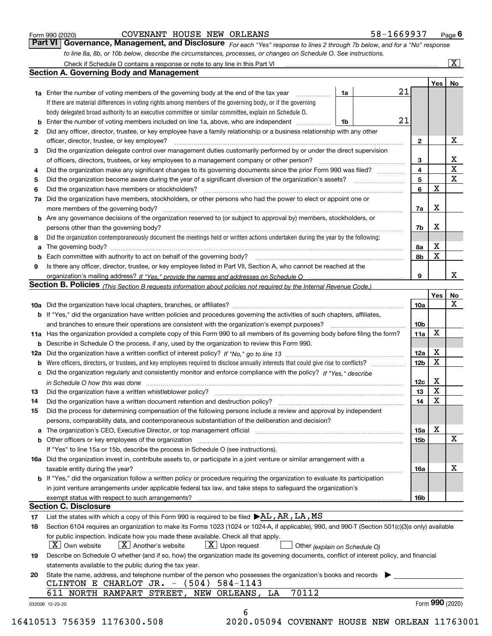|  | Form 990 (2020) |
|--|-----------------|
|  |                 |

### COVENANT HOUSE NEW ORLEANS 58-1669937

*For each "Yes" response to lines 2 through 7b below, and for a "No" response to line 8a, 8b, or 10b below, describe the circumstances, processes, or changes on Schedule O. See instructions.* Form 990 (2020) **COVENANT HOUSE NEW ORLEANS** 58-1669937 Page 6<br>**Part VI Governance, Management, and Disclosure** For each "Yes" response to lines 2 through 7b below, and for a "No" response

|     |                                                                                                                                                                                                                                |    |    |                 | Yes   No        |             |
|-----|--------------------------------------------------------------------------------------------------------------------------------------------------------------------------------------------------------------------------------|----|----|-----------------|-----------------|-------------|
|     | <b>1a</b> Enter the number of voting members of the governing body at the end of the tax year <i>manumum</i>                                                                                                                   | 1a | 21 |                 |                 |             |
|     | If there are material differences in voting rights among members of the governing body, or if the governing                                                                                                                    |    |    |                 |                 |             |
|     | body delegated broad authority to an executive committee or similar committee, explain on Schedule O.                                                                                                                          |    |    |                 |                 |             |
|     | Enter the number of voting members included on line 1a, above, who are independent                                                                                                                                             | 1b | 21 |                 |                 |             |
| 2   | Did any officer, director, trustee, or key employee have a family relationship or a business relationship with any other                                                                                                       |    |    |                 |                 |             |
|     | officer, director, trustee, or key employee?                                                                                                                                                                                   |    |    | $\mathbf{2}$    |                 | Х           |
| 3   | Did the organization delegate control over management duties customarily performed by or under the direct supervision                                                                                                          |    |    |                 |                 |             |
|     |                                                                                                                                                                                                                                |    |    | 3               |                 | х           |
| 4   | Did the organization make any significant changes to its governing documents since the prior Form 990 was filed?                                                                                                               |    |    | 4               |                 | $\mathbf X$ |
| 5   |                                                                                                                                                                                                                                |    |    | 5               |                 | $\mathbf X$ |
| 6   | Did the organization have members or stockholders?                                                                                                                                                                             |    |    | 6               | $\mathbf X$     |             |
| 7a  | Did the organization have members, stockholders, or other persons who had the power to elect or appoint one or                                                                                                                 |    |    |                 |                 |             |
|     |                                                                                                                                                                                                                                |    |    | 7a              | х               |             |
|     | <b>b</b> Are any governance decisions of the organization reserved to (or subject to approval by) members, stockholders, or                                                                                                    |    |    |                 |                 |             |
|     | persons other than the governing body?                                                                                                                                                                                         |    |    | 7b              | Х               |             |
| 8   | Did the organization contemporaneously document the meetings held or written actions undertaken during the year by the following:                                                                                              |    |    |                 |                 |             |
| a   |                                                                                                                                                                                                                                |    |    | 8a              | х               |             |
|     |                                                                                                                                                                                                                                |    |    | 8b              | $\mathbf X$     |             |
| 9   | Is there any officer, director, trustee, or key employee listed in Part VII, Section A, who cannot be reached at the                                                                                                           |    |    |                 |                 |             |
|     |                                                                                                                                                                                                                                |    |    | 9               |                 | х           |
|     | Section B. Policies (This Section B requests information about policies not required by the Internal Revenue Code.)                                                                                                            |    |    |                 |                 |             |
|     |                                                                                                                                                                                                                                |    |    |                 | Yes             | <u>No</u>   |
|     |                                                                                                                                                                                                                                |    |    | <b>10a</b>      |                 | X           |
|     | b If "Yes," did the organization have written policies and procedures governing the activities of such chapters, affiliates,                                                                                                   |    |    |                 |                 |             |
|     |                                                                                                                                                                                                                                |    |    | 10 <sub>b</sub> |                 |             |
|     | 11a Has the organization provided a complete copy of this Form 990 to all members of its governing body before filing the form?                                                                                                |    |    | 11a             | X               |             |
|     | <b>b</b> Describe in Schedule O the process, if any, used by the organization to review this Form 990.                                                                                                                         |    |    |                 |                 |             |
| 12a |                                                                                                                                                                                                                                |    |    | 12a             | х               |             |
| b   |                                                                                                                                                                                                                                |    |    | 12 <sub>b</sub> | $\mathbf X$     |             |
|     | c Did the organization regularly and consistently monitor and enforce compliance with the policy? If "Yes," describe                                                                                                           |    |    |                 |                 |             |
|     | in Schedule O how this was done continuous contract the control of the state of the control of the control of                                                                                                                  |    |    | 12c             | х               |             |
| 13  | Did the organization have a written whistleblower policy?                                                                                                                                                                      |    |    | 13              | $\mathbf X$     |             |
| 14  | Did the organization have a written document retention and destruction policy? manufactured and the organization have a written document retention and destruction policy?                                                     |    |    | 14              | $\mathbf X$     |             |
| 15  | Did the process for determining compensation of the following persons include a review and approval by independent                                                                                                             |    |    |                 |                 |             |
|     | persons, comparability data, and contemporaneous substantiation of the deliberation and decision?                                                                                                                              |    |    |                 |                 |             |
|     |                                                                                                                                                                                                                                |    |    |                 | Х               |             |
|     | a The organization's CEO, Executive Director, or top management official [11] [12] The organization's CEO, Executive Director, or top management official [12] [12] [12] [12] The organization's CEO, Executive Director, or t |    |    | 15a             |                 | х           |
|     | <b>b</b> Other officers or key employees of the organization                                                                                                                                                                   |    |    | <b>15b</b>      |                 |             |
|     | If "Yes" to line 15a or 15b, describe the process in Schedule O (see instructions).                                                                                                                                            |    |    |                 |                 |             |
|     | 16a Did the organization invest in, contribute assets to, or participate in a joint venture or similar arrangement with a                                                                                                      |    |    |                 |                 | x           |
|     | taxable entity during the year?                                                                                                                                                                                                |    |    | <b>16a</b>      |                 |             |
|     | b If "Yes," did the organization follow a written policy or procedure requiring the organization to evaluate its participation                                                                                                 |    |    |                 |                 |             |
|     | in joint venture arrangements under applicable federal tax law, and take steps to safeguard the organization's                                                                                                                 |    |    |                 |                 |             |
|     |                                                                                                                                                                                                                                |    |    | <b>16b</b>      |                 |             |
|     | <b>Section C. Disclosure</b>                                                                                                                                                                                                   |    |    |                 |                 |             |
| 17  | List the states with which a copy of this Form 990 is required to be filed $\blacktriangleright$ AL, AR, LA, MS                                                                                                                |    |    |                 |                 |             |
| 18  | Section 6104 requires an organization to make its Forms 1023 (1024 or 1024-A, if applicable), 990, and 990-T (Section 501(c)(3)s only) available                                                                               |    |    |                 |                 |             |
|     | for public inspection. Indicate how you made these available. Check all that apply.                                                                                                                                            |    |    |                 |                 |             |
|     | $ X $ Own website<br>$X$ Another's website<br>$X$ Upon request<br>Other (explain on Schedule O)                                                                                                                                |    |    |                 |                 |             |
| 19  | Describe on Schedule O whether (and if so, how) the organization made its governing documents, conflict of interest policy, and financial                                                                                      |    |    |                 |                 |             |
|     | statements available to the public during the tax year.                                                                                                                                                                        |    |    |                 |                 |             |
| 20  | State the name, address, and telephone number of the person who possesses the organization's books and records                                                                                                                 |    |    |                 |                 |             |
|     | CLINTON E CHARLOT JR. - (504) 584-1143                                                                                                                                                                                         |    |    |                 |                 |             |
|     | 70112<br>611 NORTH RAMPART STREET, NEW ORLEANS, LA                                                                                                                                                                             |    |    |                 |                 |             |
|     | 032006 12-23-20                                                                                                                                                                                                                |    |    |                 | Form 990 (2020) |             |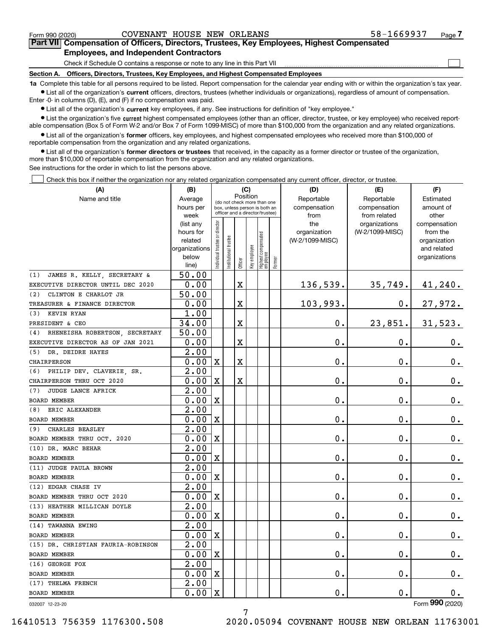$\mathcal{L}^{\text{max}}$ 

# **7Part VII Compensation of Officers, Directors, Trustees, Key Employees, Highest Compensated Employees, and Independent Contractors**

Check if Schedule O contains a response or note to any line in this Part VII

**Section A. Officers, Directors, Trustees, Key Employees, and Highest Compensated Employees**

**1a**  Complete this table for all persons required to be listed. Report compensation for the calendar year ending with or within the organization's tax year. **•** List all of the organization's current officers, directors, trustees (whether individuals or organizations), regardless of amount of compensation.

Enter -0- in columns (D), (E), and (F) if no compensation was paid.

 $\bullet$  List all of the organization's  $\,$ current key employees, if any. See instructions for definition of "key employee."

**•** List the organization's five current highest compensated employees (other than an officer, director, trustee, or key employee) who received reportable compensation (Box 5 of Form W-2 and/or Box 7 of Form 1099-MISC) of more than \$100,000 from the organization and any related organizations.

**•** List all of the organization's former officers, key employees, and highest compensated employees who received more than \$100,000 of reportable compensation from the organization and any related organizations.

**former directors or trustees**  ¥ List all of the organization's that received, in the capacity as a former director or trustee of the organization, more than \$10,000 of reportable compensation from the organization and any related organizations.

See instructions for the order in which to list the persons above.

Check this box if neither the organization nor any related organization compensated any current officer, director, or trustee.  $\mathcal{L}^{\text{max}}$ 

| (A)                                | (B)<br>(C)             |                                                                                                             |                       |                         |              |                                   |        | (D)                 | (E)                              | (F)                      |
|------------------------------------|------------------------|-------------------------------------------------------------------------------------------------------------|-----------------------|-------------------------|--------------|-----------------------------------|--------|---------------------|----------------------------------|--------------------------|
| Name and title                     | Average                | Position<br>(do not check more than one<br>box, unless person is both an<br>officer and a director/trustee) |                       |                         |              |                                   |        | Reportable          | Reportable                       | Estimated                |
|                                    | hours per              |                                                                                                             |                       |                         |              |                                   |        | compensation        | compensation                     | amount of                |
|                                    | week                   |                                                                                                             |                       |                         |              |                                   |        | from                | from related                     | other                    |
|                                    | (list any<br>hours for | Individual trustee or director                                                                              |                       |                         |              |                                   |        | the<br>organization | organizations<br>(W-2/1099-MISC) | compensation<br>from the |
|                                    | related                |                                                                                                             |                       |                         |              |                                   |        | (W-2/1099-MISC)     |                                  | organization             |
|                                    | organizations          |                                                                                                             |                       |                         |              |                                   |        |                     |                                  | and related              |
|                                    | below                  |                                                                                                             | Institutional trustee |                         | Key employee |                                   |        |                     |                                  | organizations            |
|                                    | line)                  |                                                                                                             |                       | Officer                 |              | Highest compensated<br>  employee | Former |                     |                                  |                          |
| JAMES R. KELLY, SECRETARY &<br>(1) | 50.00                  |                                                                                                             |                       |                         |              |                                   |        |                     |                                  |                          |
| EXECUTIVE DIRECTOR UNTIL DEC 2020  | 0.00                   |                                                                                                             |                       | X                       |              |                                   |        | 136,539.            | 35,749.                          | 41,240.                  |
| CLINTON E CHARLOT JR<br>(2)        | 50.00                  |                                                                                                             |                       |                         |              |                                   |        |                     |                                  |                          |
| TREASURER & FINANCE DIRECTOR       | 0.00                   |                                                                                                             |                       | $\overline{\textbf{X}}$ |              |                                   |        | 103,993.            | $\mathbf 0$ .                    | 27,972.                  |
| (3)<br>KEVIN RYAN                  | 1.00                   |                                                                                                             |                       |                         |              |                                   |        |                     |                                  |                          |
| PRESIDENT & CEO                    | 34.00                  |                                                                                                             |                       | $\overline{\textbf{X}}$ |              |                                   |        | 0.                  | 23,851.                          | 31,523.                  |
| (4) RHENEISHA ROBERTSON, SECRETARY | 50.00                  |                                                                                                             |                       |                         |              |                                   |        |                     |                                  |                          |
| EXECUTIVE DIRECTOR AS OF JAN 2021  | 0.00                   |                                                                                                             |                       | X                       |              |                                   |        | 0.                  | $\mathbf 0$ .                    | $\mathbf 0$ .            |
| DR. DEIDRE HAYES<br>(5)            | 2.00                   |                                                                                                             |                       |                         |              |                                   |        |                     |                                  |                          |
| CHAIRPERSON                        | 0.00                   | $\mathbf x$                                                                                                 |                       | X                       |              |                                   |        | 0.                  | $\mathbf 0$ .                    | 0.                       |
| PHILIP DEV. CLAVERIE, SR.<br>(6)   | 2.00                   |                                                                                                             |                       |                         |              |                                   |        |                     |                                  |                          |
| CHAIRPERSON THRU OCT 2020          | 0.00                   | $\mathbf X$                                                                                                 |                       | X                       |              |                                   |        | 0.                  | Ο.                               | $\mathbf 0$ .            |
| JUDGE LANCE AFRICK<br>(7)          | 2.00                   |                                                                                                             |                       |                         |              |                                   |        |                     |                                  |                          |
| <b>BOARD MEMBER</b>                | 0.00                   | $\mathbf X$                                                                                                 |                       |                         |              |                                   |        | 0.                  | $\mathbf 0$ .                    | $\mathbf 0$ .            |
| ERIC ALEXANDER<br>(8)              | 2.00                   |                                                                                                             |                       |                         |              |                                   |        |                     |                                  |                          |
| <b>BOARD MEMBER</b>                | 0.00                   | $\mathbf x$                                                                                                 |                       |                         |              |                                   |        | $\mathbf 0$ .       | $\mathbf 0$ .                    | $\mathbf 0$ .            |
| CHARLES BEASLEY<br>(9)             | 2.00                   |                                                                                                             |                       |                         |              |                                   |        |                     |                                  |                          |
| BOARD MEMBER THRU OCT. 2020        | 0.00                   | $\mathbf X$                                                                                                 |                       |                         |              |                                   |        | 0.                  | $\mathbf 0$ .                    | 0.                       |
| (10) DR. MARC BEHAR                | $\overline{2.00}$      |                                                                                                             |                       |                         |              |                                   |        |                     |                                  |                          |
| <b>BOARD MEMBER</b>                | 0.00                   | X                                                                                                           |                       |                         |              |                                   |        | 0.                  | $\mathbf 0$ .                    | $0_{.}$                  |
| (11) JUDGE PAULA BROWN             | 2.00                   |                                                                                                             |                       |                         |              |                                   |        |                     |                                  |                          |
| <b>BOARD MEMBER</b>                | 0.00                   | X                                                                                                           |                       |                         |              |                                   |        | 0.                  | $\mathbf 0$ .                    | $\mathbf 0$ .            |
| (12) EDGAR CHASE IV                | 2.00                   |                                                                                                             |                       |                         |              |                                   |        |                     |                                  |                          |
| BOARD MEMBER THRU OCT 2020         | 0.00                   | $\mathbf x$                                                                                                 |                       |                         |              |                                   |        | $\mathbf 0$ .       | $\mathbf 0$ .                    | $\mathbf 0$ .            |
| (13) HEATHER MILLICAN DOYLE        | $\overline{2.00}$      |                                                                                                             |                       |                         |              |                                   |        |                     |                                  |                          |
| <b>BOARD MEMBER</b>                | 0.00                   | $\mathbf X$                                                                                                 |                       |                         |              |                                   |        | 0.                  | $\mathbf 0$ .                    | $\mathbf 0$ .            |
| (14) TAWANNA EWING                 | $\overline{2}$ .00     |                                                                                                             |                       |                         |              |                                   |        |                     |                                  |                          |
| <b>BOARD MEMBER</b>                | 0.00                   | $\mathbf x$                                                                                                 |                       |                         |              |                                   |        | 0.                  | О.                               | 0.                       |
| (15) DR. CHRISTIAN FAURIA-ROBINSON | 2.00                   |                                                                                                             |                       |                         |              |                                   |        |                     |                                  |                          |
| <b>BOARD MEMBER</b>                | 0.00                   | $\mathbf X$                                                                                                 |                       |                         |              |                                   |        | 0.                  | $\mathbf 0$ .                    | 0.                       |
| (16) GEORGE FOX                    | 2.00                   |                                                                                                             |                       |                         |              |                                   |        |                     |                                  |                          |
| <b>BOARD MEMBER</b>                | 0.00                   | $\mathbf X$                                                                                                 |                       |                         |              |                                   |        | 0.                  | $\mathbf 0$ .                    | 0.                       |
| (17) THELMA FRENCH                 | 2.00                   |                                                                                                             |                       |                         |              |                                   |        |                     |                                  |                          |
| <b>BOARD MEMBER</b>                | 0.00                   | $\mathbf X$                                                                                                 |                       |                         |              |                                   |        | 0.                  | $\mathbf 0$ .                    | о.                       |
| 032007 12-23-20                    |                        |                                                                                                             |                       |                         |              |                                   |        |                     |                                  | Form 990 (2020)          |

032007 12-23-20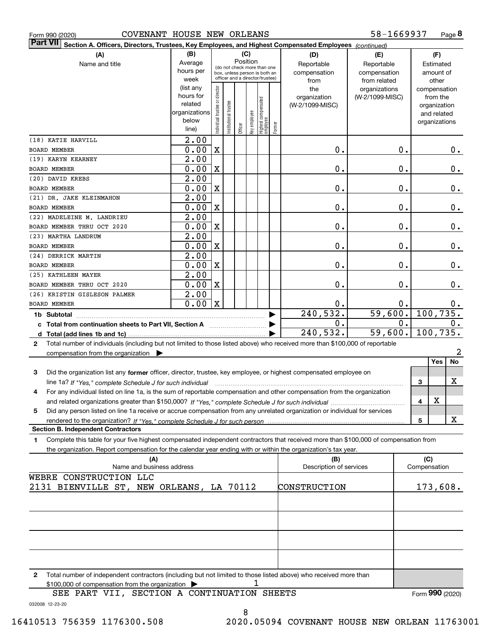|  | Form 990 (2020) |
|--|-----------------|
|  |                 |

#### Form 990 (2020) COVENANT HOUSE NEW ORLEANS 58-1669937 Page

**8** 58-1669937

| Part VII Section A. Officers, Directors, Trustees, Key Employees, and Highest Compensated Employees (continued)                                                          |                      |                                |                                                              |         |              |                                 |        |                         |                 |              |                              |                |
|--------------------------------------------------------------------------------------------------------------------------------------------------------------------------|----------------------|--------------------------------|--------------------------------------------------------------|---------|--------------|---------------------------------|--------|-------------------------|-----------------|--------------|------------------------------|----------------|
| (A)                                                                                                                                                                      | (B)                  |                                |                                                              |         | (C)          |                                 |        | (D)                     | (E)             |              | (F)                          |                |
| Name and title                                                                                                                                                           | Average              |                                |                                                              |         | Position     |                                 |        | Reportable              | Reportable      |              | Estimated                    |                |
|                                                                                                                                                                          | hours per            |                                | (do not check more than one<br>box, unless person is both an |         |              |                                 |        | compensation            | compensation    |              | amount of                    |                |
|                                                                                                                                                                          | week                 |                                | officer and a director/trustee)                              |         |              |                                 |        | from                    | from related    |              | other                        |                |
|                                                                                                                                                                          | (list any            |                                |                                                              |         |              |                                 |        | the                     | organizations   |              | compensation                 |                |
|                                                                                                                                                                          | hours for<br>related |                                |                                                              |         |              |                                 |        | organization            | (W-2/1099-MISC) |              | from the                     |                |
|                                                                                                                                                                          | organizations        |                                |                                                              |         |              |                                 |        | (W-2/1099-MISC)         |                 |              | organization                 |                |
|                                                                                                                                                                          | below                |                                |                                                              |         |              |                                 |        |                         |                 |              | and related<br>organizations |                |
|                                                                                                                                                                          | line)                | Individual trustee or director | Institutional trustee                                        | Officer | key employee | Highest compensated<br>employee | Former |                         |                 |              |                              |                |
| (18) KATIE HARVILL                                                                                                                                                       | 2.00                 |                                |                                                              |         |              |                                 |        |                         |                 |              |                              |                |
| <b>BOARD MEMBER</b>                                                                                                                                                      | 0.00                 | $\mathbf X$                    |                                                              |         |              |                                 |        | 0.                      | 0.              |              |                              | 0.             |
| (19) KARYN KEARNEY                                                                                                                                                       | $\overline{2.00}$    |                                |                                                              |         |              |                                 |        |                         |                 |              |                              |                |
| BOARD MEMBER                                                                                                                                                             | 0.00                 | $\mathbf X$                    |                                                              |         |              |                                 |        | 0.                      | $\mathbf 0$ .   |              |                              | 0.             |
| (20) DAVID KREBS                                                                                                                                                         | 2.00                 |                                |                                                              |         |              |                                 |        |                         |                 |              |                              |                |
| BOARD MEMBER                                                                                                                                                             | 0.00                 | $\overline{\mathbf{X}}$        |                                                              |         |              |                                 |        | 0.                      | 0.              |              |                              | 0.             |
| (21) DR. JAKE KLEINMAHON                                                                                                                                                 | 2.00                 |                                |                                                              |         |              |                                 |        |                         |                 |              |                              |                |
| <b>BOARD MEMBER</b>                                                                                                                                                      | 0.00                 | $\overline{\mathbf{X}}$        |                                                              |         |              |                                 |        | 0.                      | 0.              |              |                              | 0.             |
| (22) MADELEINE M. LANDRIEU                                                                                                                                               | 2.00                 |                                |                                                              |         |              |                                 |        |                         |                 |              |                              |                |
| BOARD MEMBER THRU OCT 2020                                                                                                                                               | 0.00                 | X                              |                                                              |         |              |                                 |        | 0.                      | 0.              |              |                              | 0.             |
| (23) MARTHA LANDRUM                                                                                                                                                      | 2.00                 |                                |                                                              |         |              |                                 |        |                         |                 |              |                              |                |
| <b>BOARD MEMBER</b>                                                                                                                                                      | 0.00                 | X                              |                                                              |         |              |                                 |        | 0.                      | 0.              |              |                              | 0.             |
| (24) DERRICK MARTIN                                                                                                                                                      | 2.00                 |                                |                                                              |         |              |                                 |        |                         |                 |              |                              |                |
| <b>BOARD MEMBER</b>                                                                                                                                                      | 0.00                 | $\overline{\mathbf{X}}$        |                                                              |         |              |                                 |        | 0.                      | 0.              |              |                              | 0.             |
| (25) KATHLEEN MAYER                                                                                                                                                      | 2.00                 |                                |                                                              |         |              |                                 |        |                         |                 |              |                              |                |
| BOARD MEMBER THRU OCT 2020                                                                                                                                               | 0.00                 | X                              |                                                              |         |              |                                 |        | 0.                      | $\mathbf 0$ .   |              |                              | $0$ .          |
| (26) KRISTIN GISLESON PALMER                                                                                                                                             | $\overline{2.00}$    |                                |                                                              |         |              |                                 |        |                         |                 |              |                              |                |
| <b>BOARD MEMBER</b>                                                                                                                                                      | 0.00                 | $\mathbf X$                    |                                                              |         |              |                                 |        | 0.                      | 0.              |              |                              | 0.             |
| 1b Subtotal                                                                                                                                                              |                      |                                |                                                              |         |              |                                 |        | 240,532.                | 59,600.         |              |                              | 100, 735.      |
|                                                                                                                                                                          |                      |                                |                                                              |         |              |                                 |        | $\mathbf 0$ .           | 0.              |              |                              | 0.             |
|                                                                                                                                                                          |                      |                                |                                                              |         |              |                                 |        | 240,532.                | 59,600.         |              |                              | 100, 735.      |
| Total number of individuals (including but not limited to those listed above) who received more than \$100,000 of reportable<br>$\mathbf{2}$                             |                      |                                |                                                              |         |              |                                 |        |                         |                 |              |                              |                |
| compensation from the organization                                                                                                                                       |                      |                                |                                                              |         |              |                                 |        |                         |                 |              |                              | $\overline{a}$ |
|                                                                                                                                                                          |                      |                                |                                                              |         |              |                                 |        |                         |                 |              | Yes                          | <b>No</b>      |
| Did the organization list any former officer, director, trustee, key employee, or highest compensated employee on<br>3                                                   |                      |                                |                                                              |         |              |                                 |        |                         |                 |              |                              | x              |
| line 1a? If "Yes," complete Schedule J for such individual manufactured contains and the 1a? If "Yes," complete Schedule J for such individual                           |                      |                                |                                                              |         |              |                                 |        |                         |                 | 3            |                              |                |
| For any individual listed on line 1a, is the sum of reportable compensation and other compensation from the organization<br>4                                            |                      |                                |                                                              |         |              |                                 |        |                         |                 |              | X                            |                |
|                                                                                                                                                                          |                      |                                |                                                              |         |              |                                 |        |                         |                 | 4            |                              |                |
| Did any person listed on line 1a receive or accrue compensation from any unrelated organization or individual for services<br>5                                          |                      |                                |                                                              |         |              |                                 |        |                         |                 | 5            |                              | x              |
| <b>Section B. Independent Contractors</b>                                                                                                                                |                      |                                |                                                              |         |              |                                 |        |                         |                 |              |                              |                |
| Complete this table for your five highest compensated independent contractors that received more than \$100,000 of compensation from<br>1                                |                      |                                |                                                              |         |              |                                 |        |                         |                 |              |                              |                |
| the organization. Report compensation for the calendar year ending with or within the organization's tax year.                                                           |                      |                                |                                                              |         |              |                                 |        |                         |                 |              |                              |                |
| (A)                                                                                                                                                                      |                      |                                |                                                              |         |              |                                 |        | (B)                     |                 |              | (C)                          |                |
| Name and business address                                                                                                                                                |                      |                                |                                                              |         |              |                                 |        | Description of services |                 | Compensation |                              |                |
| WEBRE CONSTRUCTION LLC                                                                                                                                                   |                      |                                |                                                              |         |              |                                 |        |                         |                 |              |                              |                |
| 2131 BIENVILLE ST, NEW ORLEANS, LA 70112                                                                                                                                 |                      |                                |                                                              |         |              |                                 |        | CONSTRUCTION            |                 |              |                              | 173,608.       |
|                                                                                                                                                                          |                      |                                |                                                              |         |              |                                 |        |                         |                 |              |                              |                |
|                                                                                                                                                                          |                      |                                |                                                              |         |              |                                 |        |                         |                 |              |                              |                |
|                                                                                                                                                                          |                      |                                |                                                              |         |              |                                 |        |                         |                 |              |                              |                |
|                                                                                                                                                                          |                      |                                |                                                              |         |              |                                 |        |                         |                 |              |                              |                |
|                                                                                                                                                                          |                      |                                |                                                              |         |              |                                 |        |                         |                 |              |                              |                |
|                                                                                                                                                                          |                      |                                |                                                              |         |              |                                 |        |                         |                 |              |                              |                |
|                                                                                                                                                                          |                      |                                |                                                              |         |              |                                 |        |                         |                 |              |                              |                |
|                                                                                                                                                                          |                      |                                |                                                              |         |              |                                 |        |                         |                 |              |                              |                |
| Total number of independent contractors (including but not limited to those listed above) who received more than<br>2<br>$0.100,000$ of comparation from the examination |                      |                                |                                                              |         | 1            |                                 |        |                         |                 |              |                              |                |

\$100,000 of compensation from the organization | 1

032008 12-23-20 SEE PART VII, SECTION A CONTINUATION SHEETS Form (2020) **990**

8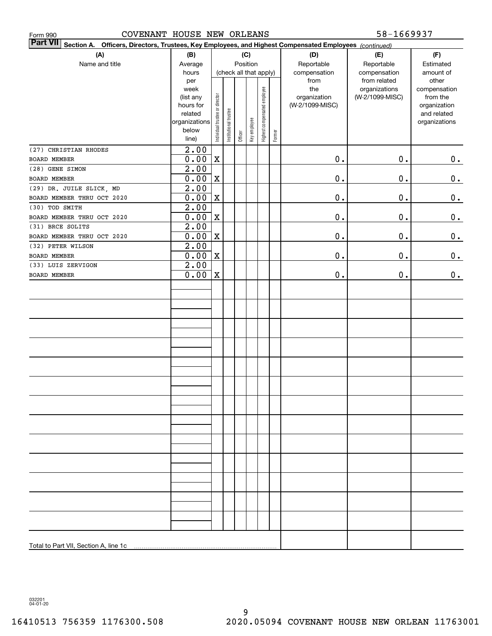| 58-1669937<br>COVENANT HOUSE NEW ORLEANS<br>Form 990                                                                      |                        |                                |                                    |         |              |                              |        |                 |                               |                       |
|---------------------------------------------------------------------------------------------------------------------------|------------------------|--------------------------------|------------------------------------|---------|--------------|------------------------------|--------|-----------------|-------------------------------|-----------------------|
| <b>Part VII</b><br>Section A. Officers, Directors, Trustees, Key Employees, and Highest Compensated Employees (continued) |                        |                                |                                    |         |              |                              |        |                 |                               |                       |
| (A)                                                                                                                       | (B)                    |                                |                                    |         | (C)          |                              |        | (D)             | (E)                           | (F)                   |
| Name and title                                                                                                            | Average                |                                | Position<br>(check all that apply) |         |              |                              |        | Reportable      | Reportable                    | Estimated             |
|                                                                                                                           | hours                  |                                |                                    |         |              |                              |        | compensation    | compensation                  | amount of             |
|                                                                                                                           | per<br>week            |                                |                                    |         |              |                              |        | from<br>the     | from related<br>organizations | other<br>compensation |
|                                                                                                                           | (list any              |                                |                                    |         |              |                              |        | organization    | (W-2/1099-MISC)               | from the              |
|                                                                                                                           | hours for              |                                |                                    |         |              |                              |        | (W-2/1099-MISC) |                               | organization          |
|                                                                                                                           | related                |                                |                                    |         |              |                              |        |                 |                               | and related           |
|                                                                                                                           | organizations<br>below |                                |                                    |         |              |                              |        |                 |                               | organizations         |
|                                                                                                                           | line)                  | Individual trustee or director | Institutional trustee              | Officer | Key employee | Highest compensated employee | Former |                 |                               |                       |
| (27) CHRISTIAN RHODES                                                                                                     | 2.00                   |                                |                                    |         |              |                              |        |                 |                               |                       |
| BOARD MEMBER                                                                                                              | 0.00                   | $\mathbf X$                    |                                    |         |              |                              |        | 0.              | 0.                            | $0_{.}$               |
| (28) GENE SIMON                                                                                                           | 2.00                   |                                |                                    |         |              |                              |        |                 |                               |                       |
| BOARD MEMBER                                                                                                              | 0.00                   | $\mathbf X$                    |                                    |         |              |                              |        | $\mathbf 0$ .   | 0.                            | 0.                    |
| (29) DR. JUILE SLICK, MD                                                                                                  | $\overline{2.00}$      |                                |                                    |         |              |                              |        |                 |                               |                       |
| BOARD MEMBER THRU OCT 2020                                                                                                | 0.00                   | $\mathbf X$                    |                                    |         |              |                              |        | $\mathbf 0$ .   | 0.                            | 0.                    |
| (30) TOD SMITH                                                                                                            | 2.00                   |                                |                                    |         |              |                              |        |                 |                               |                       |
| BOARD MEMBER THRU OCT 2020                                                                                                | 0.00                   | $\mathbf X$                    |                                    |         |              |                              |        | $\mathbf 0$ .   | 0.                            | 0.                    |
| (31) BRCE SOLITS                                                                                                          | 2.00                   |                                |                                    |         |              |                              |        |                 |                               |                       |
| BOARD MEMBER THRU OCT 2020                                                                                                | 0.00                   | $\mathbf X$                    |                                    |         |              |                              |        | $\mathbf 0$ .   | 0.                            | 0.                    |
| (32) PETER WILSON                                                                                                         | 2.00                   |                                |                                    |         |              |                              |        |                 |                               |                       |
| BOARD MEMBER                                                                                                              | 0.00                   | $\mathbf X$                    |                                    |         |              |                              |        | $\mathbf 0$ .   | 0.                            | 0.                    |
| (33) LUIS ZERVIGON                                                                                                        | 2.00                   |                                |                                    |         |              |                              |        |                 |                               |                       |
| BOARD MEMBER                                                                                                              | 0.00                   | $\mathbf X$                    |                                    |         |              |                              |        | 0.              | 0.                            | 0.                    |
|                                                                                                                           |                        |                                |                                    |         |              |                              |        |                 |                               |                       |
|                                                                                                                           |                        |                                |                                    |         |              |                              |        |                 |                               |                       |
|                                                                                                                           |                        |                                |                                    |         |              |                              |        |                 |                               |                       |
|                                                                                                                           |                        |                                |                                    |         |              |                              |        |                 |                               |                       |
|                                                                                                                           |                        |                                |                                    |         |              |                              |        |                 |                               |                       |
|                                                                                                                           |                        |                                |                                    |         |              |                              |        |                 |                               |                       |
|                                                                                                                           |                        |                                |                                    |         |              |                              |        |                 |                               |                       |
|                                                                                                                           |                        |                                |                                    |         |              |                              |        |                 |                               |                       |
|                                                                                                                           |                        |                                |                                    |         |              |                              |        |                 |                               |                       |
|                                                                                                                           |                        |                                |                                    |         |              |                              |        |                 |                               |                       |
|                                                                                                                           |                        |                                |                                    |         |              |                              |        |                 |                               |                       |
|                                                                                                                           |                        |                                |                                    |         |              |                              |        |                 |                               |                       |
|                                                                                                                           |                        |                                |                                    |         |              |                              |        |                 |                               |                       |
|                                                                                                                           |                        |                                |                                    |         |              |                              |        |                 |                               |                       |
|                                                                                                                           |                        |                                |                                    |         |              |                              |        |                 |                               |                       |
|                                                                                                                           |                        |                                |                                    |         |              |                              |        |                 |                               |                       |
|                                                                                                                           |                        |                                |                                    |         |              |                              |        |                 |                               |                       |
|                                                                                                                           |                        |                                |                                    |         |              |                              |        |                 |                               |                       |
|                                                                                                                           |                        |                                |                                    |         |              |                              |        |                 |                               |                       |
|                                                                                                                           |                        |                                |                                    |         |              |                              |        |                 |                               |                       |
|                                                                                                                           |                        |                                |                                    |         |              |                              |        |                 |                               |                       |
|                                                                                                                           |                        |                                |                                    |         |              |                              |        |                 |                               |                       |
|                                                                                                                           |                        |                                |                                    |         |              |                              |        |                 |                               |                       |
|                                                                                                                           |                        |                                |                                    |         |              |                              |        |                 |                               |                       |
|                                                                                                                           |                        |                                |                                    |         |              |                              |        |                 |                               |                       |

032201 04-01-20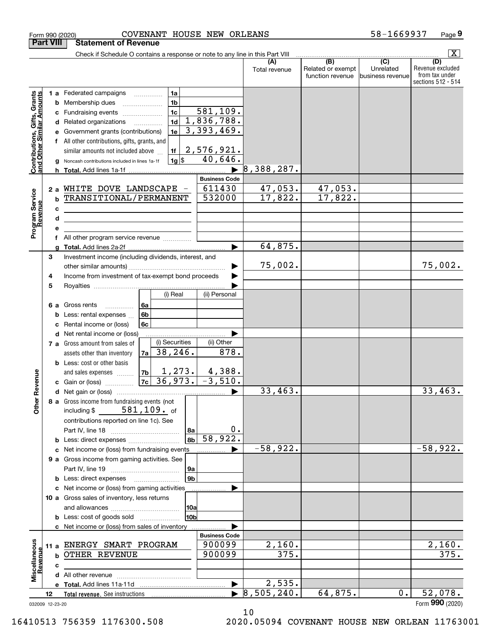|                                                                  | Form 990 (2020)  | COVENANT HOUSE NEW ORLEANS                                                                            |                          |               |                                       | 58-1669937                    | Page 9                                                   |
|------------------------------------------------------------------|------------------|-------------------------------------------------------------------------------------------------------|--------------------------|---------------|---------------------------------------|-------------------------------|----------------------------------------------------------|
|                                                                  | <b>Part VIII</b> | <b>Statement of Revenue</b>                                                                           |                          |               |                                       |                               |                                                          |
|                                                                  |                  | Check if Schedule O contains a response or note to any line in this Part VIII                         |                          | (A)           | $\overline{(B)}$                      | $\overline{C}$                | $\boxed{\text{X}}$<br>(D)                                |
|                                                                  |                  |                                                                                                       |                          | Total revenue | Related or exempt<br>function revenue | Unrelated<br>business revenue | Revenue excluded<br>from tax under<br>sections 512 - 514 |
|                                                                  |                  | 1a<br><b>1 a</b> Federated campaigns                                                                  |                          |               |                                       |                               |                                                          |
|                                                                  | b                | 1 <sub>b</sub><br>Membership dues                                                                     |                          |               |                                       |                               |                                                          |
|                                                                  | с                | 1 <sub>c</sub><br>Fundraising events                                                                  | 581,109.                 |               |                                       |                               |                                                          |
|                                                                  | d                | 1 <sub>d</sub><br>Related organizations<br>$\overline{\phantom{a}}$                                   | 1,836,788.               |               |                                       |                               |                                                          |
|                                                                  |                  | 1e<br>Government grants (contributions)                                                               | 3,393,469.               |               |                                       |                               |                                                          |
|                                                                  |                  | All other contributions, gifts, grants, and                                                           | 2,576,921.               |               |                                       |                               |                                                          |
| <b>Contributions, Gifts, Grants</b><br>and Other Similar Amounts | a                | similar amounts not included above<br>1f<br>$1g$ $ $<br>Noncash contributions included in lines 1a-1f | 40,646.                  |               |                                       |                               |                                                          |
|                                                                  |                  |                                                                                                       |                          | 8,388,287.    |                                       |                               |                                                          |
|                                                                  |                  |                                                                                                       | <b>Business Code</b>     |               |                                       |                               |                                                          |
|                                                                  | 2a               | WHITE DOVE LANDSCAPE -                                                                                | 611430                   | 47,053.       | 47,053.                               |                               |                                                          |
|                                                                  | b                | TRANSITIONAL/PERMANENT                                                                                | 532000                   | 17,822.       | 17,822.                               |                               |                                                          |
|                                                                  | c                | <u> 1989 - Johann Barnett, fransk politiker (</u>                                                     |                          |               |                                       |                               |                                                          |
|                                                                  | d                | <u> 1989 - Johann Barbara, martin amerikan basar da</u>                                               |                          |               |                                       |                               |                                                          |
| Program Service<br>Revenue                                       | е                |                                                                                                       |                          |               |                                       |                               |                                                          |
|                                                                  |                  | All other program service revenue                                                                     |                          | 64,875.       |                                       |                               |                                                          |
|                                                                  | 3                | Investment income (including dividends, interest, and                                                 |                          |               |                                       |                               |                                                          |
|                                                                  |                  |                                                                                                       |                          | 75,002.       |                                       |                               | 75,002.                                                  |
|                                                                  | 4                | Income from investment of tax-exempt bond proceeds                                                    |                          |               |                                       |                               |                                                          |
|                                                                  | 5                |                                                                                                       |                          |               |                                       |                               |                                                          |
|                                                                  |                  | (i) Real                                                                                              | (ii) Personal            |               |                                       |                               |                                                          |
|                                                                  | 6а               | Gross rents<br>6a                                                                                     |                          |               |                                       |                               |                                                          |
|                                                                  | b                | 6 <sub>b</sub><br>Less: rental expenses                                                               |                          |               |                                       |                               |                                                          |
|                                                                  | с                | Rental income or (loss)<br>6c                                                                         |                          |               |                                       |                               |                                                          |
|                                                                  | d                | Net rental income or (loss)<br>(i) Securities<br>7 a Gross amount from sales of                       | (ii) Other               |               |                                       |                               |                                                          |
|                                                                  |                  | 38, 246.<br>7a  <br>assets other than inventory                                                       | 878.                     |               |                                       |                               |                                                          |
|                                                                  |                  | <b>b</b> Less: cost or other basis                                                                    |                          |               |                                       |                               |                                                          |
|                                                                  |                  | 1,273.<br>7 <sub>b</sub><br>and sales expenses                                                        |                          |               |                                       |                               |                                                          |
| evenue                                                           |                  | 36,973.<br>7c<br>c Gain or (loss)                                                                     | $\frac{4,388}{-3,510}$ . |               |                                       |                               |                                                          |
|                                                                  |                  |                                                                                                       |                          | 33,463.       |                                       |                               | 33,463.                                                  |
| Other Re                                                         |                  | 8 a Gross income from fundraising events (not                                                         |                          |               |                                       |                               |                                                          |
|                                                                  |                  | including $$581,109.$ of                                                                              |                          |               |                                       |                               |                                                          |
|                                                                  |                  | contributions reported on line 1c). See                                                               | 0.                       |               |                                       |                               |                                                          |
|                                                                  |                  | 8a<br>8b                                                                                              | 58,922.                  |               |                                       |                               |                                                          |
|                                                                  | с                | Net income or (loss) from fundraising events                                                          |                          | $-58,922.$    |                                       |                               | $-58,922.$                                               |
|                                                                  |                  | 9 a Gross income from gaming activities. See                                                          |                          |               |                                       |                               |                                                          |
|                                                                  |                  | 9a                                                                                                    |                          |               |                                       |                               |                                                          |
|                                                                  |                  | 9 <sub>b</sub><br><b>b</b> Less: direct expenses <b>manually</b>                                      |                          |               |                                       |                               |                                                          |
|                                                                  |                  | c Net income or (loss) from gaming activities                                                         |                          |               |                                       |                               |                                                          |
|                                                                  |                  | 10 a Gross sales of inventory, less returns                                                           |                          |               |                                       |                               |                                                          |
|                                                                  |                  | 10a                                                                                                   |                          |               |                                       |                               |                                                          |
|                                                                  |                  | 10b<br><b>b</b> Less: cost of goods sold                                                              |                          |               |                                       |                               |                                                          |
|                                                                  |                  | c Net income or (loss) from sales of inventory                                                        | <b>Business Code</b>     |               |                                       |                               |                                                          |
|                                                                  | 11 a             | ENERGY SMART PROGRAM                                                                                  | 900099                   | 2,160.        |                                       |                               | 2,160.                                                   |
|                                                                  | b                | OTHER REVENUE                                                                                         | 900099                   | 375.          |                                       |                               | 375.                                                     |
| Revenue                                                          | с                |                                                                                                       |                          |               |                                       |                               |                                                          |
| Miscellaneous                                                    |                  |                                                                                                       |                          |               |                                       |                               |                                                          |
|                                                                  |                  |                                                                                                       | $\blacktriangleright$    | 2,535.        |                                       |                               |                                                          |
|                                                                  | 12               |                                                                                                       |                          | 8,505,240.    | 64,875.                               | 0.                            | 52,078.                                                  |
|                                                                  | 032009 12-23-20  |                                                                                                       |                          |               |                                       |                               | Form 990 (2020)                                          |

032009 12-23-20

10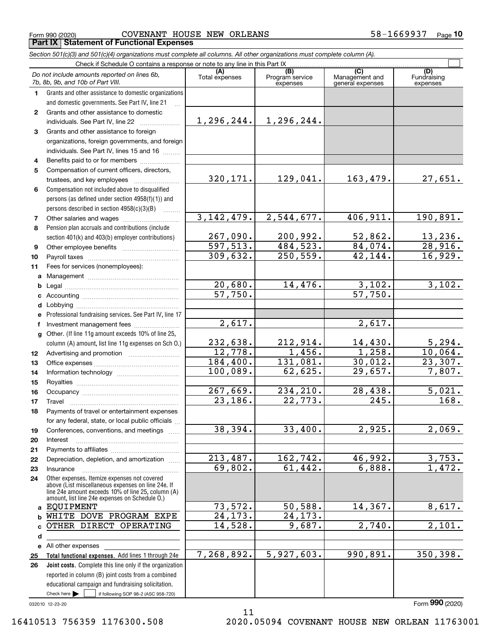$_{\rm Form}$   $_{990}$  (2020) COVENANT HOUSE NEW ORLEANS 58-1669937  $_{\rm Page}$ **Part IX Statement of Functional Expenses**

*Section 501(c)(3) and 501(c)(4) organizations must complete all columns. All other organizations must complete column (A).*

|    | Do not include amounts reported on lines 6b,<br>7b, 8b, 9b, and 10b of Part VIII.                                                                                                                          | (A)<br>Total expenses | (B)<br>Program service<br>expenses | (C)<br>Management and<br>general expenses | (D)<br>Fundraising<br>expenses |  |  |
|----|------------------------------------------------------------------------------------------------------------------------------------------------------------------------------------------------------------|-----------------------|------------------------------------|-------------------------------------------|--------------------------------|--|--|
| 1  | Grants and other assistance to domestic organizations                                                                                                                                                      |                       |                                    |                                           |                                |  |  |
|    | and domestic governments. See Part IV, line 21                                                                                                                                                             |                       |                                    |                                           |                                |  |  |
| 2  | Grants and other assistance to domestic                                                                                                                                                                    |                       |                                    |                                           |                                |  |  |
|    | individuals. See Part IV, line 22                                                                                                                                                                          | 1,296,244.            | 1,296,244.                         |                                           |                                |  |  |
| 3  | Grants and other assistance to foreign                                                                                                                                                                     |                       |                                    |                                           |                                |  |  |
|    | organizations, foreign governments, and foreign                                                                                                                                                            |                       |                                    |                                           |                                |  |  |
|    | individuals. See Part IV, lines 15 and 16                                                                                                                                                                  |                       |                                    |                                           |                                |  |  |
| 4  | Benefits paid to or for members                                                                                                                                                                            |                       |                                    |                                           |                                |  |  |
| 5  | Compensation of current officers, directors,                                                                                                                                                               |                       |                                    |                                           |                                |  |  |
|    | trustees, and key employees                                                                                                                                                                                | 320, 171.             | 129,041.                           | 163,479.                                  | 27,651.                        |  |  |
| 6  | Compensation not included above to disqualified                                                                                                                                                            |                       |                                    |                                           |                                |  |  |
|    | persons (as defined under section 4958(f)(1)) and                                                                                                                                                          |                       |                                    |                                           |                                |  |  |
|    | persons described in section $4958(c)(3)(B)$                                                                                                                                                               |                       |                                    |                                           |                                |  |  |
| 7  |                                                                                                                                                                                                            | 3, 142, 479.          | 2,544,677.                         | 406,911.                                  | 190,891.                       |  |  |
| 8  | Pension plan accruals and contributions (include                                                                                                                                                           |                       |                                    |                                           |                                |  |  |
|    | section 401(k) and 403(b) employer contributions)                                                                                                                                                          | 267,090.              | 200,992.                           | 52,862.                                   | $\frac{13,236}{28,916}$        |  |  |
| 9  |                                                                                                                                                                                                            | 597, 513.             | 484,523.                           | 84,074.                                   |                                |  |  |
| 10 |                                                                                                                                                                                                            | 309,632.              | 250, 559.                          | 42,144.                                   | $\overline{16,929}$ .          |  |  |
| 11 | Fees for services (nonemployees):                                                                                                                                                                          |                       |                                    |                                           |                                |  |  |
| a  |                                                                                                                                                                                                            |                       |                                    |                                           |                                |  |  |
| b  |                                                                                                                                                                                                            | 20,680.               | 14,476.                            | 3,102.                                    | 3,102.                         |  |  |
| c  |                                                                                                                                                                                                            | $\overline{57,750}$ . |                                    | 57,750.                                   |                                |  |  |
| d  |                                                                                                                                                                                                            |                       |                                    |                                           |                                |  |  |
| е  | Professional fundraising services. See Part IV, line 17                                                                                                                                                    |                       |                                    |                                           |                                |  |  |
| f  | Investment management fees                                                                                                                                                                                 | 2,617.                |                                    | 2,617.                                    |                                |  |  |
| g  | Other. (If line 11g amount exceeds 10% of line 25,                                                                                                                                                         |                       |                                    |                                           |                                |  |  |
|    | column (A) amount, list line 11g expenses on Sch O.)                                                                                                                                                       | 232,638.              | 212,914.                           | 14,430.                                   | $\frac{5,294}{10,064}$ .       |  |  |
| 12 |                                                                                                                                                                                                            | 12,778.               | 1,456.                             | 1,258.                                    |                                |  |  |
| 13 |                                                                                                                                                                                                            | 184,400.              | 131,081.                           | 30,012.                                   | 23,307.                        |  |  |
| 14 |                                                                                                                                                                                                            | 100,089.              | 62,625.                            | 29,657.                                   | 7,807.                         |  |  |
| 15 |                                                                                                                                                                                                            |                       |                                    |                                           |                                |  |  |
| 16 |                                                                                                                                                                                                            | 267,669.              | 234,210.                           | 28,438.                                   | 5,021.                         |  |  |
| 17 | Travel                                                                                                                                                                                                     | $\overline{23,186}$ . | 22,773.                            | 245.                                      | 168.                           |  |  |
| 18 | Payments of travel or entertainment expenses                                                                                                                                                               |                       |                                    |                                           |                                |  |  |
|    | for any federal, state, or local public officials                                                                                                                                                          |                       |                                    |                                           |                                |  |  |
| 19 | Conferences, conventions, and meetings                                                                                                                                                                     | 38,394.               | 33,400.                            | 2,925.                                    | 2,069.                         |  |  |
| 20 | Interest                                                                                                                                                                                                   |                       |                                    |                                           |                                |  |  |
| 21 |                                                                                                                                                                                                            |                       |                                    |                                           |                                |  |  |
| 22 | Depreciation, depletion, and amortization                                                                                                                                                                  | 213,487.<br>69,802.   | 162,742.<br>61,442.                | 46,992.                                   | 3,753.<br>1,472.               |  |  |
| 23 | Insurance                                                                                                                                                                                                  |                       |                                    | 6,888.                                    |                                |  |  |
| 24 | Other expenses. Itemize expenses not covered<br>above (List miscellaneous expenses on line 24e. If<br>line 24e amount exceeds 10% of line 25, column (A)<br>amount, list line 24e expenses on Schedule O.) |                       |                                    |                                           |                                |  |  |
|    | a EQUIPMENT                                                                                                                                                                                                | 73,572.               | 50,588.                            | 14,367.                                   | 8,617.                         |  |  |
| b  | WHITE DOVE PROGRAM EXPE                                                                                                                                                                                    | $\overline{24,173}$ . | 24, 173.                           |                                           |                                |  |  |
| c  | OTHER DIRECT OPERATING                                                                                                                                                                                     | 14,528.               | 9,687.                             | 2,740.                                    | 2,101.                         |  |  |
| d  |                                                                                                                                                                                                            |                       |                                    |                                           |                                |  |  |
|    | e All other expenses                                                                                                                                                                                       |                       |                                    |                                           |                                |  |  |
| 25 | Total functional expenses. Add lines 1 through 24e                                                                                                                                                         | 7,268,892.            | 5,927,603.                         | 990, 891.                                 | 350, 398.                      |  |  |
| 26 | Joint costs. Complete this line only if the organization                                                                                                                                                   |                       |                                    |                                           |                                |  |  |
|    | reported in column (B) joint costs from a combined                                                                                                                                                         |                       |                                    |                                           |                                |  |  |
|    | educational campaign and fundraising solicitation.                                                                                                                                                         |                       |                                    |                                           |                                |  |  |
|    | Check here $\blacktriangleright$<br>if following SOP 98-2 (ASC 958-720)                                                                                                                                    |                       |                                    |                                           |                                |  |  |

032010 12-23-20

Form (2020) **990**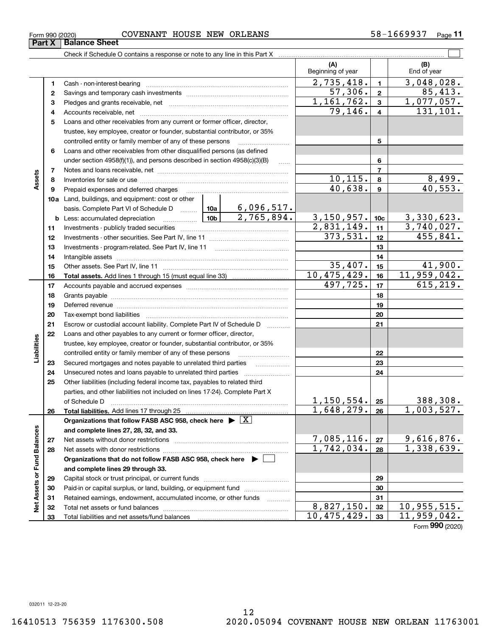### $_{\rm Form}$   $_{990}$  (2020) COVENANT HOUSE NEW ORLEANS 58-1669937  $_{\rm Page}$ Check if Schedule O contains a response or note to any line in this Part X **Part X Balance Sheet**

| Beginning of year<br>2,735,418.<br>3,048,028.<br>$\mathbf{1}$<br>1<br>Cash - non-interest-bearing<br>57,306.<br>$\mathbf{2}$<br>2<br>1, 161, 762.<br>1,077,057.<br>3<br>з<br>$\overline{79}$ , 146.<br>131,101.<br>$\overline{4}$<br>4<br>Loans and other receivables from any current or former officer, director,<br>5<br>trustee, key employee, creator or founder, substantial contributor, or 35%<br>controlled entity or family member of any of these persons<br>5<br>Loans and other receivables from other disqualified persons (as defined<br>6<br>under section 4958(f)(1)), and persons described in section 4958(c)(3)(B)<br>6<br>$\ldots$<br>$\overline{7}$<br>7<br>Assets<br>10, 115.<br>8<br>8<br>40,638.<br>9<br>Prepaid expenses and deferred charges<br>9<br>10a Land, buildings, and equipment: cost or other<br>3, 150, 957.<br>3,330,623.<br>$\begin{array}{ c c c c c }\n\hline\n\textbf{10b}\n\end{array}$<br>10 <sub>c</sub><br><b>b</b> Less: accumulated depreciation<br>3,740,027.<br>$\overline{2,831},149.$<br>11<br>11<br>373,531.<br>455,841.<br>12<br>12<br>13<br>13<br>14<br>14<br>35,407.<br>15<br>15<br>10, 475, 429.<br>11,959,042.<br>16<br>16<br>497,725.<br>615, 219.<br>17<br>17<br>18<br>18<br>19<br>19<br>Deferred revenue information and contract the contract of the contract of the contract of the contract of the<br>20<br>20<br>21<br>Escrow or custodial account liability. Complete Part IV of Schedule D<br>21<br>.<br>Loans and other payables to any current or former officer, director,<br>22<br>Liabilities<br>trustee, key employee, creator or founder, substantial contributor, or 35%<br>controlled entity or family member of any of these persons<br>22<br>Secured mortgages and notes payable to unrelated third parties<br>23<br>23<br>.<br>24<br>24 | 85,413.<br>$\frac{8,499}{40,553}$ . |
|------------------------------------------------------------------------------------------------------------------------------------------------------------------------------------------------------------------------------------------------------------------------------------------------------------------------------------------------------------------------------------------------------------------------------------------------------------------------------------------------------------------------------------------------------------------------------------------------------------------------------------------------------------------------------------------------------------------------------------------------------------------------------------------------------------------------------------------------------------------------------------------------------------------------------------------------------------------------------------------------------------------------------------------------------------------------------------------------------------------------------------------------------------------------------------------------------------------------------------------------------------------------------------------------------------------------------------------------------------------------------------------------------------------------------------------------------------------------------------------------------------------------------------------------------------------------------------------------------------------------------------------------------------------------------------------------------------------------------------------------------------------------------------------------------------------------|-------------------------------------|
|                                                                                                                                                                                                                                                                                                                                                                                                                                                                                                                                                                                                                                                                                                                                                                                                                                                                                                                                                                                                                                                                                                                                                                                                                                                                                                                                                                                                                                                                                                                                                                                                                                                                                                                                                                                                                        |                                     |
|                                                                                                                                                                                                                                                                                                                                                                                                                                                                                                                                                                                                                                                                                                                                                                                                                                                                                                                                                                                                                                                                                                                                                                                                                                                                                                                                                                                                                                                                                                                                                                                                                                                                                                                                                                                                                        |                                     |
|                                                                                                                                                                                                                                                                                                                                                                                                                                                                                                                                                                                                                                                                                                                                                                                                                                                                                                                                                                                                                                                                                                                                                                                                                                                                                                                                                                                                                                                                                                                                                                                                                                                                                                                                                                                                                        |                                     |
|                                                                                                                                                                                                                                                                                                                                                                                                                                                                                                                                                                                                                                                                                                                                                                                                                                                                                                                                                                                                                                                                                                                                                                                                                                                                                                                                                                                                                                                                                                                                                                                                                                                                                                                                                                                                                        |                                     |
|                                                                                                                                                                                                                                                                                                                                                                                                                                                                                                                                                                                                                                                                                                                                                                                                                                                                                                                                                                                                                                                                                                                                                                                                                                                                                                                                                                                                                                                                                                                                                                                                                                                                                                                                                                                                                        |                                     |
|                                                                                                                                                                                                                                                                                                                                                                                                                                                                                                                                                                                                                                                                                                                                                                                                                                                                                                                                                                                                                                                                                                                                                                                                                                                                                                                                                                                                                                                                                                                                                                                                                                                                                                                                                                                                                        |                                     |
|                                                                                                                                                                                                                                                                                                                                                                                                                                                                                                                                                                                                                                                                                                                                                                                                                                                                                                                                                                                                                                                                                                                                                                                                                                                                                                                                                                                                                                                                                                                                                                                                                                                                                                                                                                                                                        |                                     |
|                                                                                                                                                                                                                                                                                                                                                                                                                                                                                                                                                                                                                                                                                                                                                                                                                                                                                                                                                                                                                                                                                                                                                                                                                                                                                                                                                                                                                                                                                                                                                                                                                                                                                                                                                                                                                        |                                     |
|                                                                                                                                                                                                                                                                                                                                                                                                                                                                                                                                                                                                                                                                                                                                                                                                                                                                                                                                                                                                                                                                                                                                                                                                                                                                                                                                                                                                                                                                                                                                                                                                                                                                                                                                                                                                                        |                                     |
|                                                                                                                                                                                                                                                                                                                                                                                                                                                                                                                                                                                                                                                                                                                                                                                                                                                                                                                                                                                                                                                                                                                                                                                                                                                                                                                                                                                                                                                                                                                                                                                                                                                                                                                                                                                                                        |                                     |
|                                                                                                                                                                                                                                                                                                                                                                                                                                                                                                                                                                                                                                                                                                                                                                                                                                                                                                                                                                                                                                                                                                                                                                                                                                                                                                                                                                                                                                                                                                                                                                                                                                                                                                                                                                                                                        |                                     |
|                                                                                                                                                                                                                                                                                                                                                                                                                                                                                                                                                                                                                                                                                                                                                                                                                                                                                                                                                                                                                                                                                                                                                                                                                                                                                                                                                                                                                                                                                                                                                                                                                                                                                                                                                                                                                        |                                     |
|                                                                                                                                                                                                                                                                                                                                                                                                                                                                                                                                                                                                                                                                                                                                                                                                                                                                                                                                                                                                                                                                                                                                                                                                                                                                                                                                                                                                                                                                                                                                                                                                                                                                                                                                                                                                                        |                                     |
|                                                                                                                                                                                                                                                                                                                                                                                                                                                                                                                                                                                                                                                                                                                                                                                                                                                                                                                                                                                                                                                                                                                                                                                                                                                                                                                                                                                                                                                                                                                                                                                                                                                                                                                                                                                                                        |                                     |
|                                                                                                                                                                                                                                                                                                                                                                                                                                                                                                                                                                                                                                                                                                                                                                                                                                                                                                                                                                                                                                                                                                                                                                                                                                                                                                                                                                                                                                                                                                                                                                                                                                                                                                                                                                                                                        |                                     |
|                                                                                                                                                                                                                                                                                                                                                                                                                                                                                                                                                                                                                                                                                                                                                                                                                                                                                                                                                                                                                                                                                                                                                                                                                                                                                                                                                                                                                                                                                                                                                                                                                                                                                                                                                                                                                        |                                     |
|                                                                                                                                                                                                                                                                                                                                                                                                                                                                                                                                                                                                                                                                                                                                                                                                                                                                                                                                                                                                                                                                                                                                                                                                                                                                                                                                                                                                                                                                                                                                                                                                                                                                                                                                                                                                                        |                                     |
|                                                                                                                                                                                                                                                                                                                                                                                                                                                                                                                                                                                                                                                                                                                                                                                                                                                                                                                                                                                                                                                                                                                                                                                                                                                                                                                                                                                                                                                                                                                                                                                                                                                                                                                                                                                                                        |                                     |
|                                                                                                                                                                                                                                                                                                                                                                                                                                                                                                                                                                                                                                                                                                                                                                                                                                                                                                                                                                                                                                                                                                                                                                                                                                                                                                                                                                                                                                                                                                                                                                                                                                                                                                                                                                                                                        |                                     |
|                                                                                                                                                                                                                                                                                                                                                                                                                                                                                                                                                                                                                                                                                                                                                                                                                                                                                                                                                                                                                                                                                                                                                                                                                                                                                                                                                                                                                                                                                                                                                                                                                                                                                                                                                                                                                        | 41,900.                             |
|                                                                                                                                                                                                                                                                                                                                                                                                                                                                                                                                                                                                                                                                                                                                                                                                                                                                                                                                                                                                                                                                                                                                                                                                                                                                                                                                                                                                                                                                                                                                                                                                                                                                                                                                                                                                                        |                                     |
|                                                                                                                                                                                                                                                                                                                                                                                                                                                                                                                                                                                                                                                                                                                                                                                                                                                                                                                                                                                                                                                                                                                                                                                                                                                                                                                                                                                                                                                                                                                                                                                                                                                                                                                                                                                                                        |                                     |
|                                                                                                                                                                                                                                                                                                                                                                                                                                                                                                                                                                                                                                                                                                                                                                                                                                                                                                                                                                                                                                                                                                                                                                                                                                                                                                                                                                                                                                                                                                                                                                                                                                                                                                                                                                                                                        |                                     |
|                                                                                                                                                                                                                                                                                                                                                                                                                                                                                                                                                                                                                                                                                                                                                                                                                                                                                                                                                                                                                                                                                                                                                                                                                                                                                                                                                                                                                                                                                                                                                                                                                                                                                                                                                                                                                        |                                     |
|                                                                                                                                                                                                                                                                                                                                                                                                                                                                                                                                                                                                                                                                                                                                                                                                                                                                                                                                                                                                                                                                                                                                                                                                                                                                                                                                                                                                                                                                                                                                                                                                                                                                                                                                                                                                                        |                                     |
|                                                                                                                                                                                                                                                                                                                                                                                                                                                                                                                                                                                                                                                                                                                                                                                                                                                                                                                                                                                                                                                                                                                                                                                                                                                                                                                                                                                                                                                                                                                                                                                                                                                                                                                                                                                                                        |                                     |
|                                                                                                                                                                                                                                                                                                                                                                                                                                                                                                                                                                                                                                                                                                                                                                                                                                                                                                                                                                                                                                                                                                                                                                                                                                                                                                                                                                                                                                                                                                                                                                                                                                                                                                                                                                                                                        |                                     |
|                                                                                                                                                                                                                                                                                                                                                                                                                                                                                                                                                                                                                                                                                                                                                                                                                                                                                                                                                                                                                                                                                                                                                                                                                                                                                                                                                                                                                                                                                                                                                                                                                                                                                                                                                                                                                        |                                     |
|                                                                                                                                                                                                                                                                                                                                                                                                                                                                                                                                                                                                                                                                                                                                                                                                                                                                                                                                                                                                                                                                                                                                                                                                                                                                                                                                                                                                                                                                                                                                                                                                                                                                                                                                                                                                                        |                                     |
|                                                                                                                                                                                                                                                                                                                                                                                                                                                                                                                                                                                                                                                                                                                                                                                                                                                                                                                                                                                                                                                                                                                                                                                                                                                                                                                                                                                                                                                                                                                                                                                                                                                                                                                                                                                                                        |                                     |
|                                                                                                                                                                                                                                                                                                                                                                                                                                                                                                                                                                                                                                                                                                                                                                                                                                                                                                                                                                                                                                                                                                                                                                                                                                                                                                                                                                                                                                                                                                                                                                                                                                                                                                                                                                                                                        |                                     |
| Other liabilities (including federal income tax, payables to related third<br>25                                                                                                                                                                                                                                                                                                                                                                                                                                                                                                                                                                                                                                                                                                                                                                                                                                                                                                                                                                                                                                                                                                                                                                                                                                                                                                                                                                                                                                                                                                                                                                                                                                                                                                                                       |                                     |
| parties, and other liabilities not included on lines 17-24). Complete Part X                                                                                                                                                                                                                                                                                                                                                                                                                                                                                                                                                                                                                                                                                                                                                                                                                                                                                                                                                                                                                                                                                                                                                                                                                                                                                                                                                                                                                                                                                                                                                                                                                                                                                                                                           |                                     |
| 1,150,554.<br>25<br>of Schedule D<br>1,648,279.<br>1,003,527.                                                                                                                                                                                                                                                                                                                                                                                                                                                                                                                                                                                                                                                                                                                                                                                                                                                                                                                                                                                                                                                                                                                                                                                                                                                                                                                                                                                                                                                                                                                                                                                                                                                                                                                                                          | 388,308.                            |
| 26<br>26                                                                                                                                                                                                                                                                                                                                                                                                                                                                                                                                                                                                                                                                                                                                                                                                                                                                                                                                                                                                                                                                                                                                                                                                                                                                                                                                                                                                                                                                                                                                                                                                                                                                                                                                                                                                               |                                     |
| Organizations that follow FASB ASC 958, check here $\blacktriangleright \boxed{X}$                                                                                                                                                                                                                                                                                                                                                                                                                                                                                                                                                                                                                                                                                                                                                                                                                                                                                                                                                                                                                                                                                                                                                                                                                                                                                                                                                                                                                                                                                                                                                                                                                                                                                                                                     |                                     |
| and complete lines 27, 28, 32, and 33.<br>7,085,116.<br><u>9,616,876.</u><br>27<br>Net assets without donor restrictions                                                                                                                                                                                                                                                                                                                                                                                                                                                                                                                                                                                                                                                                                                                                                                                                                                                                                                                                                                                                                                                                                                                                                                                                                                                                                                                                                                                                                                                                                                                                                                                                                                                                                               |                                     |
| 27<br>1,742,034.<br>1,338,639.<br>28<br>28<br>Net assets with donor restrictions                                                                                                                                                                                                                                                                                                                                                                                                                                                                                                                                                                                                                                                                                                                                                                                                                                                                                                                                                                                                                                                                                                                                                                                                                                                                                                                                                                                                                                                                                                                                                                                                                                                                                                                                       |                                     |
| Organizations that do not follow FASB ASC 958, check here $\blacktriangleright$                                                                                                                                                                                                                                                                                                                                                                                                                                                                                                                                                                                                                                                                                                                                                                                                                                                                                                                                                                                                                                                                                                                                                                                                                                                                                                                                                                                                                                                                                                                                                                                                                                                                                                                                        |                                     |
| and complete lines 29 through 33.                                                                                                                                                                                                                                                                                                                                                                                                                                                                                                                                                                                                                                                                                                                                                                                                                                                                                                                                                                                                                                                                                                                                                                                                                                                                                                                                                                                                                                                                                                                                                                                                                                                                                                                                                                                      |                                     |
| Capital stock or trust principal, or current funds<br>29<br>29                                                                                                                                                                                                                                                                                                                                                                                                                                                                                                                                                                                                                                                                                                                                                                                                                                                                                                                                                                                                                                                                                                                                                                                                                                                                                                                                                                                                                                                                                                                                                                                                                                                                                                                                                         |                                     |
| Paid-in or capital surplus, or land, building, or equipment fund<br>30<br>30                                                                                                                                                                                                                                                                                                                                                                                                                                                                                                                                                                                                                                                                                                                                                                                                                                                                                                                                                                                                                                                                                                                                                                                                                                                                                                                                                                                                                                                                                                                                                                                                                                                                                                                                           |                                     |
| Retained earnings, endowment, accumulated income, or other funds<br>31<br>31                                                                                                                                                                                                                                                                                                                                                                                                                                                                                                                                                                                                                                                                                                                                                                                                                                                                                                                                                                                                                                                                                                                                                                                                                                                                                                                                                                                                                                                                                                                                                                                                                                                                                                                                           |                                     |
| Net Assets or Fund Balances<br>.<br>8,827,150.<br>$\overline{10}$ , 955, 515.<br>32<br>32                                                                                                                                                                                                                                                                                                                                                                                                                                                                                                                                                                                                                                                                                                                                                                                                                                                                                                                                                                                                                                                                                                                                                                                                                                                                                                                                                                                                                                                                                                                                                                                                                                                                                                                              |                                     |
| 10,475,429.<br>11,959,042.<br>33<br>33                                                                                                                                                                                                                                                                                                                                                                                                                                                                                                                                                                                                                                                                                                                                                                                                                                                                                                                                                                                                                                                                                                                                                                                                                                                                                                                                                                                                                                                                                                                                                                                                                                                                                                                                                                                 |                                     |

Form (2020) **990**

 $\mathcal{L}^{\text{max}}$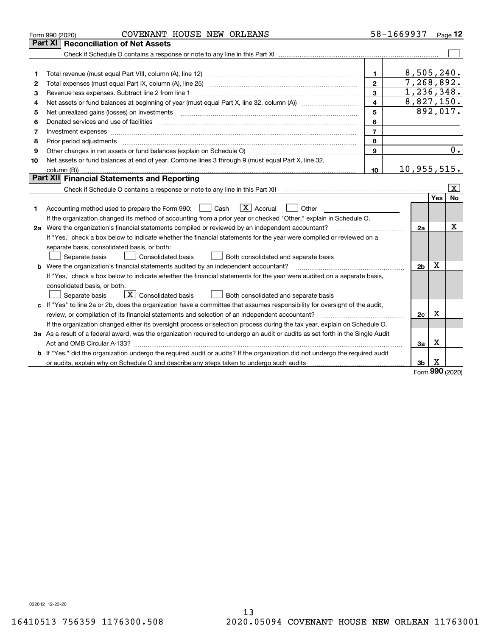|    | COVENANT HOUSE NEW ORLEANS<br>Form 990 (2020)                                                                                                                                                                                                                                                                                                                                                                                                                           |                | 58-1669937 Page 12 |          |                         |
|----|-------------------------------------------------------------------------------------------------------------------------------------------------------------------------------------------------------------------------------------------------------------------------------------------------------------------------------------------------------------------------------------------------------------------------------------------------------------------------|----------------|--------------------|----------|-------------------------|
|    | <b>Reconciliation of Net Assets</b><br><b>Part XI</b>                                                                                                                                                                                                                                                                                                                                                                                                                   |                |                    |          |                         |
|    |                                                                                                                                                                                                                                                                                                                                                                                                                                                                         |                |                    |          |                         |
|    |                                                                                                                                                                                                                                                                                                                                                                                                                                                                         |                |                    |          |                         |
| 1  | Total revenue (must equal Part VIII, column (A), line 12)                                                                                                                                                                                                                                                                                                                                                                                                               | $\mathbf{1}$   | 8,505,240.         |          |                         |
| 2  | Total expenses (must equal Part IX, column (A), line 25)                                                                                                                                                                                                                                                                                                                                                                                                                | $\mathbf{2}$   | 7, 268, 892.       |          |                         |
| з  | Revenue less expenses. Subtract line 2 from line 1                                                                                                                                                                                                                                                                                                                                                                                                                      | 3              | 1,236,348.         |          |                         |
| 4  | Net assets or fund balances at beginning of year (must equal Part X, line 32, column (A)) <i>massets</i> or fund balances at beginning of year (must equal Part X, line 32, column (A))                                                                                                                                                                                                                                                                                 | $\overline{4}$ | 8,827,150.         |          |                         |
| 5  | Net unrealized gains (losses) on investments                                                                                                                                                                                                                                                                                                                                                                                                                            | 5              |                    |          | 892,017.                |
| 6  |                                                                                                                                                                                                                                                                                                                                                                                                                                                                         | 6              |                    |          |                         |
| 7  | Investment expenses www.communication.com/www.communication.com/www.communication.com/www.com                                                                                                                                                                                                                                                                                                                                                                           | $\overline{7}$ |                    |          |                         |
| 8  | Prior period adjustments<br>$\begin{minipage}{0.5\textwidth} \begin{tabular}{ l l l } \hline \multicolumn{1}{ l l l } \hline \multicolumn{1}{ l l } \multicolumn{1}{ l } \multicolumn{1}{ l } \multicolumn{1}{ l } \multicolumn{1}{ l } \multicolumn{1}{ l } \multicolumn{1}{ l } \multicolumn{1}{ l } \multicolumn{1}{ l } \multicolumn{1}{ l } \multicolumn{1}{ l } \multicolumn{1}{ l } \multicolumn{1}{ l } \multicolumn{1}{ l } \multicolumn{1}{ l } \multicolumn$ | 8              |                    |          |                         |
| 9  | Other changes in net assets or fund balances (explain on Schedule O)                                                                                                                                                                                                                                                                                                                                                                                                    | 9              |                    |          | 0.                      |
| 10 | Net assets or fund balances at end of year. Combine lines 3 through 9 (must equal Part X, line 32,                                                                                                                                                                                                                                                                                                                                                                      |                |                    |          |                         |
|    |                                                                                                                                                                                                                                                                                                                                                                                                                                                                         | 10             | 10, 955, 515.      |          |                         |
|    | Part XII Financial Statements and Reporting                                                                                                                                                                                                                                                                                                                                                                                                                             |                |                    |          |                         |
|    |                                                                                                                                                                                                                                                                                                                                                                                                                                                                         |                |                    |          | $\overline{\mathbf{X}}$ |
|    |                                                                                                                                                                                                                                                                                                                                                                                                                                                                         |                |                    | Yes      | No                      |
| 1. | $\boxed{\mathbf{X}}$ Accrual<br>Accounting method used to prepare the Form 990: <u>I</u> Cash<br>Other                                                                                                                                                                                                                                                                                                                                                                  |                |                    |          |                         |
|    | If the organization changed its method of accounting from a prior year or checked "Other," explain in Schedule O.                                                                                                                                                                                                                                                                                                                                                       |                |                    |          |                         |
|    | 2a Were the organization's financial statements compiled or reviewed by an independent accountant?                                                                                                                                                                                                                                                                                                                                                                      |                | 2a                 |          | x                       |
|    | If "Yes," check a box below to indicate whether the financial statements for the year were compiled or reviewed on a                                                                                                                                                                                                                                                                                                                                                    |                |                    |          |                         |
|    | separate basis, consolidated basis, or both:                                                                                                                                                                                                                                                                                                                                                                                                                            |                |                    |          |                         |
|    | Separate basis<br><b>Consolidated basis</b><br>Both consolidated and separate basis                                                                                                                                                                                                                                                                                                                                                                                     |                |                    |          |                         |
|    | <b>b</b> Were the organization's financial statements audited by an independent accountant?                                                                                                                                                                                                                                                                                                                                                                             |                | 2 <sub>b</sub>     | X        |                         |
|    | If "Yes," check a box below to indicate whether the financial statements for the year were audited on a separate basis,                                                                                                                                                                                                                                                                                                                                                 |                |                    |          |                         |
|    | consolidated basis, or both:                                                                                                                                                                                                                                                                                                                                                                                                                                            |                |                    |          |                         |
|    | $\overline{X}$ Consolidated basis<br>Separate basis<br>Both consolidated and separate basis                                                                                                                                                                                                                                                                                                                                                                             |                |                    |          |                         |
|    | c If "Yes" to line 2a or 2b, does the organization have a committee that assumes responsibility for oversight of the audit,                                                                                                                                                                                                                                                                                                                                             |                |                    |          |                         |
|    |                                                                                                                                                                                                                                                                                                                                                                                                                                                                         |                | 2c                 | X        |                         |
|    | If the organization changed either its oversight process or selection process during the tax year, explain on Schedule O.                                                                                                                                                                                                                                                                                                                                               |                |                    |          |                         |
|    | 3a As a result of a federal award, was the organization required to undergo an audit or audits as set forth in the Single Audit                                                                                                                                                                                                                                                                                                                                         |                |                    |          |                         |
|    |                                                                                                                                                                                                                                                                                                                                                                                                                                                                         |                | За                 | х        |                         |
|    | b If "Yes," did the organization undergo the required audit or audits? If the organization did not undergo the required audit                                                                                                                                                                                                                                                                                                                                           |                |                    |          |                         |
|    | or audits, explain why on Schedule O and describe any steps taken to undergo such audits [11] contains the school of audits [11] or audits [11] or audits [11] or audits [11] or audits [11] or audits [11] or audits [11] or                                                                                                                                                                                                                                           |                | 3b                 | х<br>nnn |                         |

Form (2020) **990**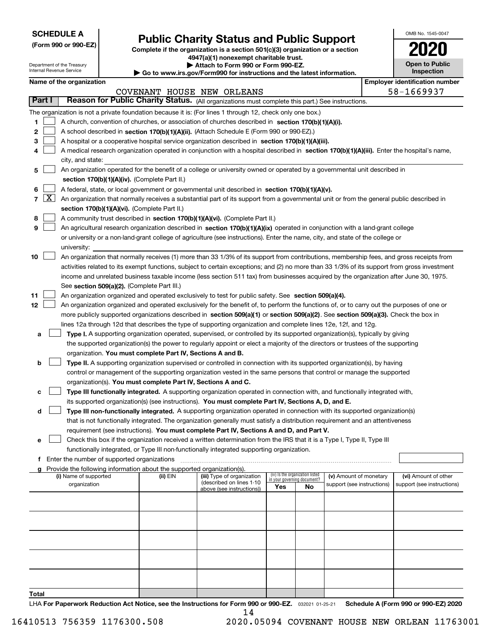| <b>SCHEDULE A</b> |
|-------------------|
|-------------------|

Department of the Treasury Internal Revenue Service

**(Form 990 or 990-EZ)**

# **Public Charity Status and Public Support**

**Complete if the organization is a section 501(c)(3) organization or a section 4947(a)(1) nonexempt charitable trust.**

| Attach to Form 990 or Form 990-EZ. |  |
|------------------------------------|--|
|------------------------------------|--|

**| Go to www.irs.gov/Form990 for instructions and the latest information.**

| OMB No 1545-0047                    |
|-------------------------------------|
| 020                                 |
| <b>Open to Public</b><br>Inspection |

п

| Name of the organization |  |
|--------------------------|--|
|--------------------------|--|

|        |                                                                                                                              | Name of the organization                                                                                                                                |          |                                                        |                             |                                 |                            |  | <b>Employer identification number</b> |  |
|--------|------------------------------------------------------------------------------------------------------------------------------|---------------------------------------------------------------------------------------------------------------------------------------------------------|----------|--------------------------------------------------------|-----------------------------|---------------------------------|----------------------------|--|---------------------------------------|--|
|        |                                                                                                                              |                                                                                                                                                         |          | COVENANT HOUSE NEW ORLEANS                             |                             |                                 |                            |  | 58-1669937                            |  |
| Part I |                                                                                                                              | Reason for Public Charity Status. (All organizations must complete this part.) See instructions.                                                        |          |                                                        |                             |                                 |                            |  |                                       |  |
|        |                                                                                                                              | The organization is not a private foundation because it is: (For lines 1 through 12, check only one box.)                                               |          |                                                        |                             |                                 |                            |  |                                       |  |
| 1      |                                                                                                                              | A church, convention of churches, or association of churches described in section 170(b)(1)(A)(i).                                                      |          |                                                        |                             |                                 |                            |  |                                       |  |
| 2      |                                                                                                                              | A school described in section 170(b)(1)(A)(ii). (Attach Schedule E (Form 990 or 990-EZ).)                                                               |          |                                                        |                             |                                 |                            |  |                                       |  |
| з      |                                                                                                                              | A hospital or a cooperative hospital service organization described in section 170(b)(1)(A)(iii).                                                       |          |                                                        |                             |                                 |                            |  |                                       |  |
| 4      |                                                                                                                              | A medical research organization operated in conjunction with a hospital described in section 170(b)(1)(A)(iii). Enter the hospital's name,              |          |                                                        |                             |                                 |                            |  |                                       |  |
|        |                                                                                                                              | city, and state:                                                                                                                                        |          |                                                        |                             |                                 |                            |  |                                       |  |
| 5      |                                                                                                                              | An organization operated for the benefit of a college or university owned or operated by a governmental unit described in                               |          |                                                        |                             |                                 |                            |  |                                       |  |
|        |                                                                                                                              | section 170(b)(1)(A)(iv). (Complete Part II.)                                                                                                           |          |                                                        |                             |                                 |                            |  |                                       |  |
| 6      |                                                                                                                              | A federal, state, or local government or governmental unit described in section 170(b)(1)(A)(v).                                                        |          |                                                        |                             |                                 |                            |  |                                       |  |
|        | $7 \times$                                                                                                                   | An organization that normally receives a substantial part of its support from a governmental unit or from the general public described in               |          |                                                        |                             |                                 |                            |  |                                       |  |
|        |                                                                                                                              | section 170(b)(1)(A)(vi). (Complete Part II.)                                                                                                           |          |                                                        |                             |                                 |                            |  |                                       |  |
| 8      |                                                                                                                              | A community trust described in section 170(b)(1)(A)(vi). (Complete Part II.)                                                                            |          |                                                        |                             |                                 |                            |  |                                       |  |
| 9      |                                                                                                                              | An agricultural research organization described in section 170(b)(1)(A)(ix) operated in conjunction with a land-grant college                           |          |                                                        |                             |                                 |                            |  |                                       |  |
|        |                                                                                                                              | or university or a non-land-grant college of agriculture (see instructions). Enter the name, city, and state of the college or                          |          |                                                        |                             |                                 |                            |  |                                       |  |
|        |                                                                                                                              |                                                                                                                                                         |          |                                                        |                             |                                 |                            |  |                                       |  |
|        |                                                                                                                              | university:<br>An organization that normally receives (1) more than 33 1/3% of its support from contributions, membership fees, and gross receipts from |          |                                                        |                             |                                 |                            |  |                                       |  |
| 10     |                                                                                                                              |                                                                                                                                                         |          |                                                        |                             |                                 |                            |  |                                       |  |
|        |                                                                                                                              | activities related to its exempt functions, subject to certain exceptions; and (2) no more than 33 1/3% of its support from gross investment            |          |                                                        |                             |                                 |                            |  |                                       |  |
|        |                                                                                                                              | income and unrelated business taxable income (less section 511 tax) from businesses acquired by the organization after June 30, 1975.                   |          |                                                        |                             |                                 |                            |  |                                       |  |
|        |                                                                                                                              | See section 509(a)(2). (Complete Part III.)                                                                                                             |          |                                                        |                             |                                 |                            |  |                                       |  |
| 11     |                                                                                                                              | An organization organized and operated exclusively to test for public safety. See section 509(a)(4).                                                    |          |                                                        |                             |                                 |                            |  |                                       |  |
| 12     |                                                                                                                              | An organization organized and operated exclusively for the benefit of, to perform the functions of, or to carry out the purposes of one or              |          |                                                        |                             |                                 |                            |  |                                       |  |
|        |                                                                                                                              | more publicly supported organizations described in section 509(a)(1) or section 509(a)(2). See section 509(a)(3). Check the box in                      |          |                                                        |                             |                                 |                            |  |                                       |  |
|        |                                                                                                                              | lines 12a through 12d that describes the type of supporting organization and complete lines 12e, 12f, and 12g.                                          |          |                                                        |                             |                                 |                            |  |                                       |  |
| а      |                                                                                                                              | Type I. A supporting organization operated, supervised, or controlled by its supported organization(s), typically by giving                             |          |                                                        |                             |                                 |                            |  |                                       |  |
|        |                                                                                                                              | the supported organization(s) the power to regularly appoint or elect a majority of the directors or trustees of the supporting                         |          |                                                        |                             |                                 |                            |  |                                       |  |
|        |                                                                                                                              | organization. You must complete Part IV, Sections A and B.                                                                                              |          |                                                        |                             |                                 |                            |  |                                       |  |
| b      |                                                                                                                              | Type II. A supporting organization supervised or controlled in connection with its supported organization(s), by having                                 |          |                                                        |                             |                                 |                            |  |                                       |  |
|        |                                                                                                                              | control or management of the supporting organization vested in the same persons that control or manage the supported                                    |          |                                                        |                             |                                 |                            |  |                                       |  |
|        |                                                                                                                              | organization(s). You must complete Part IV, Sections A and C.                                                                                           |          |                                                        |                             |                                 |                            |  |                                       |  |
| с      |                                                                                                                              | Type III functionally integrated. A supporting organization operated in connection with, and functionally integrated with,                              |          |                                                        |                             |                                 |                            |  |                                       |  |
|        |                                                                                                                              | its supported organization(s) (see instructions). You must complete Part IV, Sections A, D, and E.                                                      |          |                                                        |                             |                                 |                            |  |                                       |  |
| d      |                                                                                                                              | Type III non-functionally integrated. A supporting organization operated in connection with its supported organization(s)                               |          |                                                        |                             |                                 |                            |  |                                       |  |
|        | that is not functionally integrated. The organization generally must satisfy a distribution requirement and an attentiveness |                                                                                                                                                         |          |                                                        |                             |                                 |                            |  |                                       |  |
|        | requirement (see instructions). You must complete Part IV, Sections A and D, and Part V.                                     |                                                                                                                                                         |          |                                                        |                             |                                 |                            |  |                                       |  |
| е      |                                                                                                                              | Check this box if the organization received a written determination from the IRS that it is a Type I, Type II, Type III                                 |          |                                                        |                             |                                 |                            |  |                                       |  |
|        |                                                                                                                              | functionally integrated, or Type III non-functionally integrated supporting organization.                                                               |          |                                                        |                             |                                 |                            |  |                                       |  |
|        |                                                                                                                              | f Enter the number of supported organizations                                                                                                           |          |                                                        |                             |                                 |                            |  |                                       |  |
|        |                                                                                                                              | g Provide the following information about the supported organization(s).                                                                                |          |                                                        |                             |                                 |                            |  |                                       |  |
|        |                                                                                                                              | (i) Name of supported                                                                                                                                   | (ii) EIN | (iii) Type of organization<br>(described on lines 1-10 | in your governing document? | (iv) Is the organization listed | (v) Amount of monetary     |  | (vi) Amount of other                  |  |
|        |                                                                                                                              | organization                                                                                                                                            |          | above (see instructions))                              | Yes                         | No                              | support (see instructions) |  | support (see instructions)            |  |
|        |                                                                                                                              |                                                                                                                                                         |          |                                                        |                             |                                 |                            |  |                                       |  |
|        |                                                                                                                              |                                                                                                                                                         |          |                                                        |                             |                                 |                            |  |                                       |  |
|        |                                                                                                                              |                                                                                                                                                         |          |                                                        |                             |                                 |                            |  |                                       |  |
|        |                                                                                                                              |                                                                                                                                                         |          |                                                        |                             |                                 |                            |  |                                       |  |
|        |                                                                                                                              |                                                                                                                                                         |          |                                                        |                             |                                 |                            |  |                                       |  |
|        |                                                                                                                              |                                                                                                                                                         |          |                                                        |                             |                                 |                            |  |                                       |  |
|        |                                                                                                                              |                                                                                                                                                         |          |                                                        |                             |                                 |                            |  |                                       |  |
|        |                                                                                                                              |                                                                                                                                                         |          |                                                        |                             |                                 |                            |  |                                       |  |
|        |                                                                                                                              |                                                                                                                                                         |          |                                                        |                             |                                 |                            |  |                                       |  |
|        |                                                                                                                              |                                                                                                                                                         |          |                                                        |                             |                                 |                            |  |                                       |  |
| Total  |                                                                                                                              |                                                                                                                                                         |          |                                                        |                             |                                 |                            |  |                                       |  |

LHA For Paperwork Reduction Act Notice, see the Instructions for Form 990 or 990-EZ. <sub>032021</sub> o1-25-21 Schedule A (Form 990 or 990-EZ) 2020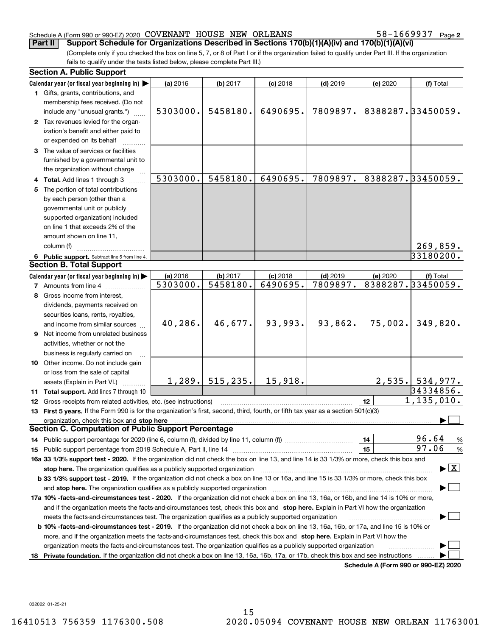#### Schedule A (Form 990 or 990-EZ) 2020 Page COVENANT HOUSE NEW ORLEANS 58-1669937

58-1669937 Page 2

(Complete only if you checked the box on line 5, 7, or 8 of Part I or if the organization failed to qualify under Part III. If the organization fails to qualify under the tests listed below, please complete Part III.) **Part II Support Schedule for Organizations Described in Sections 170(b)(1)(A)(iv) and 170(b)(1)(A)(vi)**

|    | <b>Section A. Public Support</b>                                                                                                               |          |                    |            |            |          |                                      |  |
|----|------------------------------------------------------------------------------------------------------------------------------------------------|----------|--------------------|------------|------------|----------|--------------------------------------|--|
|    | Calendar year (or fiscal year beginning in)                                                                                                    | (a) 2016 | (b) 2017           | $(c)$ 2018 | $(d)$ 2019 | (e) 2020 | (f) Total                            |  |
|    | 1 Gifts, grants, contributions, and                                                                                                            |          |                    |            |            |          |                                      |  |
|    | membership fees received. (Do not                                                                                                              |          |                    |            |            |          |                                      |  |
|    | include any "unusual grants.")                                                                                                                 | 5303000. | 5458180.           | 6490695.   | 7809897.   |          | 8388287.33450059.                    |  |
|    | 2 Tax revenues levied for the organ-                                                                                                           |          |                    |            |            |          |                                      |  |
|    | ization's benefit and either paid to                                                                                                           |          |                    |            |            |          |                                      |  |
|    | or expended on its behalf                                                                                                                      |          |                    |            |            |          |                                      |  |
|    | 3 The value of services or facilities                                                                                                          |          |                    |            |            |          |                                      |  |
|    | furnished by a governmental unit to                                                                                                            |          |                    |            |            |          |                                      |  |
|    | the organization without charge                                                                                                                |          |                    |            |            |          |                                      |  |
|    | 4 Total. Add lines 1 through 3                                                                                                                 | 5303000. | 5458180.           | 6490695.   | 7809897.   |          | 8388287.33450059.                    |  |
|    | 5 The portion of total contributions                                                                                                           |          |                    |            |            |          |                                      |  |
|    | by each person (other than a                                                                                                                   |          |                    |            |            |          |                                      |  |
|    | governmental unit or publicly                                                                                                                  |          |                    |            |            |          |                                      |  |
|    | supported organization) included                                                                                                               |          |                    |            |            |          |                                      |  |
|    | on line 1 that exceeds 2% of the                                                                                                               |          |                    |            |            |          |                                      |  |
|    | amount shown on line 11,                                                                                                                       |          |                    |            |            |          |                                      |  |
|    | column (f)                                                                                                                                     |          |                    |            |            |          | 269,859.                             |  |
|    | 6 Public support. Subtract line 5 from line 4.                                                                                                 |          |                    |            |            |          | 33180200.                            |  |
|    | <b>Section B. Total Support</b>                                                                                                                |          |                    |            |            |          |                                      |  |
|    | Calendar year (or fiscal year beginning in)                                                                                                    | (a) 2016 | (b) 2017           | $(c)$ 2018 | $(d)$ 2019 | (e) 2020 | (f) Total                            |  |
|    | <b>7</b> Amounts from line 4                                                                                                                   | 5303000. | 5458180.           | 6490695.   | 7809897.   |          | 8388287.33450059.                    |  |
|    | 8 Gross income from interest,                                                                                                                  |          |                    |            |            |          |                                      |  |
|    | dividends, payments received on                                                                                                                |          |                    |            |            |          |                                      |  |
|    | securities loans, rents, royalties,                                                                                                            |          |                    |            |            |          |                                      |  |
|    | and income from similar sources                                                                                                                | 40,286.  | 46,677.            | 93,993.    | 93,862.    | 75,002.  | 349,820.                             |  |
|    | 9 Net income from unrelated business                                                                                                           |          |                    |            |            |          |                                      |  |
|    |                                                                                                                                                |          |                    |            |            |          |                                      |  |
|    | activities, whether or not the                                                                                                                 |          |                    |            |            |          |                                      |  |
|    | business is regularly carried on                                                                                                               |          |                    |            |            |          |                                      |  |
|    | 10 Other income. Do not include gain                                                                                                           |          |                    |            |            |          |                                      |  |
|    | or loss from the sale of capital                                                                                                               |          | $1,289.$ 515, 235. | 15,918.    |            |          | $2,535.$ 534,977.                    |  |
|    | assets (Explain in Part VI.)                                                                                                                   |          |                    |            |            |          | 34334856.                            |  |
|    | 11 Total support. Add lines 7 through 10                                                                                                       |          |                    |            |            |          | 1, 135, 010.                         |  |
|    | 12 Gross receipts from related activities, etc. (see instructions)                                                                             |          |                    |            |            | 12       |                                      |  |
|    | 13 First 5 years. If the Form 990 is for the organization's first, second, third, fourth, or fifth tax year as a section 501(c)(3)             |          |                    |            |            |          |                                      |  |
|    | organization, check this box and stop here<br><b>Section C. Computation of Public Support Percentage</b>                                       |          |                    |            |            |          |                                      |  |
|    |                                                                                                                                                |          |                    |            |            |          | 96.64                                |  |
|    |                                                                                                                                                |          |                    |            |            | 14       | $\frac{9}{6}$<br>97.06               |  |
|    |                                                                                                                                                |          |                    |            |            | 15       | %                                    |  |
|    | 16a 33 1/3% support test - 2020. If the organization did not check the box on line 13, and line 14 is 33 1/3% or more, check this box and      |          |                    |            |            |          |                                      |  |
|    | $\blacktriangleright$ $\vert$ X $\vert$<br>stop here. The organization qualifies as a publicly supported organization                          |          |                    |            |            |          |                                      |  |
|    | b 33 1/3% support test - 2019. If the organization did not check a box on line 13 or 16a, and line 15 is 33 1/3% or more, check this box       |          |                    |            |            |          |                                      |  |
|    | and stop here. The organization qualifies as a publicly supported organization                                                                 |          |                    |            |            |          |                                      |  |
|    | 17a 10% -facts-and-circumstances test - 2020. If the organization did not check a box on line 13, 16a, or 16b, and line 14 is 10% or more,     |          |                    |            |            |          |                                      |  |
|    | and if the organization meets the facts-and-circumstances test, check this box and stop here. Explain in Part VI how the organization          |          |                    |            |            |          |                                      |  |
|    | meets the facts-and-circumstances test. The organization qualifies as a publicly supported organization                                        |          |                    |            |            |          |                                      |  |
|    | <b>b 10% -facts-and-circumstances test - 2019.</b> If the organization did not check a box on line 13, 16a, 16b, or 17a, and line 15 is 10% or |          |                    |            |            |          |                                      |  |
|    | more, and if the organization meets the facts-and-circumstances test, check this box and stop here. Explain in Part VI how the                 |          |                    |            |            |          |                                      |  |
|    | organization meets the facts-and-circumstances test. The organization qualifies as a publicly supported organization                           |          |                    |            |            |          |                                      |  |
| 18 | Private foundation. If the organization did not check a box on line 13, 16a, 16b, 17a, or 17b, check this box and see instructions             |          |                    |            |            |          |                                      |  |
|    |                                                                                                                                                |          |                    |            |            |          | Schedule A (Form 990 or 990-F7) 2020 |  |

**Schedule A (Form 990 or 990-EZ) 2020**

032022 01-25-21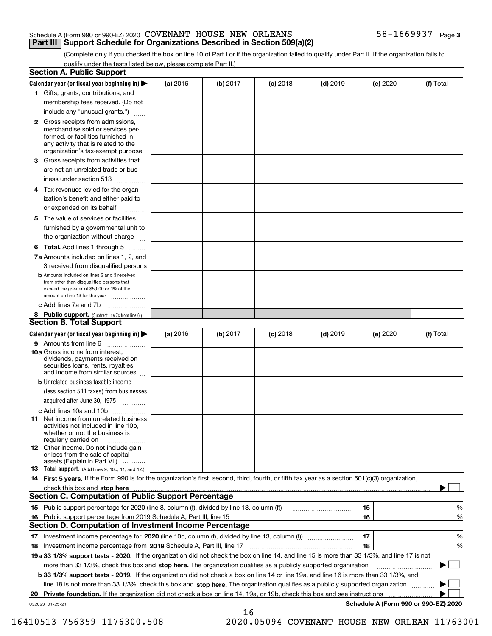#### Schedule A (Form 990 or 990-EZ) 2020 Page COVENANT HOUSE NEW ORLEANS 58-1669937 **Part III Support Schedule for Organizations Described in Section 509(a)(2)**

(Complete only if you checked the box on line 10 of Part I or if the organization failed to qualify under Part II. If the organization fails to qualify under the tests listed below, please complete Part II.)

|    | <b>Section A. Public Support</b>                                                                                                                                                                                              |          |          |            |            |          |                                      |
|----|-------------------------------------------------------------------------------------------------------------------------------------------------------------------------------------------------------------------------------|----------|----------|------------|------------|----------|--------------------------------------|
|    | Calendar year (or fiscal year beginning in) $\blacktriangleright$                                                                                                                                                             | (a) 2016 | (b) 2017 | $(c)$ 2018 | $(d)$ 2019 | (e) 2020 | (f) Total                            |
|    | 1 Gifts, grants, contributions, and                                                                                                                                                                                           |          |          |            |            |          |                                      |
|    | membership fees received. (Do not                                                                                                                                                                                             |          |          |            |            |          |                                      |
|    | include any "unusual grants.")                                                                                                                                                                                                |          |          |            |            |          |                                      |
|    | 2 Gross receipts from admissions,<br>merchandise sold or services per-<br>formed, or facilities furnished in<br>any activity that is related to the<br>organization's tax-exempt purpose                                      |          |          |            |            |          |                                      |
|    | 3 Gross receipts from activities that<br>are not an unrelated trade or bus-                                                                                                                                                   |          |          |            |            |          |                                      |
|    | iness under section 513                                                                                                                                                                                                       |          |          |            |            |          |                                      |
|    | 4 Tax revenues levied for the organ-                                                                                                                                                                                          |          |          |            |            |          |                                      |
|    | ization's benefit and either paid to<br>or expended on its behalf<br>.                                                                                                                                                        |          |          |            |            |          |                                      |
|    | 5 The value of services or facilities                                                                                                                                                                                         |          |          |            |            |          |                                      |
|    | furnished by a governmental unit to                                                                                                                                                                                           |          |          |            |            |          |                                      |
|    | the organization without charge                                                                                                                                                                                               |          |          |            |            |          |                                      |
|    | <b>6 Total.</b> Add lines 1 through 5                                                                                                                                                                                         |          |          |            |            |          |                                      |
|    | 7a Amounts included on lines 1, 2, and                                                                                                                                                                                        |          |          |            |            |          |                                      |
|    | 3 received from disqualified persons                                                                                                                                                                                          |          |          |            |            |          |                                      |
|    | <b>b</b> Amounts included on lines 2 and 3 received<br>from other than disqualified persons that<br>exceed the greater of \$5,000 or 1% of the<br>amount on line 13 for the year                                              |          |          |            |            |          |                                      |
|    | c Add lines 7a and 7b                                                                                                                                                                                                         |          |          |            |            |          |                                      |
|    | 8 Public support. (Subtract line 7c from line 6.)                                                                                                                                                                             |          |          |            |            |          |                                      |
|    | <b>Section B. Total Support</b>                                                                                                                                                                                               |          |          |            |            |          |                                      |
|    | Calendar year (or fiscal year beginning in) $\blacktriangleright$                                                                                                                                                             | (a) 2016 | (b) 2017 | $(c)$ 2018 | $(d)$ 2019 | (e) 2020 | (f) Total                            |
|    | 9 Amounts from line 6                                                                                                                                                                                                         |          |          |            |            |          |                                      |
|    | 10a Gross income from interest,<br>dividends, payments received on<br>securities loans, rents, royalties,<br>and income from similar sources                                                                                  |          |          |            |            |          |                                      |
|    | <b>b</b> Unrelated business taxable income<br>(less section 511 taxes) from businesses                                                                                                                                        |          |          |            |            |          |                                      |
|    | acquired after June 30, 1975                                                                                                                                                                                                  |          |          |            |            |          |                                      |
|    | c Add lines 10a and 10b<br>11 Net income from unrelated business<br>activities not included in line 10b,<br>whether or not the business is<br>regularly carried on                                                            |          |          |            |            |          |                                      |
|    | 12 Other income. Do not include gain<br>or loss from the sale of capital<br>assets (Explain in Part VI.)                                                                                                                      |          |          |            |            |          |                                      |
|    | <b>13</b> Total support. (Add lines 9, 10c, 11, and 12.)                                                                                                                                                                      |          |          |            |            |          |                                      |
|    | 14 First 5 years. If the Form 990 is for the organization's first, second, third, fourth, or fifth tax year as a section 501(c)(3) organization,                                                                              |          |          |            |            |          |                                      |
|    | check this box and stop here with the continuum control to the control of the state of the state of the control of the state of the control of the control of the control of the control of the control of the control of the |          |          |            |            |          |                                      |
|    | <b>Section C. Computation of Public Support Percentage</b>                                                                                                                                                                    |          |          |            |            |          |                                      |
|    | 15 Public support percentage for 2020 (line 8, column (f), divided by line 13, column (f))                                                                                                                                    |          |          |            |            | 15       | %                                    |
|    | 16 Public support percentage from 2019 Schedule A, Part III, line 15                                                                                                                                                          |          |          |            |            | 16       | %                                    |
|    | <b>Section D. Computation of Investment Income Percentage</b>                                                                                                                                                                 |          |          |            |            |          |                                      |
|    | 17 Investment income percentage for 2020 (line 10c, column (f), divided by line 13, column (f))                                                                                                                               |          |          |            |            | 17       | %                                    |
|    | <b>18</b> Investment income percentage from <b>2019</b> Schedule A, Part III, line 17                                                                                                                                         |          |          |            |            | 18       | %                                    |
|    | 19a 33 1/3% support tests - 2020. If the organization did not check the box on line 14, and line 15 is more than 33 1/3%, and line 17 is not                                                                                  |          |          |            |            |          |                                      |
|    | more than 33 1/3%, check this box and stop here. The organization qualifies as a publicly supported organization                                                                                                              |          |          |            |            |          | ▶                                    |
|    | b 33 1/3% support tests - 2019. If the organization did not check a box on line 14 or line 19a, and line 16 is more than 33 1/3%, and                                                                                         |          |          |            |            |          |                                      |
|    | line 18 is not more than 33 1/3%, check this box and stop here. The organization qualifies as a publicly supported organization                                                                                               |          |          |            |            |          |                                      |
| 20 | <b>Private foundation.</b> If the organization did not check a box on line 14, 19a, or 19b, check this box and see instructions                                                                                               |          |          |            |            |          |                                      |
|    | 032023 01-25-21                                                                                                                                                                                                               |          | 16       |            |            |          | Schedule A (Form 990 or 990-EZ) 2020 |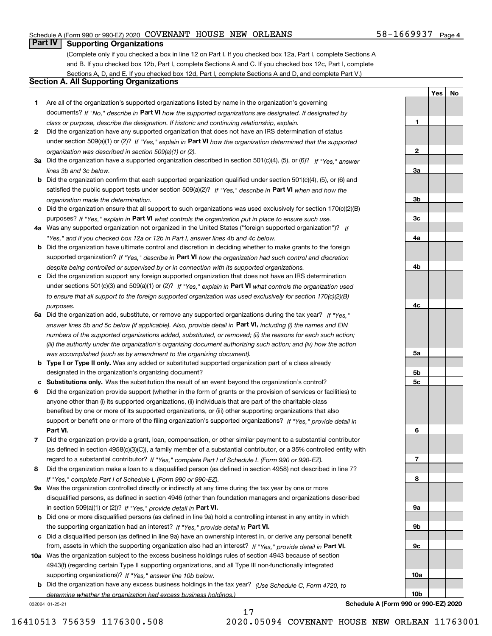#### Schedule A (Form 990 or 990-EZ) 2020 Page COVENANT HOUSE NEW ORLEANS 58-1669937

## **Part IV Supporting Organizations**

(Complete only if you checked a box in line 12 on Part I. If you checked box 12a, Part I, complete Sections A and B. If you checked box 12b, Part I, complete Sections A and C. If you checked box 12c, Part I, complete Sections A, D, and E. If you checked box 12d, Part I, complete Sections A and D, and complete Part V.)

### **Section A. All Supporting Organizations**

- **1** Are all of the organization's supported organizations listed by name in the organization's governing documents? If "No," describe in **Part VI** how the supported organizations are designated. If designated by *class or purpose, describe the designation. If historic and continuing relationship, explain.*
- **2** Did the organization have any supported organization that does not have an IRS determination of status under section 509(a)(1) or (2)? If "Yes," explain in Part VI how the organization determined that the supported *organization was described in section 509(a)(1) or (2).*
- **3a** Did the organization have a supported organization described in section 501(c)(4), (5), or (6)? If "Yes," answer *lines 3b and 3c below.*
- **b** Did the organization confirm that each supported organization qualified under section 501(c)(4), (5), or (6) and satisfied the public support tests under section 509(a)(2)? If "Yes," describe in **Part VI** when and how the *organization made the determination.*
- **c**Did the organization ensure that all support to such organizations was used exclusively for section 170(c)(2)(B) purposes? If "Yes," explain in **Part VI** what controls the organization put in place to ensure such use.
- **4a***If* Was any supported organization not organized in the United States ("foreign supported organization")? *"Yes," and if you checked box 12a or 12b in Part I, answer lines 4b and 4c below.*
- **b** Did the organization have ultimate control and discretion in deciding whether to make grants to the foreign supported organization? If "Yes," describe in **Part VI** how the organization had such control and discretion *despite being controlled or supervised by or in connection with its supported organizations.*
- **c** Did the organization support any foreign supported organization that does not have an IRS determination under sections 501(c)(3) and 509(a)(1) or (2)? If "Yes," explain in **Part VI** what controls the organization used *to ensure that all support to the foreign supported organization was used exclusively for section 170(c)(2)(B) purposes.*
- **5a** Did the organization add, substitute, or remove any supported organizations during the tax year? If "Yes," answer lines 5b and 5c below (if applicable). Also, provide detail in **Part VI,** including (i) the names and EIN *numbers of the supported organizations added, substituted, or removed; (ii) the reasons for each such action; (iii) the authority under the organization's organizing document authorizing such action; and (iv) how the action was accomplished (such as by amendment to the organizing document).*
- **b** Type I or Type II only. Was any added or substituted supported organization part of a class already designated in the organization's organizing document?
- **cSubstitutions only.**  Was the substitution the result of an event beyond the organization's control?
- **6** Did the organization provide support (whether in the form of grants or the provision of services or facilities) to **Part VI.** *If "Yes," provide detail in* support or benefit one or more of the filing organization's supported organizations? anyone other than (i) its supported organizations, (ii) individuals that are part of the charitable class benefited by one or more of its supported organizations, or (iii) other supporting organizations that also
- **7**Did the organization provide a grant, loan, compensation, or other similar payment to a substantial contributor *If "Yes," complete Part I of Schedule L (Form 990 or 990-EZ).* regard to a substantial contributor? (as defined in section 4958(c)(3)(C)), a family member of a substantial contributor, or a 35% controlled entity with
- **8** Did the organization make a loan to a disqualified person (as defined in section 4958) not described in line 7? *If "Yes," complete Part I of Schedule L (Form 990 or 990-EZ).*
- **9a** Was the organization controlled directly or indirectly at any time during the tax year by one or more in section 509(a)(1) or (2))? If "Yes," *provide detail in* <code>Part VI.</code> disqualified persons, as defined in section 4946 (other than foundation managers and organizations described
- **b** Did one or more disqualified persons (as defined in line 9a) hold a controlling interest in any entity in which the supporting organization had an interest? If "Yes," provide detail in P**art VI**.
- **c**Did a disqualified person (as defined in line 9a) have an ownership interest in, or derive any personal benefit from, assets in which the supporting organization also had an interest? If "Yes," provide detail in P**art VI.**
- **10a** Was the organization subject to the excess business holdings rules of section 4943 because of section supporting organizations)? If "Yes," answer line 10b below. 4943(f) (regarding certain Type II supporting organizations, and all Type III non-functionally integrated
- **b** Did the organization have any excess business holdings in the tax year? (Use Schedule C, Form 4720, to *determine whether the organization had excess business holdings.)*

17

032024 01-25-21

**10bSchedule A (Form 990 or 990-EZ) 2020**

**10a**

**1**

**2**

**3a**

**3b**

**3c**

**4a**

**4b**

**4c**

**5a**

**5b5c**

**6**

**7**

**8**

**9a**

**9b**

**9c**

**YesNo**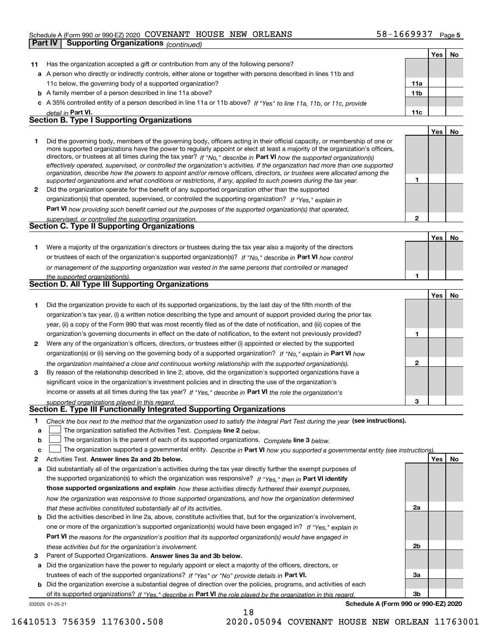#### Schedule A (Form 990 or 990-EZ) 2020 Page COVENANT HOUSE NEW ORLEANS 58-1669937

|    | <b>Supporting Organizations (continued)</b><br>Part IV                                                                                                                                                                                                                                                                                                                                                                                                                                                                   |                 |     |    |
|----|--------------------------------------------------------------------------------------------------------------------------------------------------------------------------------------------------------------------------------------------------------------------------------------------------------------------------------------------------------------------------------------------------------------------------------------------------------------------------------------------------------------------------|-----------------|-----|----|
|    |                                                                                                                                                                                                                                                                                                                                                                                                                                                                                                                          |                 | Yes | No |
| 11 | Has the organization accepted a gift or contribution from any of the following persons?                                                                                                                                                                                                                                                                                                                                                                                                                                  |                 |     |    |
|    | a A person who directly or indirectly controls, either alone or together with persons described in lines 11b and                                                                                                                                                                                                                                                                                                                                                                                                         |                 |     |    |
|    | 11c below, the governing body of a supported organization?                                                                                                                                                                                                                                                                                                                                                                                                                                                               | 11a             |     |    |
|    | <b>b</b> A family member of a person described in line 11a above?                                                                                                                                                                                                                                                                                                                                                                                                                                                        | 11 <sub>b</sub> |     |    |
|    | c A 35% controlled entity of a person described in line 11a or 11b above? If "Yes" to line 11a, 11b, or 11c, provide                                                                                                                                                                                                                                                                                                                                                                                                     |                 |     |    |
|    | detail in Part VI.                                                                                                                                                                                                                                                                                                                                                                                                                                                                                                       | 11c             |     |    |
|    | <b>Section B. Type I Supporting Organizations</b>                                                                                                                                                                                                                                                                                                                                                                                                                                                                        |                 |     |    |
|    |                                                                                                                                                                                                                                                                                                                                                                                                                                                                                                                          |                 | Yes | No |
| 1  | Did the governing body, members of the governing body, officers acting in their official capacity, or membership of one or<br>more supported organizations have the power to regularly appoint or elect at least a majority of the organization's officers,<br>directors, or trustees at all times during the tax year? If "No," describe in Part VI how the supported organization(s)<br>effectively operated, supervised, or controlled the organization's activities. If the organization had more than one supported |                 |     |    |
|    | organization, describe how the powers to appoint and/or remove officers, directors, or trustees were allocated among the<br>supported organizations and what conditions or restrictions, if any, applied to such powers during the tax year.                                                                                                                                                                                                                                                                             | 1               |     |    |
| 2  | Did the organization operate for the benefit of any supported organization other than the supported                                                                                                                                                                                                                                                                                                                                                                                                                      |                 |     |    |
|    | organization(s) that operated, supervised, or controlled the supporting organization? If "Yes," explain in                                                                                                                                                                                                                                                                                                                                                                                                               |                 |     |    |
|    | Part VI how providing such benefit carried out the purposes of the supported organization(s) that operated,                                                                                                                                                                                                                                                                                                                                                                                                              |                 |     |    |
|    | supervised, or controlled the supporting organization.<br>Section C. Type II Supporting Organizations                                                                                                                                                                                                                                                                                                                                                                                                                    | $\overline{2}$  |     |    |
|    |                                                                                                                                                                                                                                                                                                                                                                                                                                                                                                                          |                 |     |    |
|    |                                                                                                                                                                                                                                                                                                                                                                                                                                                                                                                          |                 | Yes | No |
| 1. | Were a majority of the organization's directors or trustees during the tax year also a majority of the directors                                                                                                                                                                                                                                                                                                                                                                                                         |                 |     |    |
|    | or trustees of each of the organization's supported organization(s)? If "No," describe in Part VI how control                                                                                                                                                                                                                                                                                                                                                                                                            |                 |     |    |
|    | or management of the supporting organization was vested in the same persons that controlled or managed                                                                                                                                                                                                                                                                                                                                                                                                                   | 1               |     |    |
|    | the supported organization(s).<br><b>Section D. All Type III Supporting Organizations</b>                                                                                                                                                                                                                                                                                                                                                                                                                                |                 |     |    |
|    |                                                                                                                                                                                                                                                                                                                                                                                                                                                                                                                          |                 |     |    |
|    |                                                                                                                                                                                                                                                                                                                                                                                                                                                                                                                          |                 |     |    |
|    |                                                                                                                                                                                                                                                                                                                                                                                                                                                                                                                          |                 | Yes | No |
| 1  | Did the organization provide to each of its supported organizations, by the last day of the fifth month of the                                                                                                                                                                                                                                                                                                                                                                                                           |                 |     |    |
|    | organization's tax year, (i) a written notice describing the type and amount of support provided during the prior tax                                                                                                                                                                                                                                                                                                                                                                                                    |                 |     |    |
|    | year, (ii) a copy of the Form 990 that was most recently filed as of the date of notification, and (iii) copies of the                                                                                                                                                                                                                                                                                                                                                                                                   |                 |     |    |
|    | organization's governing documents in effect on the date of notification, to the extent not previously provided?                                                                                                                                                                                                                                                                                                                                                                                                         | 1               |     |    |
| 2  | Were any of the organization's officers, directors, or trustees either (i) appointed or elected by the supported                                                                                                                                                                                                                                                                                                                                                                                                         |                 |     |    |
|    | organization(s) or (ii) serving on the governing body of a supported organization? If "No," explain in Part VI how                                                                                                                                                                                                                                                                                                                                                                                                       |                 |     |    |
|    | the organization maintained a close and continuous working relationship with the supported organization(s).                                                                                                                                                                                                                                                                                                                                                                                                              | $\mathbf{2}$    |     |    |
| 3  | By reason of the relationship described in line 2, above, did the organization's supported organizations have a                                                                                                                                                                                                                                                                                                                                                                                                          |                 |     |    |
|    | significant voice in the organization's investment policies and in directing the use of the organization's                                                                                                                                                                                                                                                                                                                                                                                                               |                 |     |    |
|    | income or assets at all times during the tax year? If "Yes," describe in Part VI the role the organization's                                                                                                                                                                                                                                                                                                                                                                                                             |                 |     |    |
|    | supported organizations played in this regard.<br>Section E. Type III Functionally Integrated Supporting Organizations                                                                                                                                                                                                                                                                                                                                                                                                   | 3               |     |    |
| 1  |                                                                                                                                                                                                                                                                                                                                                                                                                                                                                                                          |                 |     |    |
| a  | Check the box next to the method that the organization used to satisfy the Integral Part Test during the year (see instructions).                                                                                                                                                                                                                                                                                                                                                                                        |                 |     |    |
| b  | The organization satisfied the Activities Test. Complete line 2 below.                                                                                                                                                                                                                                                                                                                                                                                                                                                   |                 |     |    |
| c  | The organization is the parent of each of its supported organizations. Complete line 3 below.                                                                                                                                                                                                                                                                                                                                                                                                                            |                 |     |    |
| 2  | The organization supported a governmental entity. Describe in Part VI how you supported a governmental entity (see instructions)<br>Activities Test. Answer lines 2a and 2b below.                                                                                                                                                                                                                                                                                                                                       |                 | Yes | No |
| а  | Did substantially all of the organization's activities during the tax year directly further the exempt purposes of                                                                                                                                                                                                                                                                                                                                                                                                       |                 |     |    |
|    |                                                                                                                                                                                                                                                                                                                                                                                                                                                                                                                          |                 |     |    |
|    | the supported organization(s) to which the organization was responsive? If "Yes," then in Part VI identify                                                                                                                                                                                                                                                                                                                                                                                                               |                 |     |    |
|    | those supported organizations and explain how these activities directly furthered their exempt purposes,                                                                                                                                                                                                                                                                                                                                                                                                                 |                 |     |    |
|    | how the organization was responsive to those supported organizations, and how the organization determined<br>that these activities constituted substantially all of its activities.                                                                                                                                                                                                                                                                                                                                      | 2a              |     |    |

**3** Parent of Supported Organizations. Answer lines 3a and 3b below. *these activities but for the organization's involvement.*

**a** Did the organization have the power to regularly appoint or elect a majority of the officers, directors, or trustees of each of the supported organizations? If "Yes" or "No" provide details in **Part VI.** 

**Part VI**  *the reasons for the organization's position that its supported organization(s) would have engaged in*

one or more of the organization's supported organization(s) would have been engaged in? If "Yes," e*xplain in* 

**b** Did the organization exercise a substantial degree of direction over the policies, programs, and activities of each of its supported organizations? If "Yes," describe in Part VI the role played by the organization in this regard.

18

032025 01-25-21

**Schedule A (Form 990 or 990-EZ) 2020**

**2b**

**3a**

**3b**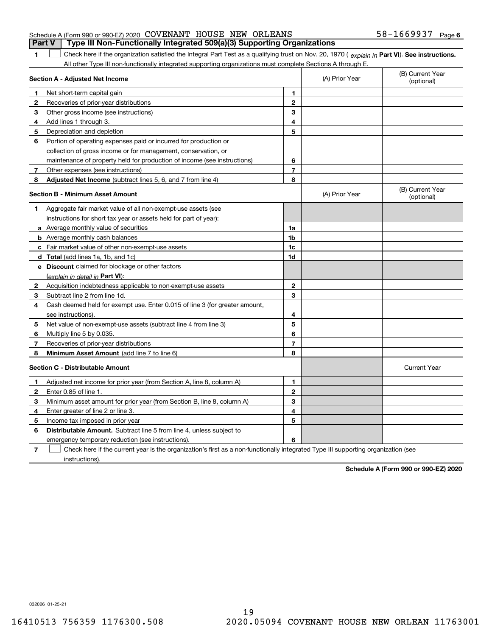|                                                                 |  | <b>Part V</b> Type III Non-Functionally Integrated 509(a)(3) Supporting Organizations |                       |  |
|-----------------------------------------------------------------|--|---------------------------------------------------------------------------------------|-----------------------|--|
| Schedule A (Form 990 or 990-EZ) 2020 COVENANT HOUSE NEW ORLEANS |  |                                                                                       | $58 - 1669937$ Page 6 |  |

1 Check here if the organization satisfied the Integral Part Test as a qualifying trust on Nov. 20, 1970 (explain in Part VI). See instructions. All other Type III non-functionally integrated supporting organizations must complete Sections A through E.

|              | Section A - Adjusted Net Income                                                                                                   |                | (A) Prior Year | (B) Current Year<br>(optional) |
|--------------|-----------------------------------------------------------------------------------------------------------------------------------|----------------|----------------|--------------------------------|
| 1.           | Net short-term capital gain                                                                                                       | 1              |                |                                |
| $\mathbf{2}$ | Recoveries of prior-year distributions                                                                                            | $\mathbf{2}$   |                |                                |
| 3            | Other gross income (see instructions)                                                                                             | 3              |                |                                |
| 4            | Add lines 1 through 3.                                                                                                            | 4              |                |                                |
| 5            | Depreciation and depletion                                                                                                        | 5              |                |                                |
| 6            | Portion of operating expenses paid or incurred for production or                                                                  |                |                |                                |
|              | collection of gross income or for management, conservation, or                                                                    |                |                |                                |
|              | maintenance of property held for production of income (see instructions)                                                          | 6              |                |                                |
| 7            | Other expenses (see instructions)                                                                                                 | $\overline{7}$ |                |                                |
| 8            | Adjusted Net Income (subtract lines 5, 6, and 7 from line 4)                                                                      | 8              |                |                                |
|              | <b>Section B - Minimum Asset Amount</b>                                                                                           |                | (A) Prior Year | (B) Current Year<br>(optional) |
| 1            | Aggregate fair market value of all non-exempt-use assets (see                                                                     |                |                |                                |
|              | instructions for short tax year or assets held for part of year):                                                                 |                |                |                                |
|              | a Average monthly value of securities                                                                                             | 1a             |                |                                |
|              | <b>b</b> Average monthly cash balances                                                                                            | 1b             |                |                                |
|              | c Fair market value of other non-exempt-use assets                                                                                | 1c             |                |                                |
|              | d Total (add lines 1a, 1b, and 1c)                                                                                                | 1d             |                |                                |
|              | e Discount claimed for blockage or other factors                                                                                  |                |                |                                |
|              | (explain in detail in Part VI):                                                                                                   |                |                |                                |
| $\mathbf{2}$ | Acquisition indebtedness applicable to non-exempt-use assets                                                                      | $\mathbf{2}$   |                |                                |
| 3            | Subtract line 2 from line 1d.                                                                                                     | 3              |                |                                |
| 4            | Cash deemed held for exempt use. Enter 0.015 of line 3 (for greater amount,                                                       |                |                |                                |
|              | see instructions)                                                                                                                 | 4              |                |                                |
| 5            | Net value of non-exempt-use assets (subtract line 4 from line 3)                                                                  | 5              |                |                                |
| 6            | Multiply line 5 by 0.035.                                                                                                         | 6              |                |                                |
| 7            | Recoveries of prior-year distributions                                                                                            | $\overline{7}$ |                |                                |
| 8            | Minimum Asset Amount (add line 7 to line 6)                                                                                       | 8              |                |                                |
|              | <b>Section C - Distributable Amount</b>                                                                                           |                |                | <b>Current Year</b>            |
| 1            | Adjusted net income for prior year (from Section A, line 8, column A)                                                             | 1              |                |                                |
| 2            | Enter 0.85 of line 1.                                                                                                             | $\mathbf{2}$   |                |                                |
| 3            | Minimum asset amount for prior year (from Section B, line 8, column A)                                                            | 3              |                |                                |
| 4            | Enter greater of line 2 or line 3.                                                                                                | 4              |                |                                |
| 5            | Income tax imposed in prior year                                                                                                  | 5              |                |                                |
| 6            | <b>Distributable Amount.</b> Subtract line 5 from line 4, unless subject to                                                       |                |                |                                |
|              | emergency temporary reduction (see instructions).                                                                                 | 6              |                |                                |
| 7            | Check here if the current year is the organization's first as a non-functionally integrated Type III supporting organization (see |                |                |                                |

instructions).

**1**

**Schedule A (Form 990 or 990-EZ) 2020**

032026 01-25-21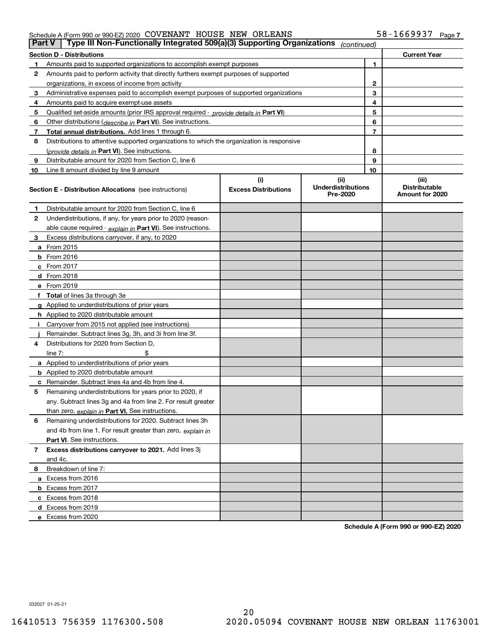#### Schedule A (Form 990 or 990-EZ) 2020 Page COVENANT HOUSE NEW ORLEANS 58-1669937

| <b>Part V</b> | Type III Non-Functionally Integrated 509(a)(3) Supporting Organizations                                                                                        |                             | (continued)                           |                |                                         |  |  |  |
|---------------|----------------------------------------------------------------------------------------------------------------------------------------------------------------|-----------------------------|---------------------------------------|----------------|-----------------------------------------|--|--|--|
|               | <b>Section D - Distributions</b><br><b>Current Year</b>                                                                                                        |                             |                                       |                |                                         |  |  |  |
| 1             | Amounts paid to supported organizations to accomplish exempt purposes                                                                                          |                             | 1                                     |                |                                         |  |  |  |
| 2             | Amounts paid to perform activity that directly furthers exempt purposes of supported                                                                           |                             |                                       |                |                                         |  |  |  |
|               | organizations, in excess of income from activity                                                                                                               |                             |                                       | 2              |                                         |  |  |  |
| 3             | Administrative expenses paid to accomplish exempt purposes of supported organizations                                                                          |                             |                                       | 3              |                                         |  |  |  |
| 4             | Amounts paid to acquire exempt-use assets                                                                                                                      |                             |                                       | 4              |                                         |  |  |  |
| 5             | Qualified set-aside amounts (prior IRS approval required - provide details in Part VI)                                                                         |                             |                                       | 5              |                                         |  |  |  |
| 6             | Other distributions ( <i>describe in</i> Part VI). See instructions.                                                                                           |                             |                                       | 6              |                                         |  |  |  |
| 7             | Total annual distributions. Add lines 1 through 6.                                                                                                             |                             |                                       | $\overline{7}$ |                                         |  |  |  |
| 8             | Distributions to attentive supported organizations to which the organization is responsive                                                                     |                             |                                       |                |                                         |  |  |  |
|               | (provide details in Part VI). See instructions.                                                                                                                |                             |                                       | 8              |                                         |  |  |  |
| 9             | Distributable amount for 2020 from Section C, line 6                                                                                                           |                             |                                       | 9              |                                         |  |  |  |
| 10            | Line 8 amount divided by line 9 amount                                                                                                                         |                             |                                       | 10             |                                         |  |  |  |
|               |                                                                                                                                                                | (i)                         | (ii)                                  |                | (iii)                                   |  |  |  |
|               | <b>Section E - Distribution Allocations</b> (see instructions)                                                                                                 | <b>Excess Distributions</b> | <b>Underdistributions</b><br>Pre-2020 |                | <b>Distributable</b><br>Amount for 2020 |  |  |  |
| 1             | Distributable amount for 2020 from Section C, line 6                                                                                                           |                             |                                       |                |                                         |  |  |  |
| 2             | Underdistributions, if any, for years prior to 2020 (reason-                                                                                                   |                             |                                       |                |                                         |  |  |  |
|               | able cause required - explain in Part VI). See instructions.                                                                                                   |                             |                                       |                |                                         |  |  |  |
| 3             | Excess distributions carryover, if any, to 2020                                                                                                                |                             |                                       |                |                                         |  |  |  |
|               | <b>a</b> From 2015                                                                                                                                             |                             |                                       |                |                                         |  |  |  |
|               | <b>b</b> From 2016                                                                                                                                             |                             |                                       |                |                                         |  |  |  |
|               | c From 2017                                                                                                                                                    |                             |                                       |                |                                         |  |  |  |
|               | <b>d</b> From 2018                                                                                                                                             |                             |                                       |                |                                         |  |  |  |
|               | e From 2019                                                                                                                                                    |                             |                                       |                |                                         |  |  |  |
|               | f Total of lines 3a through 3e                                                                                                                                 |                             |                                       |                |                                         |  |  |  |
|               | g Applied to underdistributions of prior years                                                                                                                 |                             |                                       |                |                                         |  |  |  |
|               | <b>h</b> Applied to 2020 distributable amount                                                                                                                  |                             |                                       |                |                                         |  |  |  |
|               | Carryover from 2015 not applied (see instructions)                                                                                                             |                             |                                       |                |                                         |  |  |  |
|               | Remainder. Subtract lines 3g, 3h, and 3i from line 3f.                                                                                                         |                             |                                       |                |                                         |  |  |  |
| 4             | Distributions for 2020 from Section D,                                                                                                                         |                             |                                       |                |                                         |  |  |  |
|               | line $7:$                                                                                                                                                      |                             |                                       |                |                                         |  |  |  |
|               | a Applied to underdistributions of prior years                                                                                                                 |                             |                                       |                |                                         |  |  |  |
|               | <b>b</b> Applied to 2020 distributable amount                                                                                                                  |                             |                                       |                |                                         |  |  |  |
|               | c Remainder. Subtract lines 4a and 4b from line 4.                                                                                                             |                             |                                       |                |                                         |  |  |  |
| 5             | Remaining underdistributions for years prior to 2020, if                                                                                                       |                             |                                       |                |                                         |  |  |  |
|               | any. Subtract lines 3g and 4a from line 2. For result greater                                                                                                  |                             |                                       |                |                                         |  |  |  |
|               | than zero, explain in Part VI. See instructions.                                                                                                               |                             |                                       |                |                                         |  |  |  |
| 6             | Remaining underdistributions for 2020. Subtract lines 3h                                                                                                       |                             |                                       |                |                                         |  |  |  |
|               | and 4b from line 1. For result greater than zero, explain in                                                                                                   |                             |                                       |                |                                         |  |  |  |
|               | Part VI. See instructions.                                                                                                                                     |                             |                                       |                |                                         |  |  |  |
|               |                                                                                                                                                                |                             |                                       |                |                                         |  |  |  |
|               |                                                                                                                                                                |                             |                                       |                |                                         |  |  |  |
| 8             | Breakdown of line 7:                                                                                                                                           |                             |                                       |                |                                         |  |  |  |
|               |                                                                                                                                                                |                             |                                       |                |                                         |  |  |  |
|               |                                                                                                                                                                |                             |                                       |                |                                         |  |  |  |
|               |                                                                                                                                                                |                             |                                       |                |                                         |  |  |  |
|               |                                                                                                                                                                |                             |                                       |                |                                         |  |  |  |
|               | e Excess from 2020                                                                                                                                             |                             |                                       |                |                                         |  |  |  |
| 7             | Excess distributions carryover to 2021. Add lines 3j<br>and 4c.<br>a Excess from 2016<br><b>b</b> Excess from 2017<br>c Excess from 2018<br>d Excess from 2019 |                             |                                       |                |                                         |  |  |  |

**Schedule A (Form 990 or 990-EZ) 2020**

032027 01-25-21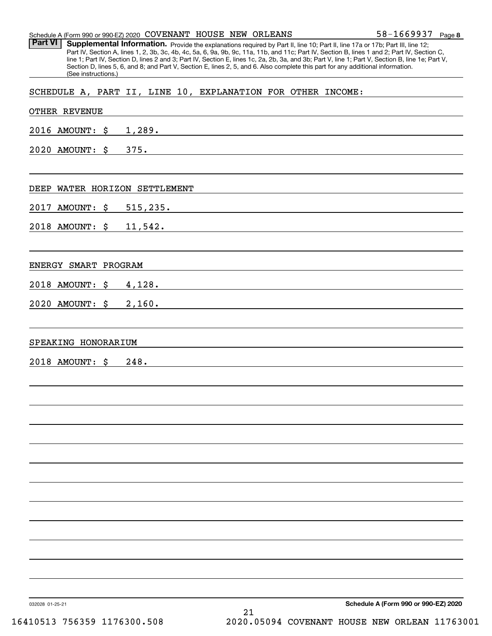|                                                             | (See instructions.) |      |  |                                                    |  | Part IV, Section A, lines 1, 2, 3b, 3c, 4b, 4c, 5a, 6, 9a, 9b, 9c, 11a, 11b, and 11c; Part IV, Section B, lines 1 and 2; Part IV, Section C,<br>line 1; Part IV, Section D, lines 2 and 3; Part IV, Section E, lines 1c, 2a, 2b, 3a, and 3b; Part V, line 1; Part V, Section B, line 1e; Part V,<br>Section D, lines 5, 6, and 8; and Part V, Section E, lines 2, 5, and 6. Also complete this part for any additional information. |  |
|-------------------------------------------------------------|---------------------|------|--|----------------------------------------------------|--|-------------------------------------------------------------------------------------------------------------------------------------------------------------------------------------------------------------------------------------------------------------------------------------------------------------------------------------------------------------------------------------------------------------------------------------|--|
| SCHEDULE A, PART II, LINE 10, EXPLANATION FOR OTHER INCOME: |                     |      |  |                                                    |  |                                                                                                                                                                                                                                                                                                                                                                                                                                     |  |
| <b>OTHER REVENUE</b>                                        |                     |      |  |                                                    |  |                                                                                                                                                                                                                                                                                                                                                                                                                                     |  |
| 2016 AMOUNT: \$                                             |                     |      |  |                                                    |  |                                                                                                                                                                                                                                                                                                                                                                                                                                     |  |
| $2020$ AMOUNT: $\sharp$                                     |                     |      |  |                                                    |  |                                                                                                                                                                                                                                                                                                                                                                                                                                     |  |
|                                                             |                     |      |  |                                                    |  |                                                                                                                                                                                                                                                                                                                                                                                                                                     |  |
| DEEP WATER HORIZON SETTLEMENT                               |                     |      |  |                                                    |  |                                                                                                                                                                                                                                                                                                                                                                                                                                     |  |
| 2017 AMOUNT: \$                                             |                     |      |  |                                                    |  | 515,235.                                                                                                                                                                                                                                                                                                                                                                                                                            |  |
| 2018 AMOUNT: \$                                             |                     |      |  |                                                    |  | 11, 542.                                                                                                                                                                                                                                                                                                                                                                                                                            |  |
|                                                             |                     |      |  |                                                    |  |                                                                                                                                                                                                                                                                                                                                                                                                                                     |  |
| ENERGY SMART PROGRAM                                        |                     |      |  |                                                    |  |                                                                                                                                                                                                                                                                                                                                                                                                                                     |  |
| 2018 AMOUNT: \$                                             |                     |      |  | 4,128.                                             |  |                                                                                                                                                                                                                                                                                                                                                                                                                                     |  |
| 2020 AMOUNT: \$ 2,160.                                      |                     |      |  |                                                    |  |                                                                                                                                                                                                                                                                                                                                                                                                                                     |  |
|                                                             |                     |      |  |                                                    |  |                                                                                                                                                                                                                                                                                                                                                                                                                                     |  |
| SPEAKING HONORARIUM                                         |                     |      |  |                                                    |  |                                                                                                                                                                                                                                                                                                                                                                                                                                     |  |
| 2018 AMOUNT: \$                                             |                     | 248. |  | <u> 1980 - John Stein, Amerikaansk politiker (</u> |  |                                                                                                                                                                                                                                                                                                                                                                                                                                     |  |
|                                                             |                     |      |  |                                                    |  |                                                                                                                                                                                                                                                                                                                                                                                                                                     |  |
|                                                             |                     |      |  |                                                    |  |                                                                                                                                                                                                                                                                                                                                                                                                                                     |  |
|                                                             |                     |      |  |                                                    |  |                                                                                                                                                                                                                                                                                                                                                                                                                                     |  |
|                                                             |                     |      |  |                                                    |  |                                                                                                                                                                                                                                                                                                                                                                                                                                     |  |
|                                                             |                     |      |  |                                                    |  |                                                                                                                                                                                                                                                                                                                                                                                                                                     |  |
|                                                             |                     |      |  |                                                    |  |                                                                                                                                                                                                                                                                                                                                                                                                                                     |  |
|                                                             |                     |      |  |                                                    |  |                                                                                                                                                                                                                                                                                                                                                                                                                                     |  |
|                                                             |                     |      |  |                                                    |  |                                                                                                                                                                                                                                                                                                                                                                                                                                     |  |
|                                                             |                     |      |  |                                                    |  |                                                                                                                                                                                                                                                                                                                                                                                                                                     |  |
|                                                             |                     |      |  |                                                    |  |                                                                                                                                                                                                                                                                                                                                                                                                                                     |  |
|                                                             |                     |      |  |                                                    |  |                                                                                                                                                                                                                                                                                                                                                                                                                                     |  |
|                                                             |                     |      |  |                                                    |  |                                                                                                                                                                                                                                                                                                                                                                                                                                     |  |
| 032028 01-25-21                                             |                     |      |  |                                                    |  | Schedule A (Form 990 or 990-EZ) 2020                                                                                                                                                                                                                                                                                                                                                                                                |  |

Schedule A (Form 990 or 990-EZ) 2020 Page COVENANT HOUSE NEW ORLEANS Part VI | Supplemental Information. Provide the explanations required by Part II, line 10; Part II, line 17a or 17b; Part III, line 12;

**8** 58-1669937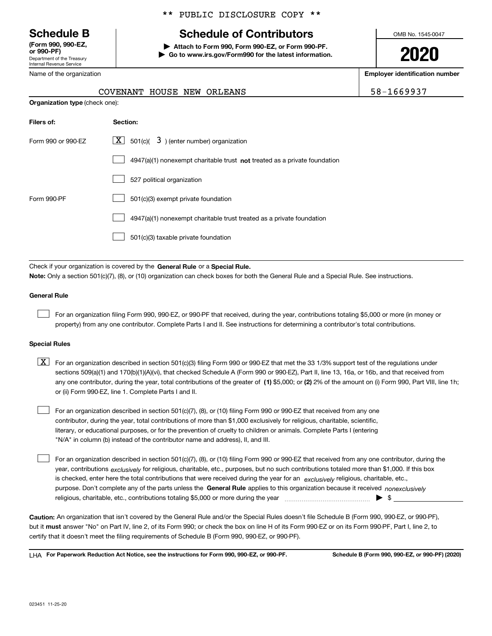Department of the Treasury Internal Revenue Service **(Form 990, 990-EZ, or 990-PF)**

Name of the organization

### \*\* PUBLIC DISCLOSURE COPY \*\*

# **Schedule B Schedule of Contributors**

**| Attach to Form 990, Form 990-EZ, or Form 990-PF. | Go to www.irs.gov/Form990 for the latest information.** OMB No. 1545-0047

**2020**

**Employer identification number**

| $8 - 1669937$ |  |
|---------------|--|
|---------------|--|

|                                                    | COVENANT HOUSE NEW ORLEANS                                                  | 5 |  |
|----------------------------------------------------|-----------------------------------------------------------------------------|---|--|
| <b>Organization type (check one):</b>              |                                                                             |   |  |
| Filers of:                                         | Section:                                                                    |   |  |
| Form 990 or 990-EZ                                 | $3$ ) (enter number) organization<br>$X$ 501(c)(                            |   |  |
|                                                    | $4947(a)(1)$ nonexempt charitable trust not treated as a private foundation |   |  |
|                                                    | 527 political organization                                                  |   |  |
| 501(c)(3) exempt private foundation<br>Form 990-PF |                                                                             |   |  |
|                                                    | 4947(a)(1) nonexempt charitable trust treated as a private foundation       |   |  |
|                                                    | 501(c)(3) taxable private foundation                                        |   |  |

Check if your organization is covered by the **General Rule** or a **Special Rule. Note:**  Only a section 501(c)(7), (8), or (10) organization can check boxes for both the General Rule and a Special Rule. See instructions.

#### **General Rule**

 $\mathcal{L}^{\text{max}}$ 

For an organization filing Form 990, 990-EZ, or 990-PF that received, during the year, contributions totaling \$5,000 or more (in money or property) from any one contributor. Complete Parts I and II. See instructions for determining a contributor's total contributions.

#### **Special Rules**

any one contributor, during the year, total contributions of the greater of  $\,$  (1) \$5,000; or **(2)** 2% of the amount on (i) Form 990, Part VIII, line 1h;  $\boxed{\textbf{X}}$  For an organization described in section 501(c)(3) filing Form 990 or 990-EZ that met the 33 1/3% support test of the regulations under sections 509(a)(1) and 170(b)(1)(A)(vi), that checked Schedule A (Form 990 or 990-EZ), Part II, line 13, 16a, or 16b, and that received from or (ii) Form 990-EZ, line 1. Complete Parts I and II.

For an organization described in section 501(c)(7), (8), or (10) filing Form 990 or 990-EZ that received from any one contributor, during the year, total contributions of more than \$1,000 exclusively for religious, charitable, scientific, literary, or educational purposes, or for the prevention of cruelty to children or animals. Complete Parts I (entering "N/A" in column (b) instead of the contributor name and address), II, and III.  $\mathcal{L}^{\text{max}}$ 

purpose. Don't complete any of the parts unless the **General Rule** applies to this organization because it received *nonexclusively* year, contributions <sub>exclusively</sub> for religious, charitable, etc., purposes, but no such contributions totaled more than \$1,000. If this box is checked, enter here the total contributions that were received during the year for an  $\;$ exclusively religious, charitable, etc., For an organization described in section 501(c)(7), (8), or (10) filing Form 990 or 990-EZ that received from any one contributor, during the religious, charitable, etc., contributions totaling \$5,000 or more during the year  $\Box$ — $\Box$  =  $\Box$  $\mathcal{L}^{\text{max}}$ 

**Caution:**  An organization that isn't covered by the General Rule and/or the Special Rules doesn't file Schedule B (Form 990, 990-EZ, or 990-PF),  **must** but it answer "No" on Part IV, line 2, of its Form 990; or check the box on line H of its Form 990-EZ or on its Form 990-PF, Part I, line 2, to certify that it doesn't meet the filing requirements of Schedule B (Form 990, 990-EZ, or 990-PF).

**For Paperwork Reduction Act Notice, see the instructions for Form 990, 990-EZ, or 990-PF. Schedule B (Form 990, 990-EZ, or 990-PF) (2020)** LHA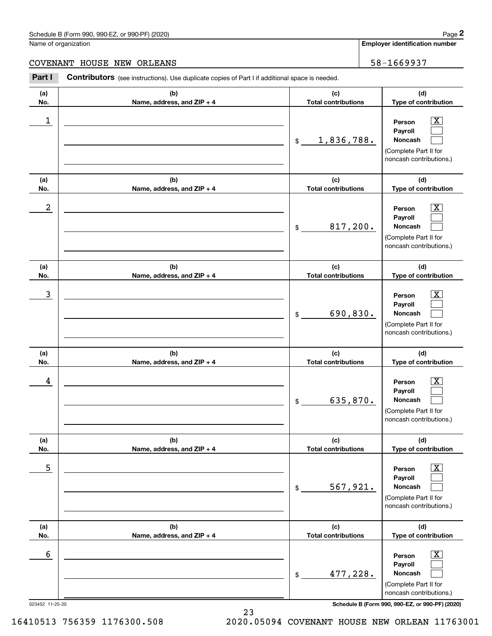#### Schedule B (Form 990, 990-EZ, or 990-PF) (2020) **Page 2** Page 2 and the state of the state of the state of the state of the state of the state of the state of the state of the state of the state of the state of the state o

Name of organization

**Employer identification number**

#### COVENANT HOUSE NEW ORLEANS FOR THE SERVICE SERVICE SERVICE SERVICE SERVICE SERVICE SERVICE SERVICE SERVICE SERVICE

**(a)No.(b)Name, address, and ZIP + 4 (c)Total contributions (d)Type of contribution PersonPayrollNoncash (a)No.(b)Name, address, and ZIP + 4 (c)Total contributions (d)Type of contribution PersonPayrollNoncash (a)No.(b)Name, address, and ZIP + 4 (c)Total contributions (d)Type of contribution PersonPayrollNoncash (a) No.(b) Name, address, and ZIP + 4 (c) Total contributions (d) Type of contribution PersonPayrollNoncash (a) No.(b) Name, address, and ZIP + 4 (c) Total contributions (d) Type of contribution PersonPayrollNoncash(a) No.(b)Name, address, and ZIP + 4 (c) Total contributions (d)Type of contribution PersonPayrollNoncash Contributors** (see instructions). Use duplicate copies of Part I if additional space is needed. \$(Complete Part II for noncash contributions.) \$(Complete Part II for noncash contributions.) \$(Complete Part II for noncash contributions.) \$(Complete Part II for noncash contributions.) \$(Complete Part II for noncash contributions.) \$(Complete Part II for noncash contributions.) Chedule B (Form 990, 990-EZ, or 990-PF) (2020)<br> **2Part I 2Part I Contributors** (see instructions). Use duplicate copies of Part I if additional space is needed.<br>
2Part I **Contributors** (see instructions). Use duplicate  $|X|$  $\mathcal{L}^{\text{max}}$  $\mathcal{L}^{\text{max}}$  $\boxed{\text{X}}$  $\mathcal{L}^{\text{max}}$  $\mathcal{L}^{\text{max}}$  $|X|$  $\mathcal{L}^{\text{max}}$  $\mathcal{L}^{\text{max}}$  $\boxed{\text{X}}$  $\mathcal{L}^{\text{max}}$  $\mathcal{L}^{\text{max}}$  $\boxed{\text{X}}$  $\mathcal{L}^{\text{max}}$  $\mathcal{L}^{\text{max}}$  $\lfloor x \rfloor$  $\mathcal{L}^{\text{max}}$  $\mathcal{L}^{\text{max}}$  $\begin{array}{c|c|c|c|c|c} 1 & \hspace{1.5cm} & \hspace{1.5cm} & \hspace{1.5cm} & \hspace{1.5cm} & \hspace{1.5cm} & \hspace{1.5cm} & \hspace{1.5cm} & \hspace{1.5cm} & \hspace{1.5cm} & \hspace{1.5cm} & \hspace{1.5cm} & \hspace{1.5cm} & \hspace{1.5cm} & \hspace{1.5cm} & \hspace{1.5cm} & \hspace{1.5cm} & \hspace{1.5cm} & \hspace{1.5cm} & \hspace{1.5cm} & \hspace{1.5cm} &$ 1,836,788.  $2$  | Person  $\overline{\text{X}}$ 817,200.  $\overline{3}$  | Person  $\overline{X}$ 690,830.  $4$  | Person  $\overline{\text{X}}$ 635,870.  $\sim$  5 | Person X 567,921.  $\sim$  6 | Person X 477,228.

23

023452 11-25-20 **Schedule B (Form 990, 990-EZ, or 990-PF) (2020)**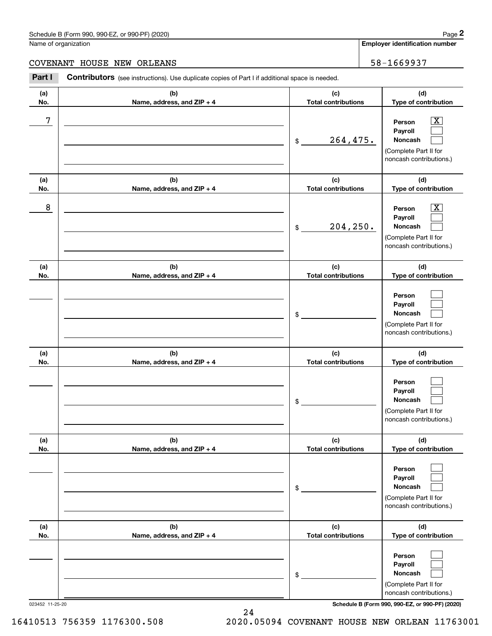### Schedule B (Form 990, 990-EZ, or 990-PF) (2020) Page 2

### COVENANT HOUSE NEW ORLEANS 58-1669937

|                 | Schedule B (Form 990, 990-EZ, or 990-PF) (2020)                                                |                                   | Page 2                                                                                                    |
|-----------------|------------------------------------------------------------------------------------------------|-----------------------------------|-----------------------------------------------------------------------------------------------------------|
|                 | Name of organization                                                                           |                                   | <b>Employer identification number</b>                                                                     |
| <b>COVENANT</b> | HOUSE NEW ORLEANS                                                                              |                                   | 58-1669937                                                                                                |
| Part I          | Contributors (see instructions). Use duplicate copies of Part I if additional space is needed. |                                   |                                                                                                           |
| (a)<br>No.      | (b)<br>Name, address, and ZIP + 4                                                              | (c)<br><b>Total contributions</b> | (d)<br>Type of contribution                                                                               |
| 7               |                                                                                                | 264,475.<br>\$                    | $\overline{\text{X}}$<br>Person<br>Payroll<br>Noncash<br>(Complete Part II for<br>noncash contributions.) |
| (a)<br>No.      | (b)<br>Name, address, and ZIP + 4                                                              | (c)<br><b>Total contributions</b> | (d)<br>Type of contribution                                                                               |
| 8               |                                                                                                | 204, 250.<br>\$                   | $\overline{\text{X}}$<br>Person<br>Payroll<br>Noncash<br>(Complete Part II for<br>noncash contributions.) |
| (a)<br>No.      | (b)<br>Name, address, and ZIP + 4                                                              | (c)<br><b>Total contributions</b> | (d)<br>Type of contribution                                                                               |
|                 |                                                                                                | \$                                | Person<br>Payroll<br>Noncash<br>(Complete Part II for<br>noncash contributions.)                          |
| (a)<br>No.      | (b)<br>Name, address, and ZIP + 4                                                              | (c)<br><b>Total contributions</b> | (d)<br>Type of contribution                                                                               |
|                 |                                                                                                | \$                                | Person<br>Payroll<br>Noncash<br>(Complete Part II for<br>noncash contributions.)                          |
| (a)<br>No.      | (b)<br>Name, address, and ZIP + 4                                                              | (c)<br><b>Total contributions</b> | (d)<br>Type of contribution                                                                               |
|                 |                                                                                                | \$                                | Person<br>Payroll<br>Noncash<br>(Complete Part II for<br>noncash contributions.)                          |
| (a)<br>No.      | (b)<br>Name, address, and ZIP + 4                                                              | (c)<br><b>Total contributions</b> | (d)<br>Type of contribution                                                                               |
|                 |                                                                                                | \$                                | Person<br>Payroll<br>Noncash<br>(Complete Part II for<br>noncash contributions.)                          |

023452 11-25-20 **Schedule B (Form 990, 990-EZ, or 990-PF) (2020)**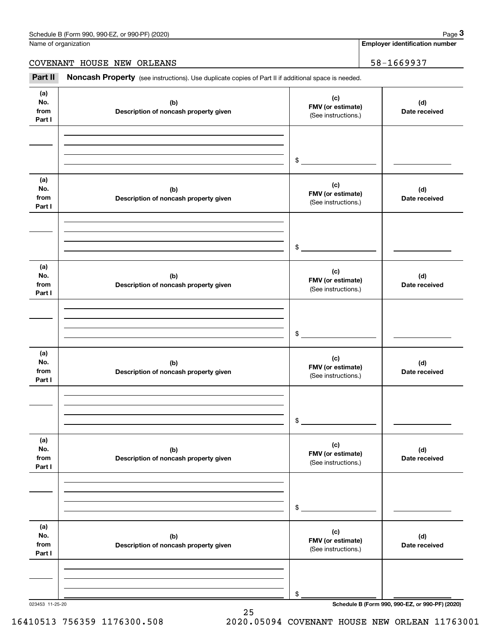**Employer identification number**

COVENANT HOUSE NEW ORLEANS 58-1669937

Chedule B (Form 990, 990-EZ, or 990-PF) (2020)<br>
lame of organization<br> **3Part II if additional space is needed.**<br> **Part II if additional space is needed.**<br> **Part II if additional space is needed.** 

| (a)<br>No.<br>from<br>Part I | (b)<br>Description of noncash property given | (c)<br>FMV (or estimate)<br>(See instructions.) | (d)<br>Date received |
|------------------------------|----------------------------------------------|-------------------------------------------------|----------------------|
|                              |                                              | $\frac{1}{2}$                                   |                      |
|                              |                                              |                                                 |                      |
| (a)<br>No.<br>from<br>Part I | (b)<br>Description of noncash property given | (c)<br>FMV (or estimate)<br>(See instructions.) | (d)<br>Date received |
|                              |                                              | $\frac{1}{2}$                                   |                      |
| (a)<br>No.<br>from<br>Part I | (b)<br>Description of noncash property given | (c)<br>FMV (or estimate)<br>(See instructions.) | (d)<br>Date received |
|                              |                                              | $\frac{1}{2}$                                   |                      |
| (a)<br>No.<br>from<br>Part I | (b)<br>Description of noncash property given | (c)<br>FMV (or estimate)<br>(See instructions.) | (d)<br>Date received |
|                              |                                              |                                                 |                      |
| (a)<br>No.<br>from<br>Part I | (b)<br>Description of noncash property given | (c)<br>FMV (or estimate)<br>(See instructions.) | (d)<br>Date received |
|                              |                                              | $\$$                                            |                      |
| (a)<br>No.<br>from<br>Part I | (b)<br>Description of noncash property given | (c)<br>FMV (or estimate)<br>(See instructions.) | (d)<br>Date received |
|                              |                                              |                                                 |                      |
|                              |                                              | \$                                              |                      |

25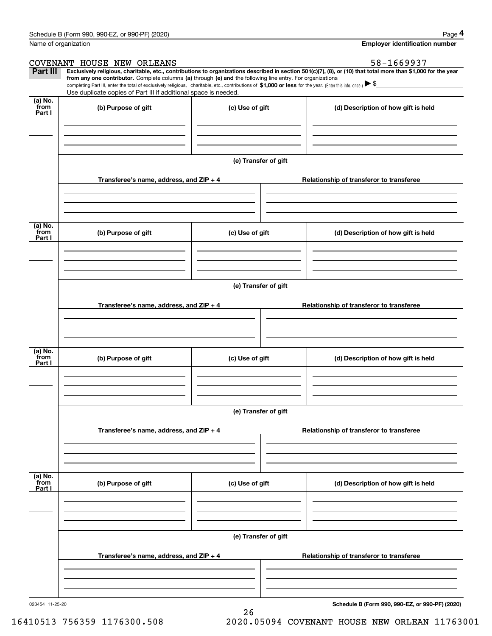|                 | Schedule B (Form 990, 990-EZ, or 990-PF) (2020)                                                                                                                                   |                                          | Page 4                                                                                                                                                         |  |  |  |  |  |
|-----------------|-----------------------------------------------------------------------------------------------------------------------------------------------------------------------------------|------------------------------------------|----------------------------------------------------------------------------------------------------------------------------------------------------------------|--|--|--|--|--|
|                 | Name of organization                                                                                                                                                              |                                          | <b>Employer identification number</b>                                                                                                                          |  |  |  |  |  |
|                 | COVENANT HOUSE NEW ORLEANS                                                                                                                                                        |                                          | 58-1669937                                                                                                                                                     |  |  |  |  |  |
| Part III        | from any one contributor. Complete columns (a) through (e) and the following line entry. For organizations                                                                        |                                          | Exclusively religious, charitable, etc., contributions to organizations described in section 501(c)(7), (8), or (10) that total more than \$1,000 for the year |  |  |  |  |  |
|                 | completing Part III, enter the total of exclusively religious, charitable, etc., contributions of \$1,000 or less for the year. (Enter this info. once.) $\blacktriangleright$ \$ |                                          |                                                                                                                                                                |  |  |  |  |  |
| (a) No.         | Use duplicate copies of Part III if additional space is needed.                                                                                                                   |                                          |                                                                                                                                                                |  |  |  |  |  |
| from<br>Part I  | (b) Purpose of gift                                                                                                                                                               | (c) Use of gift                          | (d) Description of how gift is held                                                                                                                            |  |  |  |  |  |
|                 |                                                                                                                                                                                   |                                          |                                                                                                                                                                |  |  |  |  |  |
|                 |                                                                                                                                                                                   |                                          |                                                                                                                                                                |  |  |  |  |  |
|                 |                                                                                                                                                                                   |                                          |                                                                                                                                                                |  |  |  |  |  |
|                 |                                                                                                                                                                                   | (e) Transfer of gift                     |                                                                                                                                                                |  |  |  |  |  |
|                 | Transferee's name, address, and ZIP + 4                                                                                                                                           |                                          | Relationship of transferor to transferee                                                                                                                       |  |  |  |  |  |
|                 |                                                                                                                                                                                   |                                          |                                                                                                                                                                |  |  |  |  |  |
|                 |                                                                                                                                                                                   |                                          |                                                                                                                                                                |  |  |  |  |  |
|                 |                                                                                                                                                                                   |                                          |                                                                                                                                                                |  |  |  |  |  |
| (a) No.<br>from | (b) Purpose of gift                                                                                                                                                               | (c) Use of gift                          | (d) Description of how gift is held                                                                                                                            |  |  |  |  |  |
| Part I          |                                                                                                                                                                                   |                                          |                                                                                                                                                                |  |  |  |  |  |
|                 |                                                                                                                                                                                   |                                          |                                                                                                                                                                |  |  |  |  |  |
|                 |                                                                                                                                                                                   |                                          |                                                                                                                                                                |  |  |  |  |  |
|                 | (e) Transfer of gift                                                                                                                                                              |                                          |                                                                                                                                                                |  |  |  |  |  |
|                 |                                                                                                                                                                                   |                                          |                                                                                                                                                                |  |  |  |  |  |
|                 | Transferee's name, address, and ZIP + 4                                                                                                                                           | Relationship of transferor to transferee |                                                                                                                                                                |  |  |  |  |  |
|                 |                                                                                                                                                                                   |                                          |                                                                                                                                                                |  |  |  |  |  |
|                 |                                                                                                                                                                                   |                                          |                                                                                                                                                                |  |  |  |  |  |
| (a) No.         |                                                                                                                                                                                   |                                          |                                                                                                                                                                |  |  |  |  |  |
| from<br>Part I  | (b) Purpose of gift                                                                                                                                                               | (c) Use of gift                          | (d) Description of how gift is held                                                                                                                            |  |  |  |  |  |
|                 |                                                                                                                                                                                   |                                          |                                                                                                                                                                |  |  |  |  |  |
|                 |                                                                                                                                                                                   |                                          |                                                                                                                                                                |  |  |  |  |  |
|                 |                                                                                                                                                                                   |                                          |                                                                                                                                                                |  |  |  |  |  |
|                 |                                                                                                                                                                                   | (e) Transfer of gift                     |                                                                                                                                                                |  |  |  |  |  |
|                 | Transferee's name, address, and ZIP + 4                                                                                                                                           |                                          | Relationship of transferor to transferee                                                                                                                       |  |  |  |  |  |
|                 |                                                                                                                                                                                   |                                          |                                                                                                                                                                |  |  |  |  |  |
|                 |                                                                                                                                                                                   |                                          |                                                                                                                                                                |  |  |  |  |  |
|                 |                                                                                                                                                                                   |                                          |                                                                                                                                                                |  |  |  |  |  |
| (a) No.<br>from | (b) Purpose of gift                                                                                                                                                               | (c) Use of gift                          | (d) Description of how gift is held                                                                                                                            |  |  |  |  |  |
| Part I          |                                                                                                                                                                                   |                                          |                                                                                                                                                                |  |  |  |  |  |
|                 |                                                                                                                                                                                   |                                          |                                                                                                                                                                |  |  |  |  |  |
|                 |                                                                                                                                                                                   |                                          |                                                                                                                                                                |  |  |  |  |  |
|                 |                                                                                                                                                                                   | (e) Transfer of gift                     |                                                                                                                                                                |  |  |  |  |  |
|                 |                                                                                                                                                                                   |                                          |                                                                                                                                                                |  |  |  |  |  |
|                 | Transferee's name, address, and ZIP + 4                                                                                                                                           |                                          | Relationship of transferor to transferee                                                                                                                       |  |  |  |  |  |
|                 |                                                                                                                                                                                   |                                          |                                                                                                                                                                |  |  |  |  |  |
|                 |                                                                                                                                                                                   |                                          |                                                                                                                                                                |  |  |  |  |  |
|                 |                                                                                                                                                                                   |                                          |                                                                                                                                                                |  |  |  |  |  |

26

**Schedule B (Form 990, 990-EZ, or 990-PF) (2020)**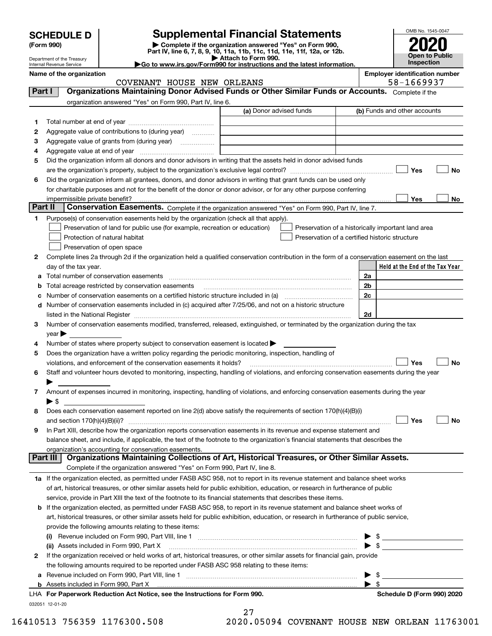| <b>SCHEDULE D</b> |  |
|-------------------|--|
|-------------------|--|

| (Form 990) |  |
|------------|--|
|------------|--|

# **Supplemental Financial Statements**

(Form 990)<br>
Pepartment of the Treasury<br>
Department of the Treasury<br>
Department of the Treasury<br>
Department of the Treasury<br> **Co to www.irs.gov/Form990 for instructions and the latest information.**<br> **Co to www.irs.gov/Form9** 



Department of the Treasury Internal Revenue Service

**Name of the organization Employer identification number**

|          | COVENANT HOUSE NEW ORLEANS                                                                                                                     |                         | 58-1669937                                         |
|----------|------------------------------------------------------------------------------------------------------------------------------------------------|-------------------------|----------------------------------------------------|
| Part I   | Organizations Maintaining Donor Advised Funds or Other Similar Funds or Accounts. Complete if the                                              |                         |                                                    |
|          | organization answered "Yes" on Form 990, Part IV, line 6.                                                                                      |                         |                                                    |
|          |                                                                                                                                                | (a) Donor advised funds | (b) Funds and other accounts                       |
| 1        |                                                                                                                                                |                         |                                                    |
| 2        | Aggregate value of contributions to (during year)                                                                                              |                         |                                                    |
| з        |                                                                                                                                                |                         |                                                    |
| 4        |                                                                                                                                                |                         |                                                    |
| 5        | Did the organization inform all donors and donor advisors in writing that the assets held in donor advised funds                               |                         |                                                    |
|          |                                                                                                                                                |                         | Yes<br>No                                          |
| 6        | Did the organization inform all grantees, donors, and donor advisors in writing that grant funds can be used only                              |                         |                                                    |
|          | for charitable purposes and not for the benefit of the donor or donor advisor, or for any other purpose conferring                             |                         |                                                    |
|          |                                                                                                                                                |                         | Yes<br>No                                          |
| Part II  | Conservation Easements. Complete if the organization answered "Yes" on Form 990, Part IV, line 7.                                              |                         |                                                    |
| 1        | Purpose(s) of conservation easements held by the organization (check all that apply).                                                          |                         |                                                    |
|          | Preservation of land for public use (for example, recreation or education)                                                                     |                         | Preservation of a historically important land area |
|          | Protection of natural habitat                                                                                                                  |                         | Preservation of a certified historic structure     |
|          | Preservation of open space                                                                                                                     |                         |                                                    |
| 2        | Complete lines 2a through 2d if the organization held a qualified conservation contribution in the form of a conservation easement on the last |                         |                                                    |
|          | day of the tax year.                                                                                                                           |                         | Held at the End of the Tax Year                    |
|          |                                                                                                                                                |                         | 2a                                                 |
| а        |                                                                                                                                                |                         |                                                    |
| b        | Total acreage restricted by conservation easements                                                                                             |                         | 2b                                                 |
| с        |                                                                                                                                                |                         | 2c                                                 |
| d        | Number of conservation easements included in (c) acquired after 7/25/06, and not on a historic structure                                       |                         |                                                    |
|          |                                                                                                                                                |                         | 2d                                                 |
| 3        | Number of conservation easements modified, transferred, released, extinguished, or terminated by the organization during the tax               |                         |                                                    |
|          | year                                                                                                                                           |                         |                                                    |
| 4        | Number of states where property subject to conservation easement is located >                                                                  |                         |                                                    |
| 5        | Does the organization have a written policy regarding the periodic monitoring, inspection, handling of                                         |                         |                                                    |
|          | violations, and enforcement of the conservation easements it holds?                                                                            |                         | Yes<br>No                                          |
| 6        | Staff and volunteer hours devoted to monitoring, inspecting, handling of violations, and enforcing conservation easements during the year      |                         |                                                    |
|          |                                                                                                                                                |                         |                                                    |
| 7        | Amount of expenses incurred in monitoring, inspecting, handling of violations, and enforcing conservation easements during the year            |                         |                                                    |
|          | $\blacktriangleright$ \$                                                                                                                       |                         |                                                    |
| 8        | Does each conservation easement reported on line 2(d) above satisfy the requirements of section 170(h)(4)(B)(i)                                |                         |                                                    |
|          |                                                                                                                                                |                         | Yes<br>No                                          |
| 9        | In Part XIII, describe how the organization reports conservation easements in its revenue and expense statement and                            |                         |                                                    |
|          | balance sheet, and include, if applicable, the text of the footnote to the organization's financial statements that describes the              |                         |                                                    |
|          | organization's accounting for conservation easements.                                                                                          |                         |                                                    |
| Part III | Organizations Maintaining Collections of Art, Historical Treasures, or Other Similar Assets.                                                   |                         |                                                    |
|          | Complete if the organization answered "Yes" on Form 990, Part IV, line 8.                                                                      |                         |                                                    |
|          | 1a If the organization elected, as permitted under FASB ASC 958, not to report in its revenue statement and balance sheet works                |                         |                                                    |
|          | of art, historical treasures, or other similar assets held for public exhibition, education, or research in furtherance of public              |                         |                                                    |
|          | service, provide in Part XIII the text of the footnote to its financial statements that describes these items.                                 |                         |                                                    |
|          | <b>b</b> If the organization elected, as permitted under FASB ASC 958, to report in its revenue statement and balance sheet works of           |                         |                                                    |
|          | art, historical treasures, or other similar assets held for public exhibition, education, or research in furtherance of public service,        |                         |                                                    |
|          | provide the following amounts relating to these items:                                                                                         |                         |                                                    |
|          | (i)                                                                                                                                            |                         | \$                                                 |
|          | (ii) Assets included in Form 990, Part X                                                                                                       |                         | $\blacktriangleright$ \$                           |
| 2        | If the organization received or held works of art, historical treasures, or other similar assets for financial gain, provide                   |                         |                                                    |
|          | the following amounts required to be reported under FASB ASC 958 relating to these items:                                                      |                         |                                                    |
|          | a Revenue included on Form 990, Part VIII, line 1 [2000] [2000] [2000] [2000] [2000] [2000] [2000] [2000] [2000                                |                         | \$                                                 |
|          |                                                                                                                                                |                         | $\blacktriangleright$ s                            |
|          | LHA For Paperwork Reduction Act Notice, see the Instructions for Form 990.                                                                     |                         | Schedule D (Form 990) 2020                         |
|          | 032051 12-01-20                                                                                                                                |                         |                                                    |

| 27     |                                    |                             |
|--------|------------------------------------|-----------------------------|
| $\sim$ | $\sim$ $\sim$ $\sim$ $\sim$ $\sim$ | $\sim$ $\sim$ $\sim$ $\sim$ |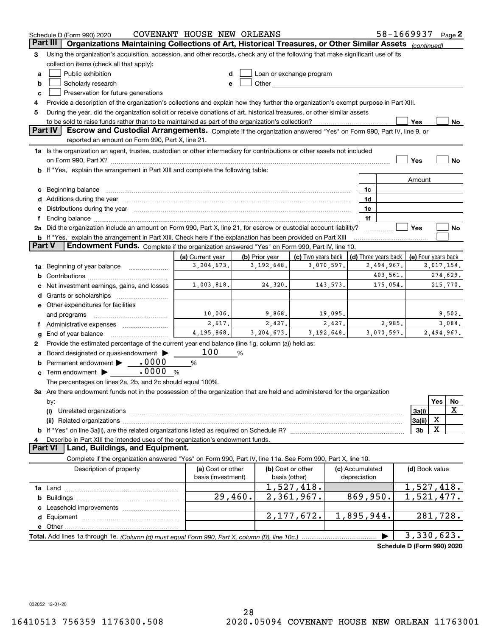|        | Schedule D (Form 990) 2020                                                                                                           | COVENANT HOUSE NEW ORLEANS     |                                |                                                                                                                                                                                                                               |              |                 | 58-1669937 Page 2                  |                     |     |                        |
|--------|--------------------------------------------------------------------------------------------------------------------------------------|--------------------------------|--------------------------------|-------------------------------------------------------------------------------------------------------------------------------------------------------------------------------------------------------------------------------|--------------|-----------------|------------------------------------|---------------------|-----|------------------------|
|        | Organizations Maintaining Collections of Art, Historical Treasures, or Other Similar Assets (continued)<br>Part III                  |                                |                                |                                                                                                                                                                                                                               |              |                 |                                    |                     |     |                        |
| 3      | Using the organization's acquisition, accession, and other records, check any of the following that make significant use of its      |                                |                                |                                                                                                                                                                                                                               |              |                 |                                    |                     |     |                        |
|        | collection items (check all that apply):                                                                                             |                                |                                |                                                                                                                                                                                                                               |              |                 |                                    |                     |     |                        |
| a      | Public exhibition                                                                                                                    |                                |                                | Loan or exchange program                                                                                                                                                                                                      |              |                 |                                    |                     |     |                        |
| b      | Scholarly research                                                                                                                   | e                              |                                | Other and the contract of the contract of the contract of the contract of the contract of the contract of the contract of the contract of the contract of the contract of the contract of the contract of the contract of the |              |                 |                                    |                     |     |                        |
| c      | Preservation for future generations                                                                                                  |                                |                                |                                                                                                                                                                                                                               |              |                 |                                    |                     |     |                        |
| 4      | Provide a description of the organization's collections and explain how they further the organization's exempt purpose in Part XIII. |                                |                                |                                                                                                                                                                                                                               |              |                 |                                    |                     |     |                        |
| 5      | During the year, did the organization solicit or receive donations of art, historical treasures, or other similar assets             |                                |                                |                                                                                                                                                                                                                               |              |                 |                                    |                     |     |                        |
|        | to be sold to raise funds rather than to be maintained as part of the organization's collection?                                     |                                |                                |                                                                                                                                                                                                                               |              |                 |                                    | Yes                 |     | No                     |
|        | Part IV<br>Escrow and Custodial Arrangements. Complete if the organization answered "Yes" on Form 990, Part IV, line 9, or           |                                |                                |                                                                                                                                                                                                                               |              |                 |                                    |                     |     |                        |
|        | reported an amount on Form 990, Part X, line 21.                                                                                     |                                |                                |                                                                                                                                                                                                                               |              |                 |                                    |                     |     |                        |
|        | 1a Is the organization an agent, trustee, custodian or other intermediary for contributions or other assets not included             |                                |                                |                                                                                                                                                                                                                               |              |                 |                                    |                     |     |                        |
|        |                                                                                                                                      |                                |                                |                                                                                                                                                                                                                               |              |                 |                                    | Yes                 |     | No                     |
|        | <b>b</b> If "Yes," explain the arrangement in Part XIII and complete the following table:                                            |                                |                                |                                                                                                                                                                                                                               |              |                 |                                    |                     |     |                        |
|        |                                                                                                                                      |                                |                                |                                                                                                                                                                                                                               |              |                 |                                    | Amount              |     |                        |
| c      | Beginning balance <b>contract to the contract of the contract of the contract of the contract of the contract of t</b>               |                                |                                |                                                                                                                                                                                                                               |              | 1c              |                                    |                     |     |                        |
|        |                                                                                                                                      |                                |                                |                                                                                                                                                                                                                               |              | 1d              |                                    |                     |     |                        |
| е      | Distributions during the year manufactured and continuum and contact the year manufactured and contact the year                      |                                |                                |                                                                                                                                                                                                                               |              | 1e              |                                    |                     |     |                        |
|        |                                                                                                                                      |                                |                                |                                                                                                                                                                                                                               |              | 1f              |                                    |                     |     |                        |
|        | 2a Did the organization include an amount on Form 990, Part X, line 21, for escrow or custodial account liability?                   |                                |                                |                                                                                                                                                                                                                               |              |                 |                                    | Yes                 |     | No                     |
|        | <b>b</b> If "Yes," explain the arrangement in Part XIII. Check here if the explanation has been provided on Part XIII<br>Part V      |                                |                                |                                                                                                                                                                                                                               |              |                 |                                    |                     |     |                        |
|        | Endowment Funds. Complete if the organization answered "Yes" on Form 990, Part IV, line 10.                                          |                                |                                |                                                                                                                                                                                                                               |              |                 |                                    |                     |     |                        |
|        |                                                                                                                                      | (a) Current year<br>3,204,673. | (b) Prior year<br>3, 192, 648. | (c) Two years back                                                                                                                                                                                                            | 3,070,597.   |                 | (d) Three years back<br>2,494,967. | (e) Four years back |     |                        |
| 1a     | Beginning of year balance                                                                                                            |                                |                                |                                                                                                                                                                                                                               |              |                 | 403,561.                           |                     |     | 2,017,154.<br>274,629. |
| b      |                                                                                                                                      | 1,003,818.                     | 24,320.                        |                                                                                                                                                                                                                               | 143,573.     |                 | 175,054.                           |                     |     | 215,770.               |
|        | Net investment earnings, gains, and losses                                                                                           |                                |                                |                                                                                                                                                                                                                               |              |                 |                                    |                     |     |                        |
| d      |                                                                                                                                      |                                |                                |                                                                                                                                                                                                                               |              |                 |                                    |                     |     |                        |
|        | e Other expenditures for facilities                                                                                                  | 10,006.                        | 9,868.                         |                                                                                                                                                                                                                               | 19,095.      |                 |                                    |                     |     | 9,502.                 |
|        | and programs                                                                                                                         | 2,617.                         | 2,427.                         |                                                                                                                                                                                                                               | 2,427.       |                 | 2,985.                             |                     |     | 3,084.                 |
|        | f Administrative expenses                                                                                                            | 4, 195, 868.                   | 3, 204, 673.                   |                                                                                                                                                                                                                               | 3, 192, 648. |                 | 3,070,597.                         |                     |     | 2,494,967.             |
| g<br>2 | End of year balance<br>Provide the estimated percentage of the current year end balance (line 1g, column (a)) held as:               |                                |                                |                                                                                                                                                                                                                               |              |                 |                                    |                     |     |                        |
|        | Board designated or quasi-endowment >                                                                                                | 100                            | %                              |                                                                                                                                                                                                                               |              |                 |                                    |                     |     |                        |
| b      | Permanent endowment > 0000                                                                                                           | %                              |                                |                                                                                                                                                                                                                               |              |                 |                                    |                     |     |                        |
| c      | Term endowment <b>b</b> .0000<br>%                                                                                                   |                                |                                |                                                                                                                                                                                                                               |              |                 |                                    |                     |     |                        |
|        | The percentages on lines 2a, 2b, and 2c should equal 100%.                                                                           |                                |                                |                                                                                                                                                                                                                               |              |                 |                                    |                     |     |                        |
|        | 3a Are there endowment funds not in the possession of the organization that are held and administered for the organization           |                                |                                |                                                                                                                                                                                                                               |              |                 |                                    |                     |     |                        |
|        | by:                                                                                                                                  |                                |                                |                                                                                                                                                                                                                               |              |                 |                                    |                     | Yes | No                     |
|        | (i)                                                                                                                                  |                                |                                |                                                                                                                                                                                                                               |              |                 |                                    | 3a(i)               |     | x                      |
|        |                                                                                                                                      |                                |                                |                                                                                                                                                                                                                               |              |                 |                                    | 3a(ii)              | х   |                        |
|        | <b>b</b> If "Yes" on line 3a(ii), are the related organizations listed as required on Schedule R?                                    |                                |                                |                                                                                                                                                                                                                               |              |                 |                                    | 3b                  | x   |                        |
| 4      | Describe in Part XIII the intended uses of the organization's endowment funds.                                                       |                                |                                |                                                                                                                                                                                                                               |              |                 |                                    |                     |     |                        |
|        | Land, Buildings, and Equipment.<br>Part VI                                                                                           |                                |                                |                                                                                                                                                                                                                               |              |                 |                                    |                     |     |                        |
|        | Complete if the organization answered "Yes" on Form 990, Part IV, line 11a. See Form 990, Part X, line 10.                           |                                |                                |                                                                                                                                                                                                                               |              |                 |                                    |                     |     |                        |
|        | Description of property                                                                                                              | (a) Cost or other              |                                | (b) Cost or other                                                                                                                                                                                                             |              | (c) Accumulated |                                    | (d) Book value      |     |                        |
|        |                                                                                                                                      | basis (investment)             |                                | basis (other)                                                                                                                                                                                                                 |              | depreciation    |                                    |                     |     |                        |
|        |                                                                                                                                      |                                |                                | 1,527,418.                                                                                                                                                                                                                    |              |                 |                                    | 1,527,418.          |     |                        |
| b      |                                                                                                                                      | 29,460.                        |                                | 2,361,967.                                                                                                                                                                                                                    |              | 869,950.        |                                    | 1,521,477.          |     |                        |
|        | Leasehold improvements                                                                                                               |                                |                                |                                                                                                                                                                                                                               |              |                 |                                    |                     |     |                        |
|        |                                                                                                                                      |                                |                                | 2, 177, 672.                                                                                                                                                                                                                  |              | 1,895,944.      |                                    | 281,728.            |     |                        |
|        | e Other                                                                                                                              |                                |                                |                                                                                                                                                                                                                               |              |                 |                                    |                     |     |                        |
|        | Total. Add lines 1a through 1e. (Column (d) must equal Form 990. Part X, column (B), line 10c.)                                      |                                |                                |                                                                                                                                                                                                                               |              |                 |                                    | 3,330,623.          |     |                        |
|        |                                                                                                                                      |                                |                                |                                                                                                                                                                                                                               |              |                 | Schedule D (Form 990) 2020         |                     |     |                        |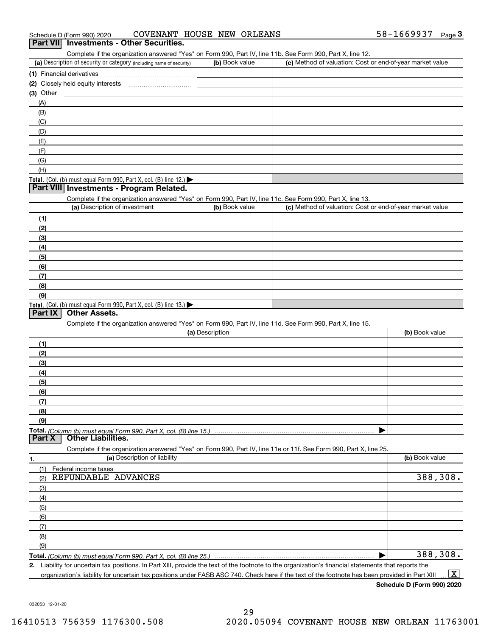| 58-1669937<br>COVENANT HOUSE NEW ORLEANS<br>Schedule D (Form 990) 2020 |  | Page |
|------------------------------------------------------------------------|--|------|
|------------------------------------------------------------------------|--|------|

### **Part VII Investments - Other Securities.**

Complete if the organization answered "Yes" on Form 990, Part IV, line 11b. See Form 990, Part X, line 12.

| (a) Description of security or category (including name of security)                          | (b) Book value | (c) Method of valuation: Cost or end-of-year market value |
|-----------------------------------------------------------------------------------------------|----------------|-----------------------------------------------------------|
| (1) Financial derivatives                                                                     |                |                                                           |
| (2) Closely held equity interests                                                             |                |                                                           |
| (3) Other                                                                                     |                |                                                           |
| (A)                                                                                           |                |                                                           |
| (B)                                                                                           |                |                                                           |
| (C)                                                                                           |                |                                                           |
| (D)                                                                                           |                |                                                           |
| (E)                                                                                           |                |                                                           |
| (F)                                                                                           |                |                                                           |
| (G)                                                                                           |                |                                                           |
| (H)                                                                                           |                |                                                           |
| <b>Total.</b> (Col. (b) must equal Form 990, Part X, col. (B) line 12.) $\blacktriangleright$ |                |                                                           |

#### **Part VIII Investments - Program Related.**

Complete if the organization answered "Yes" on Form 990, Part IV, line 11c. See Form 990, Part X, line 13.

| (a) Description of investment                                                                 | (b) Book value | (c) Method of valuation: Cost or end-of-year market value |
|-----------------------------------------------------------------------------------------------|----------------|-----------------------------------------------------------|
| (1)                                                                                           |                |                                                           |
| (2)                                                                                           |                |                                                           |
| $\frac{1}{2}$                                                                                 |                |                                                           |
| (4)                                                                                           |                |                                                           |
| (5)                                                                                           |                |                                                           |
| (6)                                                                                           |                |                                                           |
| (7)                                                                                           |                |                                                           |
| (8)                                                                                           |                |                                                           |
| (9)                                                                                           |                |                                                           |
| <b>Total.</b> (Col. (b) must equal Form 990, Part X, col. (B) line 13.) $\blacktriangleright$ |                |                                                           |

#### **Part IX Other Assets.**

Complete if the organization answered "Yes" on Form 990, Part IV, line 11d. See Form 990, Part X, line 15.

| (a) Description | (b) Book value |
|-----------------|----------------|
| (1)             |                |
| (2)             |                |
| (3)             |                |
| (4)             |                |
| (5)             |                |
| (6)             |                |
| (7)             |                |
| (8)             |                |
| (9)             |                |
|                 |                |
|                 |                |

|     | Complete if the organization answered "Yes" on Form 990, Part IV, line 11e or 11f. See Form 990, Part X, line 25. |                |
|-----|-------------------------------------------------------------------------------------------------------------------|----------------|
| 1.  | (a) Description of liability                                                                                      | (b) Book value |
|     | Federal income taxes                                                                                              |                |
| (2) | REFUNDABLE ADVANCES                                                                                               | 388,308.       |
| (3) |                                                                                                                   |                |
| (4) |                                                                                                                   |                |
| (5) |                                                                                                                   |                |
| (6) |                                                                                                                   |                |
| (7) |                                                                                                                   |                |
| (8) |                                                                                                                   |                |
| (9) |                                                                                                                   |                |
|     |                                                                                                                   | 388,308.       |

**2.** Liability for uncertain tax positions. In Part XIII, provide the text of the footnote to the organization's financial statements that reports the

organization's liability for uncertain tax positions under FASB ASC 740. Check here if the text of the footnote has been provided in Part XIII  $\boxed{\text{X}}$ 

**Schedule D (Form 990) 2020**

032053 12-01-20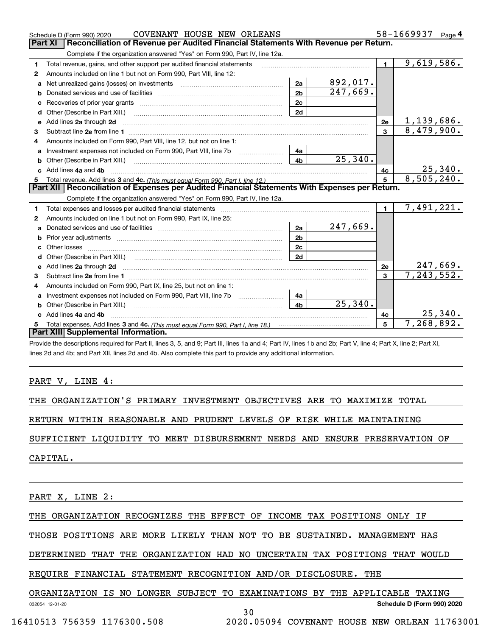|    | COVENANT HOUSE NEW ORLEANS<br>Schedule D (Form 990) 2020                                                                                                                                                                            |                |          |                | 58-1669937<br>Page $4$       |
|----|-------------------------------------------------------------------------------------------------------------------------------------------------------------------------------------------------------------------------------------|----------------|----------|----------------|------------------------------|
|    | <b>Part XI</b><br>Reconciliation of Revenue per Audited Financial Statements With Revenue per Return.                                                                                                                               |                |          |                |                              |
|    | Complete if the organization answered "Yes" on Form 990, Part IV, line 12a.                                                                                                                                                         |                |          |                |                              |
| 1  | Total revenue, gains, and other support per audited financial statements                                                                                                                                                            |                |          | $\blacksquare$ | 9,619,586.                   |
| 2  | Amounts included on line 1 but not on Form 990, Part VIII, line 12:                                                                                                                                                                 |                |          |                |                              |
| a  | Net unrealized gains (losses) on investments [11] matter contracts and the unrealized gains (losses) on investments                                                                                                                 | 2a             | 892,017. |                |                              |
| b  |                                                                                                                                                                                                                                     | 2 <sub>b</sub> | 247,669. |                |                              |
|    |                                                                                                                                                                                                                                     | 2c             |          |                |                              |
| d  | Other (Describe in Part XIII.) <b>2006</b> 2007 2010 2010 2010 2010 2011 2012 2013 2014 2014 2015 2016 2017 2018 2019 2016 2017 2018 2019 2016 2017 2018 2019 2016 2017 2018 2019 2018 2019 2019 2016 2017 2018 2019 2018 2019 2019 | 2d             |          |                |                              |
| е  | Add lines 2a through 2d                                                                                                                                                                                                             |                |          | 2е             | <u>1,139,686.</u>            |
| 3  |                                                                                                                                                                                                                                     |                |          | $\overline{3}$ | 8,479,900.                   |
| 4  | Amounts included on Form 990, Part VIII, line 12, but not on line 1:                                                                                                                                                                |                |          |                |                              |
|    |                                                                                                                                                                                                                                     | 4a             |          |                |                              |
|    |                                                                                                                                                                                                                                     | 4 <sub>b</sub> | 25,340.  |                |                              |
| c. | Add lines 4a and 4b                                                                                                                                                                                                                 |                |          | 4с             | 25,340.                      |
|    |                                                                                                                                                                                                                                     |                |          | $5^{\circ}$    | 8,505,240.                   |
|    |                                                                                                                                                                                                                                     |                |          |                |                              |
|    | Part XII   Reconciliation of Expenses per Audited Financial Statements With Expenses per Return.                                                                                                                                    |                |          |                |                              |
|    | Complete if the organization answered "Yes" on Form 990, Part IV, line 12a.                                                                                                                                                         |                |          |                |                              |
| 1  | Total expenses and losses per audited financial statements [11] [12] contraction control of the statements [11] [12] and the statements [12] and the statements [12] and the statements [12] and the statements and the statem      |                |          | $\blacksquare$ | 7,491,221.                   |
| 2  | Amounts included on line 1 but not on Form 990, Part IX, line 25:                                                                                                                                                                   |                |          |                |                              |
| a  |                                                                                                                                                                                                                                     | 2a             | 247,669. |                |                              |
|    |                                                                                                                                                                                                                                     | 2 <sub>b</sub> |          |                |                              |
|    | Other losses                                                                                                                                                                                                                        | 2 <sub>c</sub> |          |                |                              |
| d  | Other (Describe in Part XIII.) <b>Construction</b> and a construction of the Chern Construction of the Chern Chern Chern Chern Chern Chern Chern Chern Chern Chern Chern Chern Chern Chern Chern Chern Chern Chern Chern Chern Cher | 2d             |          |                |                              |
|    | Add lines 2a through 2d <b>contained a contained a contained a contained a</b> contained a contained a contained a contained a contained a contained a contained a contained a contained a contained a contained a contained a cont |                |          | 2e             |                              |
| 3  |                                                                                                                                                                                                                                     |                |          | 3              | $\frac{247,669}{7,243,552.}$ |
| 4  | Amounts included on Form 990, Part IX, line 25, but not on line 1:                                                                                                                                                                  |                |          |                |                              |
| a  |                                                                                                                                                                                                                                     | 4a             |          |                |                              |
|    | <b>b</b> Other (Describe in Part XIII.)                                                                                                                                                                                             | 4 <sub>b</sub> | 25,340.  |                |                              |
| c  | Add lines 4a and 4b                                                                                                                                                                                                                 |                |          | 4c             | 25,340.                      |
|    | Part XIII Supplemental Information.                                                                                                                                                                                                 |                |          | 5              | 7,268,892.                   |

Provide the descriptions required for Part II, lines 3, 5, and 9; Part III, lines 1a and 4; Part IV, lines 1b and 2b; Part V, line 4; Part X, line 2; Part XI, lines 2d and 4b; and Part XII, lines 2d and 4b. Also complete this part to provide any additional information.

#### PART V, LINE 4:

THE ORGANIZATION'S PRIMARY INVESTMENT OBJECTIVES ARE TO MAXIMIZE TOTAL

RETURN WITHIN REASONABLE AND PRUDENT LEVELS OF RISK WHILE MAINTAINING

SUFFICIENT LIQUIDITY TO MEET DISBURSEMENT NEEDS AND ENSURE PRESERVATION OF

CAPITAL.

PART X, LINE 2:

THE ORGANIZATION RECOGNIZES THE EFFECT OF INCOME TAX POSITIONS ONLY IF

THOSE POSITIONS ARE MORE LIKELY THAN NOT TO BE SUSTAINED. MANAGEMENT HAS

DETERMINED THAT THE ORGANIZATION HAD NO UNCERTAIN TAX POSITIONS THAT WOULD

REQUIRE FINANCIAL STATEMENT RECOGNITION AND/OR DISCLOSURE. THE

## ORGANIZATION IS NO LONGER SUBJECT TO EXAMINATIONS BY THE APPLICABLE TAXING

032054 12-01-20

30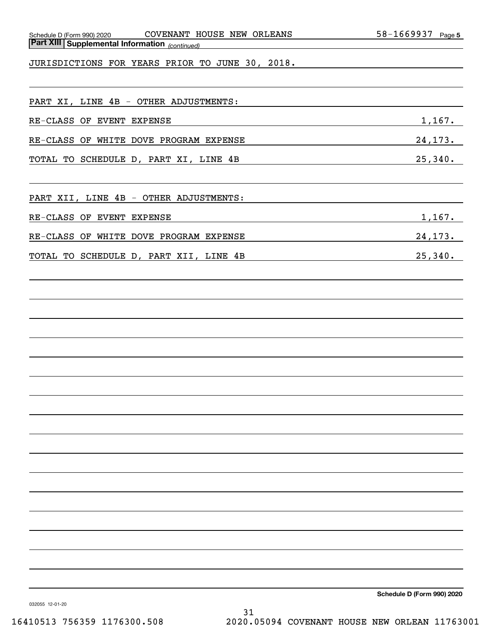| Schedule D (Form 990) 2020 |
|----------------------------|
|----------------------------|

*(continued)* **Part XIII Supplemental Information** 

JURISDICTIONS FOR YEARS PRIOR TO JUNE 30, 2018.

| PART XI, LINE 4B - OTHER ADJUSTMENTS:  |         |
|----------------------------------------|---------|
| RE-CLASS OF EVENT EXPENSE              | 1,167.  |
| RE-CLASS OF WHITE DOVE PROGRAM EXPENSE | 24,173. |
| TOTAL TO SCHEDULE D, PART XI, LINE 4B  | 25,340. |

PART XII, LINE 4B - OTHER ADJUSTMENTS:

| RE-CLASS OF | EVENT | <b>EXPENSE</b> |  |
|-------------|-------|----------------|--|
|             |       |                |  |

RE-CLASS OF WHITE DOVE PROGRAM EXPENSE **1998** 24,173.

TOTAL TO SCHEDULE D, PART XII, LINE 4B 25,340.

**Schedule D (Form 990) 2020**

032055 12-01-20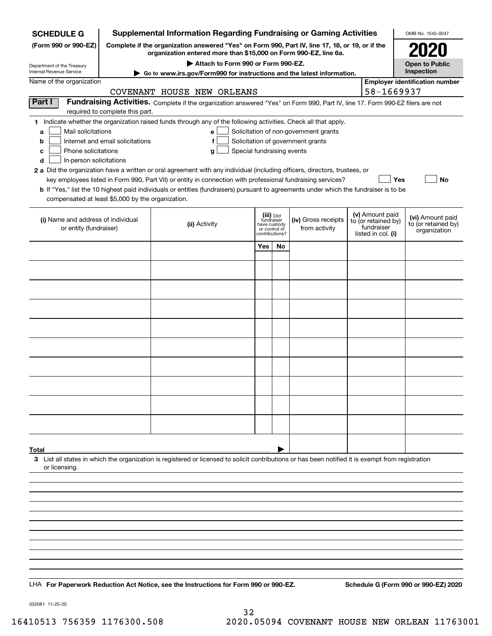| <b>SCHEDULE G</b>                                                                        | <b>Supplemental Information Regarding Fundraising or Gaming Activities</b>                                                                                          |                                                                                                                                                                                                                                                                                            | OMB No. 1545-0047                                          |              |                                                                            |  |                                                                            |                                                         |
|------------------------------------------------------------------------------------------|---------------------------------------------------------------------------------------------------------------------------------------------------------------------|--------------------------------------------------------------------------------------------------------------------------------------------------------------------------------------------------------------------------------------------------------------------------------------------|------------------------------------------------------------|--------------|----------------------------------------------------------------------------|--|----------------------------------------------------------------------------|---------------------------------------------------------|
| (Form 990 or 990-EZ)                                                                     | Complete if the organization answered "Yes" on Form 990, Part IV, line 17, 18, or 19, or if the<br>organization entered more than \$15,000 on Form 990-EZ, line 6a. |                                                                                                                                                                                                                                                                                            |                                                            |              |                                                                            |  |                                                                            |                                                         |
| Department of the Treasury                                                               |                                                                                                                                                                     |                                                                                                                                                                                                                                                                                            | <b>Open to Public</b>                                      |              |                                                                            |  |                                                                            |                                                         |
| Internal Revenue Service<br>Name of the organization                                     | Go to www.irs.gov/Form990 for instructions and the latest information.                                                                                              |                                                                                                                                                                                                                                                                                            | Inspection<br><b>Employer identification number</b>        |              |                                                                            |  |                                                                            |                                                         |
|                                                                                          |                                                                                                                                                                     | COVENANT HOUSE NEW ORLEANS                                                                                                                                                                                                                                                                 |                                                            |              |                                                                            |  | 58-1669937                                                                 |                                                         |
| Part I                                                                                   | required to complete this part.                                                                                                                                     | Fundraising Activities. Complete if the organization answered "Yes" on Form 990, Part IV, line 17. Form 990-EZ filers are not                                                                                                                                                              |                                                            |              |                                                                            |  |                                                                            |                                                         |
| Mail solicitations<br>a<br>b<br>Phone solicitations<br>с<br>d<br>In-person solicitations | Internet and email solicitations                                                                                                                                    | 1 Indicate whether the organization raised funds through any of the following activities. Check all that apply.<br>e<br>f<br>Special fundraising events<br>g<br>2 a Did the organization have a written or oral agreement with any individual (including officers, directors, trustees, or |                                                            |              | Solicitation of non-government grants<br>Solicitation of government grants |  |                                                                            |                                                         |
| compensated at least \$5,000 by the organization.                                        |                                                                                                                                                                     | key employees listed in Form 990, Part VII) or entity in connection with professional fundraising services?<br><b>b</b> If "Yes," list the 10 highest paid individuals or entities (fundraisers) pursuant to agreements under which the fundraiser is to be                                |                                                            |              |                                                                            |  | Yes                                                                        | No                                                      |
| (i) Name and address of individual<br>or entity (fundraiser)                             |                                                                                                                                                                     | (ii) Activity                                                                                                                                                                                                                                                                              | (iii) Did<br>fundraiser<br>or control of<br>contributions? | have custody | (iv) Gross receipts<br>from activity                                       |  | (v) Amount paid<br>to (or retained by)<br>fundraiser<br>listed in col. (i) | (vi) Amount paid<br>to (or retained by)<br>organization |
|                                                                                          |                                                                                                                                                                     |                                                                                                                                                                                                                                                                                            | Yes                                                        | No           |                                                                            |  |                                                                            |                                                         |
|                                                                                          |                                                                                                                                                                     |                                                                                                                                                                                                                                                                                            |                                                            |              |                                                                            |  |                                                                            |                                                         |
|                                                                                          |                                                                                                                                                                     |                                                                                                                                                                                                                                                                                            |                                                            |              |                                                                            |  |                                                                            |                                                         |
|                                                                                          |                                                                                                                                                                     |                                                                                                                                                                                                                                                                                            |                                                            |              |                                                                            |  |                                                                            |                                                         |
|                                                                                          |                                                                                                                                                                     |                                                                                                                                                                                                                                                                                            |                                                            |              |                                                                            |  |                                                                            |                                                         |
|                                                                                          |                                                                                                                                                                     |                                                                                                                                                                                                                                                                                            |                                                            |              |                                                                            |  |                                                                            |                                                         |
|                                                                                          |                                                                                                                                                                     |                                                                                                                                                                                                                                                                                            |                                                            |              |                                                                            |  |                                                                            |                                                         |
|                                                                                          |                                                                                                                                                                     |                                                                                                                                                                                                                                                                                            |                                                            |              |                                                                            |  |                                                                            |                                                         |
|                                                                                          |                                                                                                                                                                     |                                                                                                                                                                                                                                                                                            |                                                            |              |                                                                            |  |                                                                            |                                                         |
|                                                                                          |                                                                                                                                                                     |                                                                                                                                                                                                                                                                                            |                                                            |              |                                                                            |  |                                                                            |                                                         |
|                                                                                          |                                                                                                                                                                     |                                                                                                                                                                                                                                                                                            |                                                            |              |                                                                            |  |                                                                            |                                                         |
|                                                                                          |                                                                                                                                                                     |                                                                                                                                                                                                                                                                                            |                                                            |              |                                                                            |  |                                                                            |                                                         |
|                                                                                          |                                                                                                                                                                     |                                                                                                                                                                                                                                                                                            |                                                            |              |                                                                            |  |                                                                            |                                                         |
| Total<br>or licensing.                                                                   |                                                                                                                                                                     | 3 List all states in which the organization is registered or licensed to solicit contributions or has been notified it is exempt from registration                                                                                                                                         |                                                            |              |                                                                            |  |                                                                            |                                                         |
|                                                                                          |                                                                                                                                                                     |                                                                                                                                                                                                                                                                                            |                                                            |              |                                                                            |  |                                                                            |                                                         |
|                                                                                          |                                                                                                                                                                     |                                                                                                                                                                                                                                                                                            |                                                            |              |                                                                            |  |                                                                            |                                                         |
|                                                                                          |                                                                                                                                                                     |                                                                                                                                                                                                                                                                                            |                                                            |              |                                                                            |  |                                                                            |                                                         |
|                                                                                          |                                                                                                                                                                     |                                                                                                                                                                                                                                                                                            |                                                            |              |                                                                            |  |                                                                            |                                                         |
|                                                                                          |                                                                                                                                                                     |                                                                                                                                                                                                                                                                                            |                                                            |              |                                                                            |  |                                                                            |                                                         |
|                                                                                          |                                                                                                                                                                     |                                                                                                                                                                                                                                                                                            |                                                            |              |                                                                            |  |                                                                            |                                                         |
|                                                                                          |                                                                                                                                                                     |                                                                                                                                                                                                                                                                                            |                                                            |              |                                                                            |  |                                                                            |                                                         |
|                                                                                          |                                                                                                                                                                     | LHA For Paperwork Reduction Act Notice, see the Instructions for Form 990 or 990-EZ.                                                                                                                                                                                                       |                                                            |              |                                                                            |  |                                                                            | Schedule G (Form 990 or 990-EZ) 2020                    |

032081 11-25-20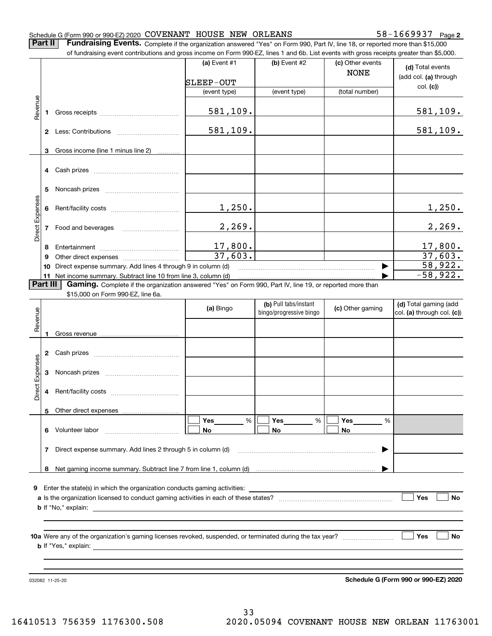#### Schedule G (Form 990 or 990-EZ) 2020 Page COVENANT HOUSE NEW ORLEANS 58-1669937

**2**

**Part II** | Fundraising Events. Complete if the organization answered "Yes" on Form 990, Part IV, line 18, or reported more than \$15,000

|                 |          | of fundraising event contributions and gross income on Form 990-EZ, lines 1 and 6b. List events with gross receipts greater than \$5,000. |                         |                                                  |                                 |                                                     |
|-----------------|----------|-------------------------------------------------------------------------------------------------------------------------------------------|-------------------------|--------------------------------------------------|---------------------------------|-----------------------------------------------------|
|                 |          |                                                                                                                                           | (a) Event #1            | (b) Event #2                                     | (c) Other events<br><b>NONE</b> | (d) Total events<br>(add col. (a) through           |
|                 |          |                                                                                                                                           | SLEEP-OUT               |                                                  |                                 | col. (c)                                            |
|                 |          |                                                                                                                                           | (event type)            | (event type)                                     | (total number)                  |                                                     |
| Revenue         |          |                                                                                                                                           | 581,109.                |                                                  |                                 | 581, 109.                                           |
|                 |          |                                                                                                                                           | 581, 109.               |                                                  |                                 | 581, 109.                                           |
|                 | 3        | Gross income (line 1 minus line 2)                                                                                                        |                         |                                                  |                                 |                                                     |
|                 |          |                                                                                                                                           |                         |                                                  |                                 |                                                     |
|                 | 5        |                                                                                                                                           |                         |                                                  |                                 |                                                     |
|                 |          |                                                                                                                                           | 1,250.                  |                                                  |                                 | 1,250.                                              |
| Direct Expenses |          |                                                                                                                                           | 2,269.                  |                                                  |                                 | 2,269.                                              |
|                 | 8        |                                                                                                                                           |                         |                                                  |                                 | <u>17,800.</u>                                      |
|                 | 9        |                                                                                                                                           | $\frac{17,800}{37,603}$ |                                                  |                                 | $\overline{37,603}$ .                               |
|                 | 10       | Direct expense summary. Add lines 4 through 9 in column (d)                                                                               |                         |                                                  |                                 | 58,922.                                             |
|                 |          | 11 Net income summary. Subtract line 10 from line 3, column (d)                                                                           |                         |                                                  |                                 | $-58,922.$                                          |
|                 | Part III | Gaming. Complete if the organization answered "Yes" on Form 990, Part IV, line 19, or reported more than                                  |                         |                                                  |                                 |                                                     |
|                 |          | \$15,000 on Form 990-EZ, line 6a.                                                                                                         |                         |                                                  |                                 |                                                     |
| Revenue         |          |                                                                                                                                           | (a) Bingo               | (b) Pull tabs/instant<br>bingo/progressive bingo | (c) Other gaming                | (d) Total gaming (add<br>col. (a) through col. (c)) |
|                 |          |                                                                                                                                           |                         |                                                  |                                 |                                                     |
|                 |          |                                                                                                                                           |                         |                                                  |                                 |                                                     |
|                 |          |                                                                                                                                           |                         |                                                  |                                 |                                                     |
| Expenses        |          |                                                                                                                                           |                         |                                                  |                                 |                                                     |
| Direct          |          |                                                                                                                                           |                         |                                                  |                                 |                                                     |
|                 |          | Other direct expenses                                                                                                                     |                         |                                                  |                                 |                                                     |
|                 |          | 6 Volunteer labor                                                                                                                         | $\%$<br>Yes<br>No       | Yes<br>%<br>No                                   | Yes<br>%<br>No                  |                                                     |
|                 |          | 7 Direct expense summary. Add lines 2 through 5 in column (d)                                                                             |                         |                                                  |                                 |                                                     |
|                 |          |                                                                                                                                           |                         |                                                  |                                 |                                                     |
|                 |          |                                                                                                                                           |                         |                                                  |                                 |                                                     |
|                 |          |                                                                                                                                           |                         |                                                  |                                 |                                                     |
|                 |          |                                                                                                                                           |                         |                                                  |                                 | Yes<br>No                                           |
|                 |          |                                                                                                                                           |                         |                                                  |                                 |                                                     |
|                 |          |                                                                                                                                           |                         |                                                  |                                 |                                                     |
|                 |          |                                                                                                                                           |                         |                                                  |                                 | Yes<br>No                                           |
|                 |          |                                                                                                                                           |                         |                                                  |                                 |                                                     |

032082 11-25-20

**Schedule G (Form 990 or 990-EZ) 2020**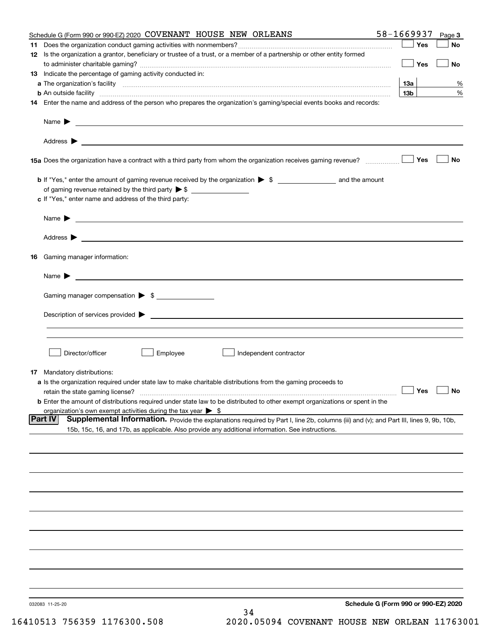| Schedule G (Form 990 or 990-EZ) 2020 COVENANT HOUSE NEW ORLEANS                                                                                               | 58-1669937      | Page 3    |
|---------------------------------------------------------------------------------------------------------------------------------------------------------------|-----------------|-----------|
|                                                                                                                                                               | Yes             | No        |
| 12 Is the organization a grantor, beneficiary or trustee of a trust, or a member of a partnership or other entity formed                                      |                 |           |
|                                                                                                                                                               | Yes             | <b>No</b> |
| 13 Indicate the percentage of gaming activity conducted in:                                                                                                   |                 |           |
|                                                                                                                                                               | <u>13a</u>      | %         |
| <b>b</b> An outside facility <i>www.communicality www.communicality.communicality www.communicality www.communicality.communicality www.communicality.com</i> | 13 <sub>b</sub> | %         |
| 14 Enter the name and address of the person who prepares the organization's gaming/special events books and records:                                          |                 |           |
|                                                                                                                                                               |                 |           |
|                                                                                                                                                               |                 |           |
| 15a Does the organization have a contract with a third party from whom the organization receives gaming revenue?                                              | Yes             | No        |
| <b>b</b> If "Yes," enter the amount of gaming revenue received by the organization $\triangleright$ \$ ___________________ and the amount                     |                 |           |
|                                                                                                                                                               |                 |           |
| c If "Yes," enter name and address of the third party:                                                                                                        |                 |           |
|                                                                                                                                                               |                 |           |
| Name $\blacktriangleright$ $\_\_\_\_\_\_\_\_\_\$                                                                                                              |                 |           |
|                                                                                                                                                               |                 |           |
|                                                                                                                                                               |                 |           |
| 16 Gaming manager information:                                                                                                                                |                 |           |
| Name $\triangleright$ $\square$                                                                                                                               |                 |           |
| Gaming manager compensation > \$                                                                                                                              |                 |           |
|                                                                                                                                                               |                 |           |
|                                                                                                                                                               |                 |           |
|                                                                                                                                                               |                 |           |
|                                                                                                                                                               |                 |           |
| Director/officer<br>Employee<br>Independent contractor                                                                                                        |                 |           |
| 17 Mandatory distributions:                                                                                                                                   |                 |           |
| a Is the organization required under state law to make charitable distributions from the gaming proceeds to                                                   |                 |           |
| $\Box$ Yes $\Box$ No<br>retain the state gaming license?                                                                                                      |                 |           |
| <b>b</b> Enter the amount of distributions required under state law to be distributed to other exempt organizations or spent in the                           |                 |           |
| organization's own exempt activities during the tax year $\triangleright$ \$                                                                                  |                 |           |
| <b>Part IV</b><br>Supplemental Information. Provide the explanations required by Part I, line 2b, columns (iii) and (v); and Part III, lines 9, 9b, 10b,      |                 |           |
| 15b, 15c, 16, and 17b, as applicable. Also provide any additional information. See instructions.                                                              |                 |           |
|                                                                                                                                                               |                 |           |
|                                                                                                                                                               |                 |           |
|                                                                                                                                                               |                 |           |
|                                                                                                                                                               |                 |           |
|                                                                                                                                                               |                 |           |
|                                                                                                                                                               |                 |           |
|                                                                                                                                                               |                 |           |
|                                                                                                                                                               |                 |           |
|                                                                                                                                                               |                 |           |
|                                                                                                                                                               |                 |           |
|                                                                                                                                                               |                 |           |
| Schedule G (Form 990 or 990-EZ) 2020<br>032083 11-25-20                                                                                                       |                 |           |
| 34                                                                                                                                                            |                 |           |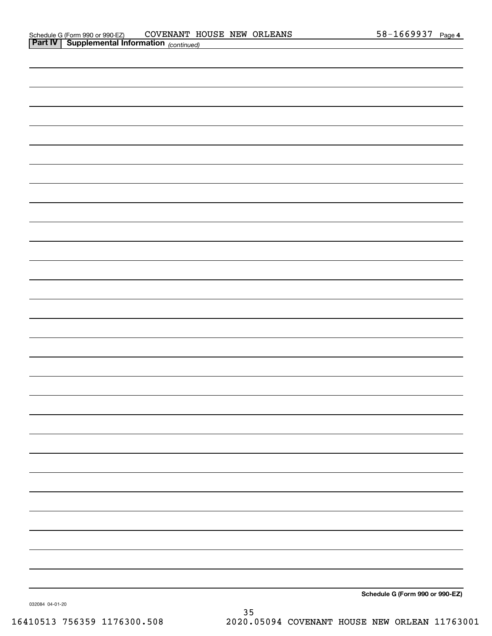| <b>Part IV Supplemental Information</b> $_{(continued)}$ |                                 |
|----------------------------------------------------------|---------------------------------|
|                                                          |                                 |
|                                                          |                                 |
|                                                          |                                 |
|                                                          |                                 |
|                                                          |                                 |
|                                                          |                                 |
|                                                          |                                 |
|                                                          |                                 |
|                                                          |                                 |
|                                                          |                                 |
|                                                          |                                 |
|                                                          |                                 |
|                                                          |                                 |
|                                                          |                                 |
|                                                          |                                 |
|                                                          |                                 |
|                                                          |                                 |
|                                                          |                                 |
|                                                          |                                 |
|                                                          |                                 |
|                                                          |                                 |
|                                                          |                                 |
|                                                          |                                 |
|                                                          |                                 |
|                                                          |                                 |
|                                                          |                                 |
|                                                          |                                 |
|                                                          |                                 |
|                                                          |                                 |
|                                                          | Schedule G (Form 990 or 990-EZ) |

032084 04-01-20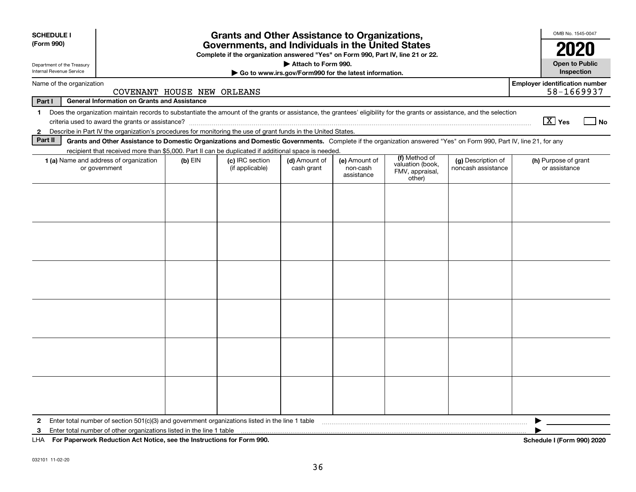| <b>SCHEDULE I</b><br>(Form 990)                                                                                                                                                                                            | <b>Grants and Other Assistance to Organizations,</b><br>Governments, and Individuals in the United States                                                                |           |                                    |                             |                                         |                                                                |                                          |                                                     |
|----------------------------------------------------------------------------------------------------------------------------------------------------------------------------------------------------------------------------|--------------------------------------------------------------------------------------------------------------------------------------------------------------------------|-----------|------------------------------------|-----------------------------|-----------------------------------------|----------------------------------------------------------------|------------------------------------------|-----------------------------------------------------|
| Complete if the organization answered "Yes" on Form 990, Part IV, line 21 or 22.<br>Attach to Form 990.<br>Department of the Treasury<br>Internal Revenue Service<br>Go to www.irs.gov/Form990 for the latest information. |                                                                                                                                                                          |           |                                    |                             |                                         |                                                                |                                          |                                                     |
| Name of the organization                                                                                                                                                                                                   | COVENANT HOUSE NEW ORLEANS                                                                                                                                               |           |                                    |                             |                                         |                                                                |                                          | <b>Employer identification number</b><br>58-1669937 |
| Part I                                                                                                                                                                                                                     | <b>General Information on Grants and Assistance</b>                                                                                                                      |           |                                    |                             |                                         |                                                                |                                          |                                                     |
| 1                                                                                                                                                                                                                          | Does the organization maintain records to substantiate the amount of the grants or assistance, the grantees' eligibility for the grants or assistance, and the selection |           |                                    |                             |                                         |                                                                |                                          | $\boxed{\text{X}}$ Yes<br>  No                      |
| $\mathbf{2}$<br>Part II                                                                                                                                                                                                    | Describe in Part IV the organization's procedures for monitoring the use of grant funds in the United States.                                                            |           |                                    |                             |                                         |                                                                |                                          |                                                     |
|                                                                                                                                                                                                                            | Grants and Other Assistance to Domestic Organizations and Domestic Governments. Complete if the organization answered "Yes" on Form 990, Part IV, line 21, for any       |           |                                    |                             |                                         |                                                                |                                          |                                                     |
|                                                                                                                                                                                                                            | recipient that received more than \$5,000. Part II can be duplicated if additional space is needed.<br>1 (a) Name and address of organization<br>or government           | $(b)$ EIN | (c) IRC section<br>(if applicable) | (d) Amount of<br>cash grant | (e) Amount of<br>non-cash<br>assistance | (f) Method of<br>valuation (book,<br>FMV, appraisal,<br>other) | (g) Description of<br>noncash assistance | (h) Purpose of grant<br>or assistance               |
|                                                                                                                                                                                                                            |                                                                                                                                                                          |           |                                    |                             |                                         |                                                                |                                          |                                                     |
|                                                                                                                                                                                                                            |                                                                                                                                                                          |           |                                    |                             |                                         |                                                                |                                          |                                                     |
| $\mathbf{2}$<br>3                                                                                                                                                                                                          | Enter total number of section 501(c)(3) and government organizations listed in the line 1 table<br>Enter total number of other organizations listed in the line 1 table  |           |                                    |                             |                                         |                                                                |                                          |                                                     |
| LHA                                                                                                                                                                                                                        | For Paperwork Reduction Act Notice, see the Instructions for Form 990.                                                                                                   |           |                                    |                             |                                         |                                                                |                                          | Schedule I (Form 990) 2020                          |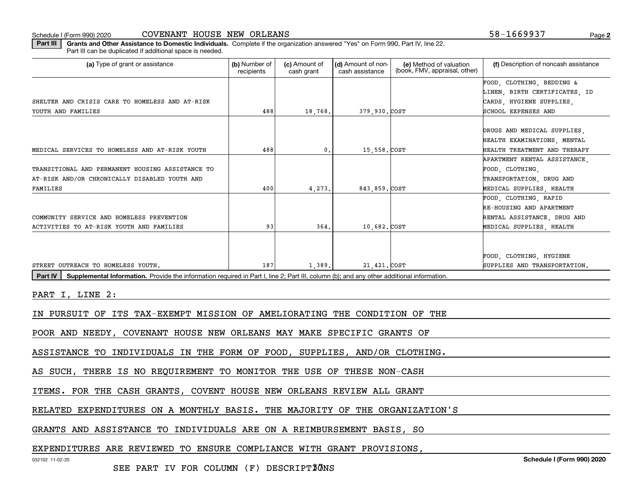Schedule I (Form 990) 2020

| COVENANT HOUSE NEW ORLEANS |  |  |  |
|----------------------------|--|--|--|
|----------------------------|--|--|--|

**2**58-1669937

**Part III | Grants and Other Assistance to Domestic Individuals. Complete if the organization answered "Yes" on Form 990, Part IV, line 22.** Part III can be duplicated if additional space is needed.

| (a) Type of grant or assistance                                                                                                                             | (b) Number of<br>recipients | (c) Amount of<br>cash grant | (d) Amount of non-<br>cash assistance | (e) Method of valuation<br>(book, FMV, appraisal, other) | (f) Description of noncash assistance |
|-------------------------------------------------------------------------------------------------------------------------------------------------------------|-----------------------------|-----------------------------|---------------------------------------|----------------------------------------------------------|---------------------------------------|
|                                                                                                                                                             |                             |                             |                                       |                                                          | FOOD, CLOTHING, BEDDING &             |
|                                                                                                                                                             |                             |                             |                                       |                                                          | LINEN, BIRTH CERTIFICATES, ID         |
| SHELTER AND CRISIS CARE TO HOMELESS AND AT-RISK                                                                                                             |                             |                             |                                       |                                                          | CARDS, HYGIENE SUPPLIES,              |
| YOUTH AND FAMILIES                                                                                                                                          | 488                         | 18,768.                     | 379,930. COST                         |                                                          | SCHOOL EXPENSES AND                   |
|                                                                                                                                                             |                             |                             |                                       |                                                          |                                       |
|                                                                                                                                                             |                             |                             |                                       |                                                          | DRUGS AND MEDICAL SUPPLIES            |
|                                                                                                                                                             |                             |                             |                                       |                                                          | HEALTH EXAMINATIONS, MENTAL           |
| MEDICAL SERVICES TO HOMELESS AND AT-RISK YOUTH                                                                                                              | 488                         | 0.                          | 15,558.COST                           |                                                          | HEALTH TREATMENT AND THERAPY          |
|                                                                                                                                                             |                             |                             |                                       |                                                          | APARTMENT RENTAL ASSISTANCE.          |
| TRANSITIONAL AND PERMANENT HOUSING ASSISTANCE TO                                                                                                            |                             |                             |                                       |                                                          | FOOD, CLOTHING,                       |
| AT-RISK AND/OR CHRONICALLY DISABLED YOUTH AND                                                                                                               |                             |                             |                                       |                                                          | TRANSPORTATION, DRUG AND              |
| FAMILIES                                                                                                                                                    | 400                         | 4,273.                      | 843,859. COST                         |                                                          | MEDICAL SUPPLIES, HEALTH              |
|                                                                                                                                                             |                             |                             |                                       |                                                          | FOOD, CLOTHING, RAPID                 |
|                                                                                                                                                             |                             |                             |                                       |                                                          | RE-HOUSING AND APARTMENT              |
| COMMUNITY SERVICE AND HOMELESS PREVENTION                                                                                                                   |                             |                             |                                       |                                                          | RENTAL ASSISTANCE, DRUG AND           |
| ACTIVITIES TO AT-RISK YOUTH AND FAMILIES                                                                                                                    | 93                          | 364.                        | 10,682. COST                          |                                                          | MEDICAL SUPPLIES, HEALTH              |
|                                                                                                                                                             |                             |                             |                                       |                                                          |                                       |
|                                                                                                                                                             |                             |                             |                                       |                                                          | FOOD, CLOTHING, HYGIENE               |
| STREET OUTREACH TO HOMELESS YOUTH.                                                                                                                          | 187                         | 1,389.                      | 21,421. COST                          |                                                          | SUPPLIES AND TRANSPORTATION.          |
| Supplemental Information. Provide the information required in Part I, line 2; Part III, column (b); and any other additional information.<br><b>Part IV</b> |                             |                             |                                       |                                                          |                                       |

PART I, LINE 2:

IN PURSUIT OF ITS TAX-EXEMPT MISSION OF AMELIORATING THE CONDITION OF THE

POOR AND NEEDY, COVENANT HOUSE NEW ORLEANS MAY MAKE SPECIFIC GRANTS OF

ASSISTANCE TO INDIVIDUALS IN THE FORM OF FOOD, SUPPLIES, AND/OR CLOTHING.

AS SUCH, THERE IS NO REQUIREMENT TO MONITOR THE USE OF THESE NON-CASH

ITEMS. FOR THE CASH GRANTS, COVENT HOUSE NEW ORLEANS REVIEW ALL GRANT

RELATED EXPENDITURES ON A MONTHLY BASIS. THE MAJORITY OF THE ORGANIZATION'S

GRANTS AND ASSISTANCE TO INDIVIDUALS ARE ON A REIMBURSEMENT BASIS, SO

#### EXPENDITURES ARE REVIEWED TO ENSURE COMPLIANCE WITH GRANT PROVISIONS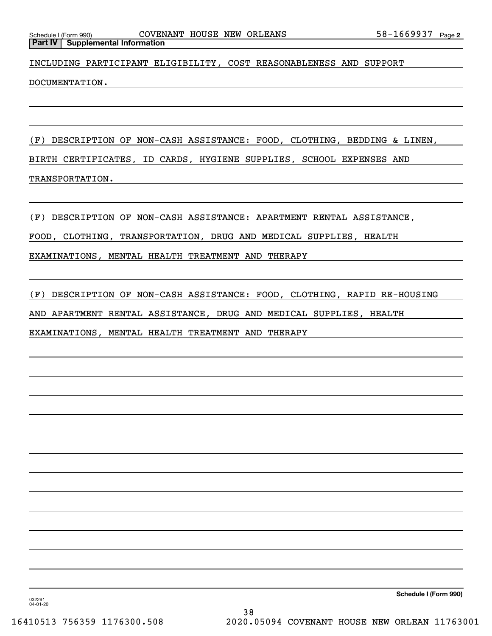INCLUDING PARTICIPANT ELIGIBILITY, COST REASONABLENESS AND SUPPORT

DOCUMENTATION.

(F) DESCRIPTION OF NON-CASH ASSISTANCE: FOOD, CLOTHING, BEDDING & LINEN, BIRTH CERTIFICATES, ID CARDS, HYGIENE SUPPLIES, SCHOOL EXPENSES AND TRANSPORTATION.

(F) DESCRIPTION OF NON-CASH ASSISTANCE: APARTMENT RENTAL ASSISTANCE,

FOOD, CLOTHING, TRANSPORTATION, DRUG AND MEDICAL SUPPLIES, HEALTH

EXAMINATIONS, MENTAL HEALTH TREATMENT AND THERAPY

(F) DESCRIPTION OF NON-CASH ASSISTANCE: FOOD, CLOTHING, RAPID RE-HOUSING

AND APARTMENT RENTAL ASSISTANCE, DRUG AND MEDICAL SUPPLIES, HEALTH

EXAMINATIONS, MENTAL HEALTH TREATMENT AND THERAPY

**Schedule I (Form 990)**

032291 04-01-20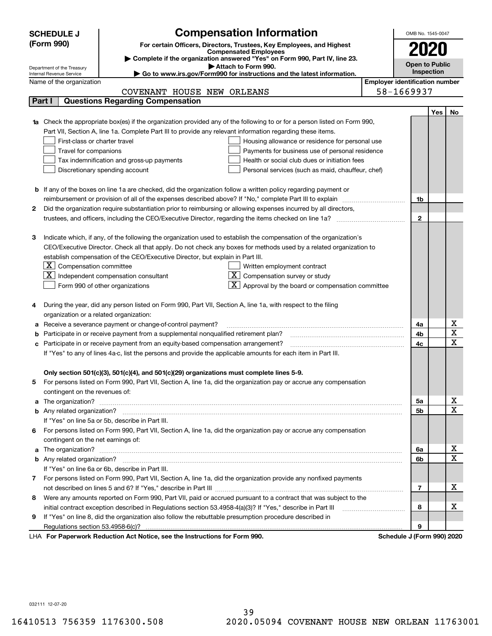|    | <b>SCHEDULE J</b>                                                                                                   | <b>Compensation Information</b>                                                                                           |                                       | OMB No. 1545-0047          |     |                                            |  |  |
|----|---------------------------------------------------------------------------------------------------------------------|---------------------------------------------------------------------------------------------------------------------------|---------------------------------------|----------------------------|-----|--------------------------------------------|--|--|
|    | (Form 990)<br>For certain Officers, Directors, Trustees, Key Employees, and Highest                                 |                                                                                                                           |                                       |                            |     |                                            |  |  |
|    |                                                                                                                     | <b>Compensated Employees</b>                                                                                              |                                       |                            |     |                                            |  |  |
|    | Complete if the organization answered "Yes" on Form 990, Part IV, line 23.<br>Open to Public<br>Attach to Form 990. |                                                                                                                           |                                       |                            |     |                                            |  |  |
|    | Department of the Treasury<br>Internal Revenue Service                                                              | Go to www.irs.gov/Form990 for instructions and the latest information.                                                    |                                       | Inspection                 |     |                                            |  |  |
|    | Name of the organization                                                                                            |                                                                                                                           | <b>Employer identification number</b> |                            |     |                                            |  |  |
|    |                                                                                                                     | COVENANT HOUSE NEW ORLEANS                                                                                                |                                       | 58-1669937                 |     |                                            |  |  |
|    | Part I                                                                                                              | <b>Questions Regarding Compensation</b>                                                                                   |                                       |                            |     |                                            |  |  |
|    |                                                                                                                     |                                                                                                                           |                                       |                            | Yes | No                                         |  |  |
|    |                                                                                                                     | 1a Check the appropriate box(es) if the organization provided any of the following to or for a person listed on Form 990, |                                       |                            |     |                                            |  |  |
|    |                                                                                                                     | Part VII, Section A, line 1a. Complete Part III to provide any relevant information regarding these items.                |                                       |                            |     |                                            |  |  |
|    | First-class or charter travel                                                                                       | Housing allowance or residence for personal use                                                                           |                                       |                            |     |                                            |  |  |
|    | Travel for companions                                                                                               | Payments for business use of personal residence                                                                           |                                       |                            |     |                                            |  |  |
|    |                                                                                                                     | Tax indemnification and gross-up payments<br>Health or social club dues or initiation fees                                |                                       |                            |     |                                            |  |  |
|    |                                                                                                                     | Discretionary spending account<br>Personal services (such as maid, chauffeur, chef)                                       |                                       |                            |     |                                            |  |  |
|    |                                                                                                                     |                                                                                                                           |                                       |                            |     |                                            |  |  |
|    |                                                                                                                     | <b>b</b> If any of the boxes on line 1a are checked, did the organization follow a written policy regarding payment or    |                                       |                            |     |                                            |  |  |
|    |                                                                                                                     | reimbursement or provision of all of the expenses described above? If "No," complete Part III to explain                  |                                       | 1b                         |     |                                            |  |  |
| 2  |                                                                                                                     | Did the organization require substantiation prior to reimbursing or allowing expenses incurred by all directors,          |                                       |                            |     |                                            |  |  |
|    |                                                                                                                     |                                                                                                                           |                                       | $\mathbf{2}$               |     |                                            |  |  |
|    |                                                                                                                     |                                                                                                                           |                                       |                            |     |                                            |  |  |
| з  |                                                                                                                     | Indicate which, if any, of the following the organization used to establish the compensation of the organization's        |                                       |                            |     |                                            |  |  |
|    |                                                                                                                     | CEO/Executive Director. Check all that apply. Do not check any boxes for methods used by a related organization to        |                                       |                            |     |                                            |  |  |
|    |                                                                                                                     | establish compensation of the CEO/Executive Director, but explain in Part III.                                            |                                       |                            |     |                                            |  |  |
|    | $\lfloor \texttt{X} \rfloor$ Compensation committee                                                                 | Written employment contract                                                                                               |                                       |                            |     |                                            |  |  |
|    |                                                                                                                     | $X \mid$<br>Compensation survey or study<br>Independent compensation consultant                                           |                                       |                            |     |                                            |  |  |
|    |                                                                                                                     | Approval by the board or compensation committee<br>Form 990 of other organizations                                        |                                       |                            |     |                                            |  |  |
|    |                                                                                                                     |                                                                                                                           |                                       |                            |     |                                            |  |  |
|    |                                                                                                                     | During the year, did any person listed on Form 990, Part VII, Section A, line 1a, with respect to the filing              |                                       |                            |     |                                            |  |  |
|    | organization or a related organization:                                                                             |                                                                                                                           |                                       |                            |     |                                            |  |  |
|    |                                                                                                                     | Receive a severance payment or change-of-control payment?                                                                 |                                       | 4a                         |     | $\underline{x}$<br>$\overline{\mathtt{x}}$ |  |  |
|    |                                                                                                                     | Participate in or receive payment from a supplemental nonqualified retirement plan?                                       |                                       | 4b                         |     | $\overline{\text{x}}$                      |  |  |
| с  |                                                                                                                     | Participate in or receive payment from an equity-based compensation arrangement?                                          |                                       | 4c                         |     |                                            |  |  |
|    |                                                                                                                     | If "Yes" to any of lines 4a-c, list the persons and provide the applicable amounts for each item in Part III.             |                                       |                            |     |                                            |  |  |
|    |                                                                                                                     | Only section 501(c)(3), 501(c)(4), and 501(c)(29) organizations must complete lines 5-9.                                  |                                       |                            |     |                                            |  |  |
|    |                                                                                                                     | For persons listed on Form 990, Part VII, Section A, line 1a, did the organization pay or accrue any compensation         |                                       |                            |     |                                            |  |  |
| 5. | contingent on the revenues of:                                                                                      |                                                                                                                           |                                       |                            |     |                                            |  |  |
|    |                                                                                                                     |                                                                                                                           |                                       | 5a                         |     |                                            |  |  |
|    |                                                                                                                     |                                                                                                                           |                                       | 5b                         |     | $\frac{\text{X}}{\text{X}}$                |  |  |
|    |                                                                                                                     | If "Yes" on line 5a or 5b, describe in Part III.                                                                          |                                       |                            |     |                                            |  |  |
| 6. |                                                                                                                     | For persons listed on Form 990, Part VII, Section A, line 1a, did the organization pay or accrue any compensation         |                                       |                            |     |                                            |  |  |
|    | contingent on the net earnings of:                                                                                  |                                                                                                                           |                                       |                            |     |                                            |  |  |
|    |                                                                                                                     |                                                                                                                           |                                       | 6a                         |     | <u>x</u>                                   |  |  |
|    |                                                                                                                     |                                                                                                                           |                                       | 6b                         |     | $\overline{\mathtt{x}}$                    |  |  |
|    |                                                                                                                     | If "Yes" on line 6a or 6b, describe in Part III.                                                                          |                                       |                            |     |                                            |  |  |
|    |                                                                                                                     | 7 For persons listed on Form 990, Part VII, Section A, line 1a, did the organization provide any nonfixed payments        |                                       |                            |     |                                            |  |  |
|    |                                                                                                                     |                                                                                                                           |                                       | 7                          |     | x                                          |  |  |
| 8  |                                                                                                                     | Were any amounts reported on Form 990, Part VII, paid or accrued pursuant to a contract that was subject to the           |                                       |                            |     |                                            |  |  |
|    |                                                                                                                     | initial contract exception described in Regulations section 53.4958-4(a)(3)? If "Yes," describe in Part III               |                                       | 8                          |     | x                                          |  |  |
| 9  |                                                                                                                     | If "Yes" on line 8, did the organization also follow the rebuttable presumption procedure described in                    |                                       |                            |     |                                            |  |  |
|    | Regulations section 53.4958-6(c)?                                                                                   |                                                                                                                           |                                       | 9                          |     |                                            |  |  |
|    |                                                                                                                     | LHA For Paperwork Reduction Act Notice, see the Instructions for Form 990.                                                |                                       | Schedule J (Form 990) 2020 |     |                                            |  |  |

032111 12-07-20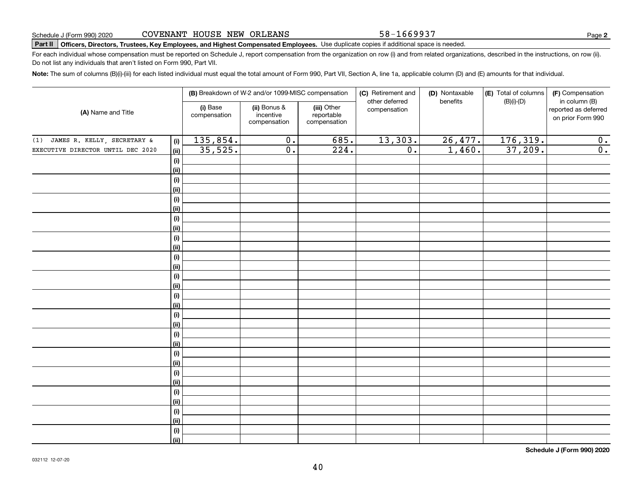58-1669937

**2**

# **Part II Officers, Directors, Trustees, Key Employees, and Highest Compensated Employees.**  Schedule J (Form 990) 2020 Page Use duplicate copies if additional space is needed.

For each individual whose compensation must be reported on Schedule J, report compensation from the organization on row (i) and from related organizations, described in the instructions, on row (ii). Do not list any individuals that aren't listed on Form 990, Part VII.

**Note:**  The sum of columns (B)(i)-(iii) for each listed individual must equal the total amount of Form 990, Part VII, Section A, line 1a, applicable column (D) and (E) amounts for that individual.

|                                           |                          | (B) Breakdown of W-2 and/or 1099-MISC compensation |                                           | (C) Retirement and             | (D) Nontaxable | (E) Total of columns | (F) Compensation                                           |
|-------------------------------------------|--------------------------|----------------------------------------------------|-------------------------------------------|--------------------------------|----------------|----------------------|------------------------------------------------------------|
| (A) Name and Title                        | (i) Base<br>compensation | (ii) Bonus &<br>incentive<br>compensation          | (iii) Other<br>reportable<br>compensation | other deferred<br>compensation | benefits       | $(B)(i)-(D)$         | in column (B)<br>reported as deferred<br>on prior Form 990 |
| JAMES R. KELLY, SECRETARY &<br>(1)<br>(i) | 135,854.                 | $\overline{0}$ .                                   | 685.                                      | 13,303.                        | 26,477.        | 176, 319.            | 0.                                                         |
| EXECUTIVE DIRECTOR UNTIL DEC 2020<br>(ii) | 35,525.                  | $\overline{0}$ .                                   | 224.                                      | $\overline{0}$ .               | 1,460.         | 37,209.              | $\overline{0}$ .                                           |
| (i)                                       |                          |                                                    |                                           |                                |                |                      |                                                            |
| (ii)                                      |                          |                                                    |                                           |                                |                |                      |                                                            |
| $(\sf{i})$                                |                          |                                                    |                                           |                                |                |                      |                                                            |
| (ii)                                      |                          |                                                    |                                           |                                |                |                      |                                                            |
| (i)                                       |                          |                                                    |                                           |                                |                |                      |                                                            |
| (ii)                                      |                          |                                                    |                                           |                                |                |                      |                                                            |
| (i)                                       |                          |                                                    |                                           |                                |                |                      |                                                            |
| (ii)                                      |                          |                                                    |                                           |                                |                |                      |                                                            |
| (i)                                       |                          |                                                    |                                           |                                |                |                      |                                                            |
| (ii)                                      |                          |                                                    |                                           |                                |                |                      |                                                            |
| (i)                                       |                          |                                                    |                                           |                                |                |                      |                                                            |
| (ii)                                      |                          |                                                    |                                           |                                |                |                      |                                                            |
| (i)                                       |                          |                                                    |                                           |                                |                |                      |                                                            |
| (ii)                                      |                          |                                                    |                                           |                                |                |                      |                                                            |
| (i)<br>(ii)                               |                          |                                                    |                                           |                                |                |                      |                                                            |
| (i)                                       |                          |                                                    |                                           |                                |                |                      |                                                            |
| (ii)                                      |                          |                                                    |                                           |                                |                |                      |                                                            |
| (i)                                       |                          |                                                    |                                           |                                |                |                      |                                                            |
| (ii)                                      |                          |                                                    |                                           |                                |                |                      |                                                            |
| (i)                                       |                          |                                                    |                                           |                                |                |                      |                                                            |
| (ii)                                      |                          |                                                    |                                           |                                |                |                      |                                                            |
| (i)                                       |                          |                                                    |                                           |                                |                |                      |                                                            |
| (ii)                                      |                          |                                                    |                                           |                                |                |                      |                                                            |
| (i)                                       |                          |                                                    |                                           |                                |                |                      |                                                            |
| (ii)                                      |                          |                                                    |                                           |                                |                |                      |                                                            |
| (i)                                       |                          |                                                    |                                           |                                |                |                      |                                                            |
| (ii)                                      |                          |                                                    |                                           |                                |                |                      |                                                            |
| (i)                                       |                          |                                                    |                                           |                                |                |                      |                                                            |
| (ii)                                      |                          |                                                    |                                           |                                |                |                      |                                                            |

**Schedule J (Form 990) 2020**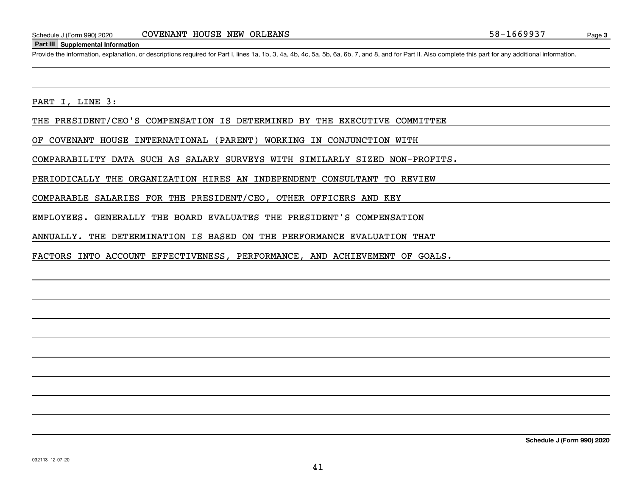#### **Part III Supplemental Information**

Schedule J (Form 990) 2020 COVENANT HOUSE NEW ORLEANS<br>Part III Supplemental Information<br>Provide the information, explanation, or descriptions required for Part I, lines 1a, 1b, 3, 4a, 4b, 4c, 5a, 5b, 6a, 6b, 7, and 8, and

PART I, LINE 3:

THE PRESIDENT/CEO'S COMPENSATION IS DETERMINED BY THE EXECUTIVE COMMITTEE

OF COVENANT HOUSE INTERNATIONAL (PARENT) WORKING IN CONJUNCTION WITH

COMPARABILITY DATA SUCH AS SALARY SURVEYS WITH SIMILARLY SIZED NON-PROFITS.

PERIODICALLY THE ORGANIZATION HIRES AN INDEPENDENT CONSULTANT TO REVIEW

COMPARABLE SALARIES FOR THE PRESIDENT/CEO, OTHER OFFICERS AND KEY

EMPLOYEES. GENERALLY THE BOARD EVALUATES THE PRESIDENT'S COMPENSATION

ANNUALLY. THE DETERMINATION IS BASED ON THE PERFORMANCE EVALUATION THAT

FACTORS INTO ACCOUNT EFFECTIVENESS, PERFORMANCE, AND ACHIEVEMENT OF GOALS.

**Schedule J (Form 990) 2020**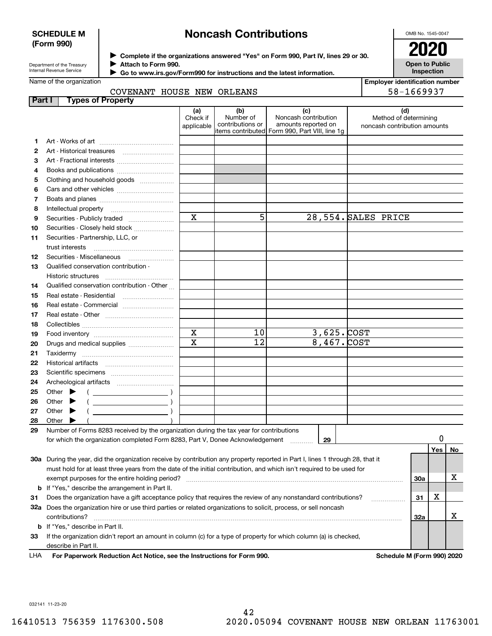### **SCHEDULE M (Form 990)**

# **Noncash Contributions**

OMB No. 1545-0047

| Department of the Treasury |  |
|----------------------------|--|
| Internal Revenue Service   |  |

**Complete if the organizations answered "Yes" on Form 990, Part IV, lines 29 or 30.** <sup>J</sup>**2020 Attach to Form 990.** J

**Open to Public Inspection**

| Name of the organization |  |
|--------------------------|--|
|                          |  |

 $\blacktriangleright$ 

| Employer identification number |            |  |  |
|--------------------------------|------------|--|--|
|                                | -- ------- |  |  |

|               |       | <b>INGITIC UI LITE UI YAI IILALIUI</b>  | COVENANT HOUSE NEW ORLEANS                                                                                                     |                               |                                      |                                                                                                       |  |   | Linpioyer identification number<br>58-1669937                |     |    |
|---------------|-------|-----------------------------------------|--------------------------------------------------------------------------------------------------------------------------------|-------------------------------|--------------------------------------|-------------------------------------------------------------------------------------------------------|--|---|--------------------------------------------------------------|-----|----|
| <b>Part I</b> |       |                                         | <b>Types of Property</b>                                                                                                       |                               |                                      |                                                                                                       |  |   |                                                              |     |    |
|               |       |                                         |                                                                                                                                | (a)<br>Check if<br>applicable | (b)<br>Number of<br>contributions or | (c)<br>Noncash contribution<br>amounts reported on<br>litems contributed Form 990, Part VIII, line 1q |  |   | (d)<br>Method of determining<br>noncash contribution amounts |     |    |
| 1             |       |                                         |                                                                                                                                |                               |                                      |                                                                                                       |  |   |                                                              |     |    |
| 2             |       |                                         |                                                                                                                                |                               |                                      |                                                                                                       |  |   |                                                              |     |    |
| З             |       |                                         |                                                                                                                                |                               |                                      |                                                                                                       |  |   |                                                              |     |    |
| 4             |       |                                         |                                                                                                                                |                               |                                      |                                                                                                       |  |   |                                                              |     |    |
| 5             |       |                                         | Clothing and household goods                                                                                                   |                               |                                      |                                                                                                       |  |   |                                                              |     |    |
| 6             |       |                                         |                                                                                                                                |                               |                                      |                                                                                                       |  |   |                                                              |     |    |
| 7             |       |                                         |                                                                                                                                |                               |                                      |                                                                                                       |  |   |                                                              |     |    |
| 8             |       |                                         |                                                                                                                                |                               |                                      |                                                                                                       |  |   |                                                              |     |    |
| 9             |       |                                         | Securities - Publicly traded                                                                                                   | $\mathbf x$                   | 5                                    | 28,554. SALES PRICE                                                                                   |  |   |                                                              |     |    |
| 10            |       |                                         | Securities - Closely held stock                                                                                                |                               |                                      |                                                                                                       |  |   |                                                              |     |    |
| 11            |       |                                         | Securities - Partnership, LLC, or                                                                                              |                               |                                      |                                                                                                       |  |   |                                                              |     |    |
|               |       | trust interests                         |                                                                                                                                |                               |                                      |                                                                                                       |  |   |                                                              |     |    |
| 12            |       | Securities - Miscellaneous              |                                                                                                                                |                               |                                      |                                                                                                       |  |   |                                                              |     |    |
| 13            |       |                                         | Qualified conservation contribution -                                                                                          |                               |                                      |                                                                                                       |  |   |                                                              |     |    |
|               |       | Historic structures                     |                                                                                                                                |                               |                                      |                                                                                                       |  |   |                                                              |     |    |
| 14            |       |                                         | Qualified conservation contribution - Other                                                                                    |                               |                                      |                                                                                                       |  |   |                                                              |     |    |
| 15            |       | Real estate - Residential               |                                                                                                                                |                               |                                      |                                                                                                       |  |   |                                                              |     |    |
| 16            |       |                                         | Real estate - Commercial                                                                                                       |                               |                                      |                                                                                                       |  |   |                                                              |     |    |
| 17            |       |                                         |                                                                                                                                |                               |                                      |                                                                                                       |  |   |                                                              |     |    |
| 18            |       |                                         |                                                                                                                                |                               |                                      |                                                                                                       |  |   |                                                              |     |    |
| 19            |       |                                         |                                                                                                                                | $\mathbf X$                   | 10                                   | $\overline{3,625.}$ COST                                                                              |  |   |                                                              |     |    |
| 20            |       |                                         | Drugs and medical supplies                                                                                                     | $\overline{\mathbf{x}}$       | $\overline{12}$                      | 8,467. COST                                                                                           |  |   |                                                              |     |    |
| 21            |       |                                         |                                                                                                                                |                               |                                      |                                                                                                       |  |   |                                                              |     |    |
| 22            |       |                                         |                                                                                                                                |                               |                                      |                                                                                                       |  |   |                                                              |     |    |
| 23            |       |                                         |                                                                                                                                |                               |                                      |                                                                                                       |  |   |                                                              |     |    |
| 24            |       |                                         |                                                                                                                                |                               |                                      |                                                                                                       |  |   |                                                              |     |    |
| 25            |       | Other $\blacktriangleright$             | $\left(\begin{array}{ccc}\n\end{array}\right)$                                                                                 |                               |                                      |                                                                                                       |  |   |                                                              |     |    |
| 26            |       | Other $\blacktriangleright$             |                                                                                                                                |                               |                                      |                                                                                                       |  |   |                                                              |     |    |
| 27            |       | Other $\blacktriangleright$             |                                                                                                                                |                               |                                      |                                                                                                       |  |   |                                                              |     |    |
| 28            | Other |                                         |                                                                                                                                |                               |                                      |                                                                                                       |  |   |                                                              |     |    |
| 29            |       |                                         | Number of Forms 8283 received by the organization during the tax year for contributions                                        |                               |                                      |                                                                                                       |  |   |                                                              |     |    |
|               |       |                                         | for which the organization completed Form 8283, Part V, Donee Acknowledgement                                                  |                               |                                      | 29                                                                                                    |  |   |                                                              | 0   |    |
|               |       |                                         |                                                                                                                                |                               |                                      |                                                                                                       |  |   |                                                              | Yes | No |
|               |       |                                         | 30a During the year, did the organization receive by contribution any property reported in Part I, lines 1 through 28, that it |                               |                                      |                                                                                                       |  |   |                                                              |     |    |
|               |       |                                         |                                                                                                                                |                               |                                      |                                                                                                       |  |   |                                                              |     |    |
|               |       |                                         | must hold for at least three years from the date of the initial contribution, and which isn't required to be used for          |                               |                                      |                                                                                                       |  |   |                                                              |     | x  |
|               |       |                                         |                                                                                                                                |                               |                                      |                                                                                                       |  |   | 30a                                                          |     |    |
|               |       |                                         | <b>b</b> If "Yes," describe the arrangement in Part II.                                                                        |                               |                                      |                                                                                                       |  |   |                                                              | X   |    |
| 31            |       |                                         | Does the organization have a gift acceptance policy that requires the review of any nonstandard contributions?                 |                               |                                      |                                                                                                       |  | . | 31                                                           |     |    |
|               |       |                                         | 32a Does the organization hire or use third parties or related organizations to solicit, process, or sell noncash              |                               |                                      |                                                                                                       |  |   |                                                              |     | x  |
|               |       | contributions?                          |                                                                                                                                |                               |                                      |                                                                                                       |  |   | 32a                                                          |     |    |
|               |       | <b>b</b> If "Yes," describe in Part II. |                                                                                                                                |                               |                                      |                                                                                                       |  |   |                                                              |     |    |
| 33            |       |                                         | If the organization didn't report an amount in column (c) for a type of property for which column (a) is checked,              |                               |                                      |                                                                                                       |  |   |                                                              |     |    |

describe in Part II. LHA

**For Paperwork Reduction Act Notice, see the Instructions for Form 990. Schedule M (Form 990) 2020**

032141 11-23-20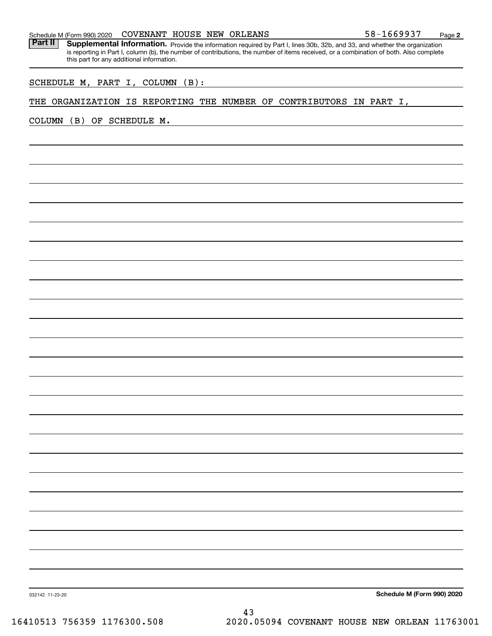#### Schedule M (Form 990) 2020  ${\rm COVENANT}$   ${\rm HOUSE}$   ${\rm NEW}$   ${\rm ORLEANS}$   $\rm 58-1669937$   ${\rm Page}$

Part II | Supplemental Information. Provide the information required by Part I, lines 30b, 32b, and 33, and whether the organization is reporting in Part I, column (b), the number of contributions, the number of items received, or a combination of both. Also complete this part for any additional information.

SCHEDULE M, PART I, COLUMN (B):

### THE ORGANIZATION IS REPORTING THE NUMBER OF CONTRIBUTORS IN PART I,

COLUMN (B) OF SCHEDULE M.

**Schedule M (Form 990) 2020**

032142 11-23-20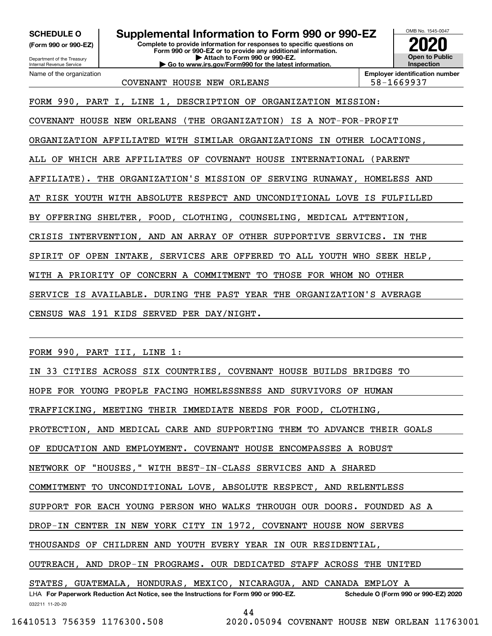**(Form 990 or 990-EZ)**

Department of the Treasury Internal Revenue Service Name of the organization

# **SCHEDULE O Supplemental Information to Form 990 or 990-EZ**

**Complete to provide information for responses to specific questions on Form 990 or 990-EZ or to provide any additional information. | Attach to Form 990 or 990-EZ. | Go to www.irs.gov/Form990 for the latest information.**



**Employer identification number**

COVENANT HOUSE NEW ORLEANS 58-1669937

FORM 990, PART I, LINE 1, DESCRIPTION OF ORGANIZATION MISSION:

COVENANT HOUSE NEW ORLEANS (THE ORGANIZATION) IS A NOT-FOR-PROFIT

ORGANIZATION AFFILIATED WITH SIMILAR ORGANIZATIONS IN OTHER LOCATIONS,

ALL OF WHICH ARE AFFILIATES OF COVENANT HOUSE INTERNATIONAL (PARENT

AFFILIATE). THE ORGANIZATION'S MISSION OF SERVING RUNAWAY, HOMELESS AND

AT RISK YOUTH WITH ABSOLUTE RESPECT AND UNCONDITIONAL LOVE IS FULFILLED

BY OFFERING SHELTER, FOOD, CLOTHING, COUNSELING, MEDICAL ATTENTION,

CRISIS INTERVENTION, AND AN ARRAY OF OTHER SUPPORTIVE SERVICES. IN THE

SPIRIT OF OPEN INTAKE, SERVICES ARE OFFERED TO ALL YOUTH WHO SEEK HELP,

WITH A PRIORITY OF CONCERN A COMMITMENT TO THOSE FOR WHOM NO OTHER

SERVICE IS AVAILABLE. DURING THE PAST YEAR THE ORGANIZATION'S AVERAGE

CENSUS WAS 191 KIDS SERVED PER DAY/NIGHT.

FORM 990, PART III, LINE 1:

| IN 33 CITIES ACROSS SIX COUNTRIES, COVENANT HOUSE BUILDS BRIDGES TO                                                       |  |  |  |  |
|---------------------------------------------------------------------------------------------------------------------------|--|--|--|--|
| HOPE FOR YOUNG PEOPLE FACING HOMELESSNESS AND SURVIVORS OF HUMAN                                                          |  |  |  |  |
| TRAFFICKING, MEETING THEIR IMMEDIATE NEEDS FOR FOOD, CLOTHING,                                                            |  |  |  |  |
| PROTECTION, AND MEDICAL CARE AND SUPPORTING THEM TO ADVANCE THEIR GOALS                                                   |  |  |  |  |
| OF EDUCATION AND EMPLOYMENT. COVENANT HOUSE ENCOMPASSES A ROBUST                                                          |  |  |  |  |
| NETWORK OF "HOUSES," WITH BEST-IN-CLASS SERVICES AND A SHARED                                                             |  |  |  |  |
| COMMITMENT TO UNCONDITIONAL LOVE, ABSOLUTE RESPECT, AND RELENTLESS                                                        |  |  |  |  |
| SUPPORT FOR EACH YOUNG PERSON WHO WALKS THROUGH OUR DOORS. FOUNDED AS A                                                   |  |  |  |  |
| DROP-IN CENTER IN NEW YORK CITY IN 1972, COVENANT HOUSE NOW SERVES                                                        |  |  |  |  |
| THOUSANDS OF CHILDREN AND YOUTH EVERY YEAR IN OUR RESIDENTIAL,                                                            |  |  |  |  |
| OUTREACH, AND DROP-IN PROGRAMS. OUR DEDICATED STAFF ACROSS THE UNITED                                                     |  |  |  |  |
| STATES, GUATEMALA, HONDURAS, MEXICO, NICARAGUA, AND CANADA EMPLOY A                                                       |  |  |  |  |
| LHA For Paperwork Reduction Act Notice, see the Instructions for Form 990 or 990-EZ. Schedule O (Form 990 or 990-EZ) 2020 |  |  |  |  |
| 032211 11-20-20                                                                                                           |  |  |  |  |
| $\Lambda$                                                                                                                 |  |  |  |  |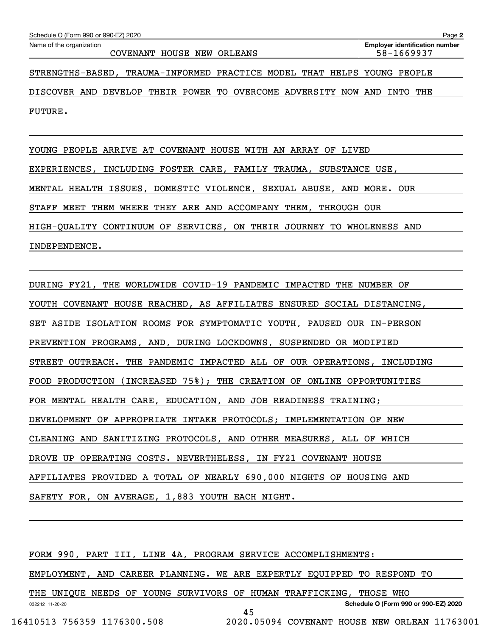| Schedule O (Form 990 or 990-EZ) 2020                                    | Page 2                                              |
|-------------------------------------------------------------------------|-----------------------------------------------------|
| Name of the organization<br>COVENANT HOUSE NEW ORLEANS                  | <b>Employer identification number</b><br>58-1669937 |
| STRENGTHS-BASED, TRAUMA-INFORMED PRACTICE MODEL THAT HELPS YOUNG PEOPLE |                                                     |
| DEVELOP THEIR POWER TO OVERCOME ADVERSITY NOW AND INTO<br>DISCOVER AND  | THE                                                 |
| FUTURE.                                                                 |                                                     |
|                                                                         |                                                     |

YOUNG PEOPLE ARRIVE AT COVENANT HOUSE WITH AN ARRAY OF LIVED EXPERIENCES, INCLUDING FOSTER CARE, FAMILY TRAUMA, SUBSTANCE USE, MENTAL HEALTH ISSUES, DOMESTIC VIOLENCE, SEXUAL ABUSE, AND MORE. OUR STAFF MEET THEM WHERE THEY ARE AND ACCOMPANY THEM, THROUGH OUR

HIGH-QUALITY CONTINUUM OF SERVICES, ON THEIR JOURNEY TO WHOLENESS AND

INDEPENDENCE.

DURING FY21, THE WORLDWIDE COVID-19 PANDEMIC IMPACTED THE NUMBER OF YOUTH COVENANT HOUSE REACHED, AS AFFILIATES ENSURED SOCIAL DISTANCING, SET ASIDE ISOLATION ROOMS FOR SYMPTOMATIC YOUTH, PAUSED OUR IN-PERSON PREVENTION PROGRAMS, AND, DURING LOCKDOWNS, SUSPENDED OR MODIFIED STREET OUTREACH. THE PANDEMIC IMPACTED ALL OF OUR OPERATIONS, INCLUDING FOOD PRODUCTION (INCREASED 75%); THE CREATION OF ONLINE OPPORTUNITIES FOR MENTAL HEALTH CARE, EDUCATION, AND JOB READINESS TRAINING; DEVELOPMENT OF APPROPRIATE INTAKE PROTOCOLS; IMPLEMENTATION OF NEW CLEANING AND SANITIZING PROTOCOLS, AND OTHER MEASURES, ALL OF WHICH DROVE UP OPERATING COSTS. NEVERTHELESS, IN FY21 COVENANT HOUSE AFFILIATES PROVIDED A TOTAL OF NEARLY 690,000 NIGHTS OF HOUSING AND SAFETY FOR, ON AVERAGE, 1,883 YOUTH EACH NIGHT.

FORM 990, PART III, LINE 4A, PROGRAM SERVICE ACCOMPLISHMENTS:

EMPLOYMENT, AND CAREER PLANNING. WE ARE EXPERTLY EQUIPPED TO RESPOND TO

032212 11-20-20 **Schedule O (Form 990 or 990-EZ) 2020** THE UNIQUE NEEDS OF YOUNG SURVIVORS OF HUMAN TRAFFICKING, THOSE WHO

45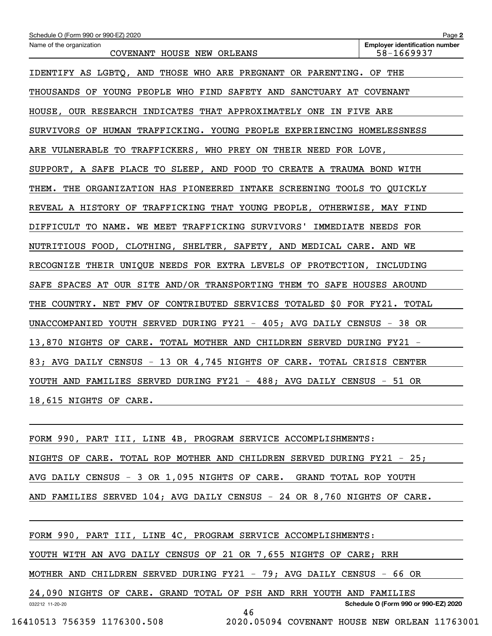| Schedule O (Form 990 or 990-EZ) 2020                                     | Page 2                                              |
|--------------------------------------------------------------------------|-----------------------------------------------------|
| Name of the organization<br>COVENANT HOUSE NEW ORLEANS                   | <b>Employer identification number</b><br>58-1669937 |
| IDENTIFY AS LGBTQ, AND THOSE WHO ARE PREGNANT OR PARENTING. OF THE       |                                                     |
| THOUSANDS OF YOUNG PEOPLE WHO FIND SAFETY AND SANCTUARY AT COVENANT      |                                                     |
| HOUSE, OUR RESEARCH INDICATES THAT APPROXIMATELY ONE IN FIVE ARE         |                                                     |
| SURVIVORS OF HUMAN TRAFFICKING. YOUNG PEOPLE EXPERIENCING HOMELESSNESS   |                                                     |
| ARE VULNERABLE TO TRAFFICKERS, WHO PREY ON THEIR NEED FOR LOVE,          |                                                     |
| SUPPORT, A SAFE PLACE TO SLEEP, AND FOOD TO CREATE A TRAUMA BOND WITH    |                                                     |
| THEM. THE ORGANIZATION HAS PIONEERED INTAKE SCREENING TOOLS TO QUICKLY   |                                                     |
| REVEAL A HISTORY OF TRAFFICKING THAT YOUNG PEOPLE, OTHERWISE, MAY FIND   |                                                     |
| DIFFICULT TO NAME. WE MEET TRAFFICKING SURVIVORS' IMMEDIATE NEEDS FOR    |                                                     |
| NUTRITIOUS FOOD, CLOTHING, SHELTER, SAFETY, AND MEDICAL CARE. AND WE     |                                                     |
| RECOGNIZE THEIR UNIQUE NEEDS FOR EXTRA LEVELS OF PROTECTION, INCLUDING   |                                                     |
| SAFE SPACES AT OUR SITE AND/OR TRANSPORTING THEM TO SAFE HOUSES AROUND   |                                                     |
| THE COUNTRY. NET FMV OF CONTRIBUTED SERVICES TOTALED \$0 FOR FY21. TOTAL |                                                     |
| UNACCOMPANIED YOUTH SERVED DURING FY21 - 405; AVG DAILY CENSUS - 38 OR   |                                                     |
| 13,870 NIGHTS OF CARE. TOTAL MOTHER AND CHILDREN SERVED DURING FY21 -    |                                                     |
| 83; AVG DAILY CENSUS - 13 OR 4,745 NIGHTS OF CARE. TOTAL CRISIS CENTER   |                                                     |
| YOUTH AND FAMILIES SERVED DURING FY21 - 488; AVG DAILY CENSUS - 51 OR    |                                                     |
| 18,615 NIGHTS OF CARE.                                                   |                                                     |
|                                                                          |                                                     |
| FORM 990, PART III, LINE 4B, PROGRAM SERVICE ACCOMPLISHMENTS:            |                                                     |
| NIGHTS OF CARE. TOTAL ROP MOTHER AND CHILDREN SERVED DURING FY21 - 25;   |                                                     |
| AVG DAILY CENSUS - 3 OR 1,095 NIGHTS OF CARE. GRAND TOTAL ROP YOUTH      |                                                     |

AND FAMILIES SERVED 104; AVG DAILY CENSUS - 24 OR 8,760 NIGHTS OF CARE.

032212 11-20-20 **Schedule O (Form 990 or 990-EZ) 2020** FORM 990, PART III, LINE 4C, PROGRAM SERVICE ACCOMPLISHMENTS: YOUTH WITH AN AVG DAILY CENSUS OF 21 OR 7,655 NIGHTS OF CARE; RRH MOTHER AND CHILDREN SERVED DURING FY21 - 79; AVG DAILY CENSUS - 66 OR 24,090 NIGHTS OF CARE. GRAND TOTAL OF PSH AND RRH YOUTH AND FAMILIES 46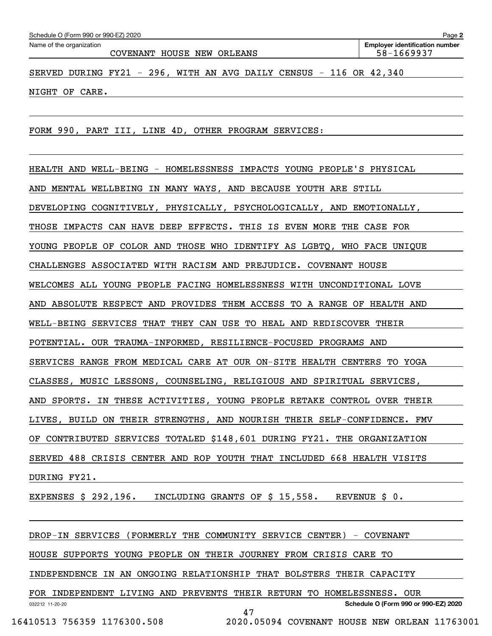| Schedule O (Form 990 or 990-EZ) 2020 |  |  |
|--------------------------------------|--|--|
|                                      |  |  |

COVENANT HOUSE NEW ORLEANS 58-1669937

SERVED DURING FY21 - 296, WITH AN AVG DAILY CENSUS - 116 OR 42,340

NIGHT OF CARE.

FORM 990, PART III, LINE 4D, OTHER PROGRAM SERVICES:

HEALTH AND WELL-BEING - HOMELESSNESS IMPACTS YOUNG PEOPLE'S PHYSICAL

AND MENTAL WELLBEING IN MANY WAYS, AND BECAUSE YOUTH ARE STILL

DEVELOPING COGNITIVELY, PHYSICALLY, PSYCHOLOGICALLY, AND EMOTIONALLY,

THOSE IMPACTS CAN HAVE DEEP EFFECTS. THIS IS EVEN MORE THE CASE FOR

YOUNG PEOPLE OF COLOR AND THOSE WHO IDENTIFY AS LGBTQ, WHO FACE UNIQUE

CHALLENGES ASSOCIATED WITH RACISM AND PREJUDICE. COVENANT HOUSE

WELCOMES ALL YOUNG PEOPLE FACING HOMELESSNESS WITH UNCONDITIONAL LOVE

AND ABSOLUTE RESPECT AND PROVIDES THEM ACCESS TO A RANGE OF HEALTH AND

WELL-BEING SERVICES THAT THEY CAN USE TO HEAL AND REDISCOVER THEIR

POTENTIAL. OUR TRAUMA-INFORMED, RESILIENCE-FOCUSED PROGRAMS AND

SERVICES RANGE FROM MEDICAL CARE AT OUR ON-SITE HEALTH CENTERS TO YOGA

CLASSES, MUSIC LESSONS, COUNSELING, RELIGIOUS AND SPIRITUAL SERVICES,

AND SPORTS. IN THESE ACTIVITIES, YOUNG PEOPLE RETAKE CONTROL OVER THEIR

LIVES, BUILD ON THEIR STRENGTHS, AND NOURISH THEIR SELF-CONFIDENCE. FMV

OF CONTRIBUTED SERVICES TOTALED \$148,601 DURING FY21. THE ORGANIZATION

SERVED 488 CRISIS CENTER AND ROP YOUTH THAT INCLUDED 668 HEALTH VISITS

DURING FY21.

EXPENSES \$ 292,196. INCLUDING GRANTS OF \$ 15,558. REVENUE \$ 0.

DROP-IN SERVICES (FORMERLY THE COMMUNITY SERVICE CENTER) - COVENANT

HOUSE SUPPORTS YOUNG PEOPLE ON THEIR JOURNEY FROM CRISIS CARE TO

INDEPENDENCE IN AN ONGOING RELATIONSHIP THAT BOLSTERS THEIR CAPACITY

032212 11-20-20 **Schedule O (Form 990 or 990-EZ) 2020** FOR INDEPENDENT LIVING AND PREVENTS THEIR RETURN TO HOMELESSNESS. OUR

47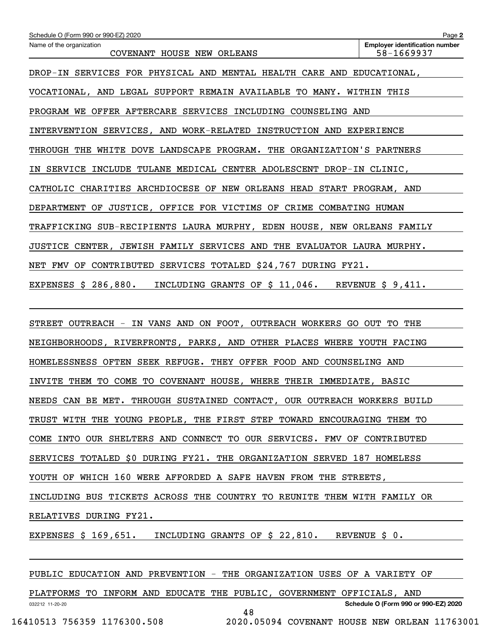| Schedule O (Form 990 or 990-EZ) 2020                                                                  | Page 2                                              |  |  |  |
|-------------------------------------------------------------------------------------------------------|-----------------------------------------------------|--|--|--|
| Name of the organization<br>COVENANT HOUSE NEW ORLEANS                                                | <b>Employer identification number</b><br>58-1669937 |  |  |  |
| DROP-IN SERVICES FOR PHYSICAL AND MENTAL HEALTH CARE AND EDUCATIONAL,                                 |                                                     |  |  |  |
| VOCATIONAL, AND LEGAL SUPPORT REMAIN AVAILABLE TO MANY. WITHIN THIS                                   |                                                     |  |  |  |
| PROGRAM WE OFFER AFTERCARE SERVICES INCLUDING COUNSELING AND                                          |                                                     |  |  |  |
| INTERVENTION SERVICES, AND WORK-RELATED INSTRUCTION AND EXPERIENCE                                    |                                                     |  |  |  |
| THROUGH THE WHITE DOVE LANDSCAPE PROGRAM. THE ORGANIZATION'S PARTNERS                                 |                                                     |  |  |  |
| IN SERVICE INCLUDE TULANE MEDICAL CENTER ADOLESCENT DROP-IN CLINIC,                                   |                                                     |  |  |  |
| CATHOLIC CHARITIES ARCHDIOCESE OF NEW ORLEANS HEAD START PROGRAM, AND                                 |                                                     |  |  |  |
| DEPARTMENT OF JUSTICE, OFFICE FOR VICTIMS OF CRIME COMBATING HUMAN                                    |                                                     |  |  |  |
| TRAFFICKING SUB-RECIPIENTS LAURA MURPHY, EDEN HOUSE, NEW ORLEANS FAMILY                               |                                                     |  |  |  |
| JUSTICE CENTER, JEWISH FAMILY SERVICES AND THE EVALUATOR LAURA MURPHY.                                |                                                     |  |  |  |
| NET FMV OF CONTRIBUTED SERVICES TOTALED \$24,767 DURING FY21.                                         |                                                     |  |  |  |
| EXPENSES $\frac{286}{880}$ . INCLUDING GRANTS OF $\frac{28}{5}$ 11,046. REVENUE $\frac{26}{5}$ 9,411. |                                                     |  |  |  |
|                                                                                                       |                                                     |  |  |  |
| STREET OUTREACH - IN VANS AND ON FOOT, OUTREACH WORKERS GO OUT TO THE                                 |                                                     |  |  |  |
| NEIGHBORHOODS, RIVERFRONTS, PARKS, AND OTHER PLACES WHERE YOUTH FACING                                |                                                     |  |  |  |
| HOMELESSNESS OFTEN SEEK REFUGE. THEY OFFER FOOD AND COUNSELING AND                                    |                                                     |  |  |  |
| INVITE THEM TO COME TO COVENANT HOUSE, WHERE THEIR IMMEDIATE, BASIC                                   |                                                     |  |  |  |
| NEEDS CAN BE MET. THROUGH SUSTAINED CONTACT, OUR OUTREACH WORKERS BUILD                               |                                                     |  |  |  |
| TRUST WITH THE YOUNG PEOPLE, THE FIRST STEP TOWARD ENCOURAGING THEM TO                                |                                                     |  |  |  |
| COME INTO OUR SHELTERS AND CONNECT TO OUR SERVICES. FMV OF CONTRIBUTED                                |                                                     |  |  |  |
| SERVICES TOTALED \$0 DURING FY21. THE ORGANIZATION SERVED 187 HOMELESS                                |                                                     |  |  |  |
| YOUTH OF WHICH 160 WERE AFFORDED A SAFE HAVEN FROM THE STREETS,                                       |                                                     |  |  |  |
| INCLUDING BUS TICKETS ACROSS THE COUNTRY TO REUNITE THEM WITH FAMILY OR                               |                                                     |  |  |  |
| RELATIVES DURING FY21.                                                                                |                                                     |  |  |  |
| EXPENSES \$ 169,651. INCLUDING GRANTS OF \$ 22,810. REVENUE \$ 0.                                     |                                                     |  |  |  |
|                                                                                                       |                                                     |  |  |  |
| PUBLIC EDUCATION AND PREVENTION - THE ORGANIZATION USES OF A VARIETY OF                               |                                                     |  |  |  |

032212 11-20-20 **Schedule O (Form 990 or 990-EZ) 2020** PLATFORMS TO INFORM AND EDUCATE THE PUBLIC, GOVERNMENT OFFICIALS, AND 48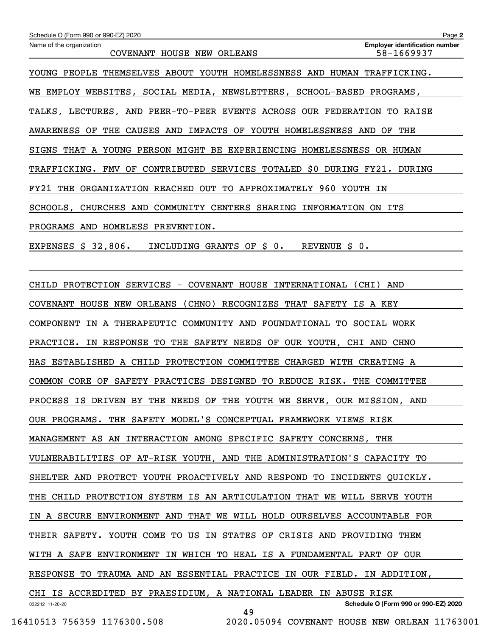| Schedule O (Form 990 or 990-EZ) 2020                                          | Page 2                                              |
|-------------------------------------------------------------------------------|-----------------------------------------------------|
| Name of the organization<br>COVENANT HOUSE NEW ORLEANS                        | <b>Employer identification number</b><br>58-1669937 |
| YOUNG PEOPLE THEMSELVES ABOUT YOUTH HOMELESSNESS AND HUMAN TRAFFICKING.       |                                                     |
| WE EMPLOY WEBSITES, SOCIAL MEDIA, NEWSLETTERS, SCHOOL-BASED PROGRAMS,         |                                                     |
| TALKS, LECTURES, AND PEER-TO-PEER EVENTS ACROSS OUR FEDERATION TO RAISE       |                                                     |
| AWARENESS OF THE CAUSES AND IMPACTS OF YOUTH HOMELESSNESS AND OF THE          |                                                     |
| SIGNS THAT A YOUNG PERSON MIGHT BE EXPERIENCING HOMELESSNESS OR HUMAN         |                                                     |
| TRAFFICKING. FMV OF CONTRIBUTED SERVICES TOTALED \$0 DURING FY21. DURING      |                                                     |
| FY21 THE ORGANIZATION REACHED OUT TO APPROXIMATELY 960 YOUTH IN               |                                                     |
| SCHOOLS, CHURCHES AND COMMUNITY CENTERS SHARING INFORMATION ON ITS            |                                                     |
| PROGRAMS AND HOMELESS PREVENTION.                                             |                                                     |
| EXPENSES $\sharp$ 32,806. INCLUDING GRANTS OF $\sharp$ 0. REVENUE $\sharp$ 0. |                                                     |
|                                                                               |                                                     |
| CHILD PROTECTION SERVICES - COVENANT HOUSE INTERNATIONAL (CHI) AND            |                                                     |
| COVENANT HOUSE NEW ORLEANS (CHNO) RECOGNIZES THAT SAFETY IS A KEY             |                                                     |
| COMPONENT IN A THERAPEUTIC COMMUNITY AND FOUNDATIONAL TO SOCIAL WORK          |                                                     |
| PRACTICE. IN RESPONSE TO THE SAFETY NEEDS OF OUR YOUTH, CHI AND CHNO          |                                                     |
| HAS ESTABLISHED A CHILD PROTECTION COMMITTEE CHARGED WITH CREATING A          |                                                     |
| COMMON CORE OF SAFETY PRACTICES DESIGNED TO REDUCE RISK. THE COMMITTEE        |                                                     |
| PROCESS IS DRIVEN BY THE NEEDS OF THE YOUTH WE SERVE, OUR MISSION, AND        |                                                     |
| OUR PROGRAMS. THE SAFETY MODEL'S CONCEPTUAL FRAMEWORK VIEWS RISK              |                                                     |
| MANAGEMENT AS AN INTERACTION AMONG SPECIFIC SAFETY CONCERNS, THE              |                                                     |
| VULNERABILITIES OF AT-RISK YOUTH, AND THE ADMINISTRATION'S CAPACITY TO        |                                                     |
| SHELTER AND PROTECT YOUTH PROACTIVELY AND RESPOND TO INCIDENTS QUICKLY.       |                                                     |
| THE CHILD PROTECTION SYSTEM IS AN ARTICULATION THAT WE WILL SERVE YOUTH       |                                                     |
| IN A SECURE ENVIRONMENT AND THAT WE WILL HOLD OURSELVES ACCOUNTABLE FOR       |                                                     |
| THEIR SAFETY. YOUTH COME TO US IN STATES OF CRISIS AND PROVIDING THEM         |                                                     |
| WITH A SAFE ENVIRONMENT IN WHICH TO HEAL IS A FUNDAMENTAL PART OF OUR         |                                                     |
| RESPONSE TO TRAUMA AND AN ESSENTIAL PRACTICE IN OUR FIELD. IN ADDITION,       |                                                     |
| CHI IS ACCREDITED BY PRAESIDIUM, A NATIONAL LEADER IN ABUSE RISK              |                                                     |
| 032212 11-20-20<br>49                                                         | Schedule O (Form 990 or 990-EZ) 2020                |
| 16410513 756359 1176300.508<br>2020.05094 COVENANT HOUSE NEW ORLEAN 11763001  |                                                     |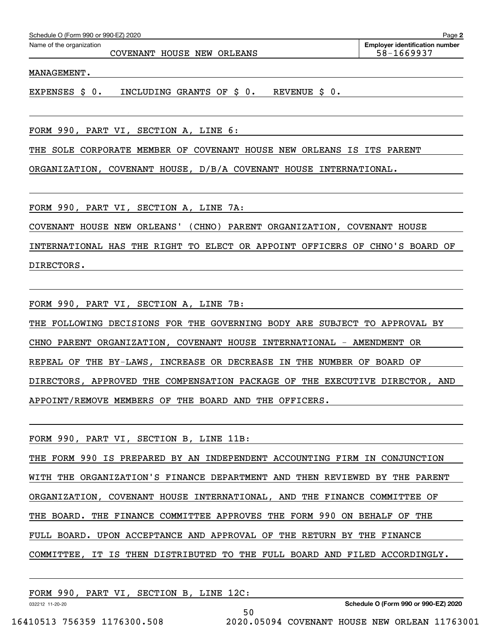| Schedule O (Form 990 or 990-EZ) 2020 | Page                                  |
|--------------------------------------|---------------------------------------|
| Name of the organization             | <b>Employer identification number</b> |

COVENANT HOUSE NEW ORLEANS 58-1669937

MANAGEMENT.

EXPENSES \$ 0. INCLUDING GRANTS OF \$ 0. REVENUE \$ 0.

FORM 990, PART VI, SECTION A, LINE 6:

THE SOLE CORPORATE MEMBER OF COVENANT HOUSE NEW ORLEANS IS ITS PARENT

ORGANIZATION, COVENANT HOUSE, D/B/A COVENANT HOUSE INTERNATIONAL.

FORM 990, PART VI, SECTION A, LINE 7A:

COVENANT HOUSE NEW ORLEANS' (CHNO) PARENT ORGANIZATION, COVENANT HOUSE

INTERNATIONAL HAS THE RIGHT TO ELECT OR APPOINT OFFICERS OF CHNO'S BOARD OF DIRECTORS.

FORM 990, PART VI, SECTION A, LINE 7B:

THE FOLLOWING DECISIONS FOR THE GOVERNING BODY ARE SUBJECT TO APPROVAL BY CHNO PARENT ORGANIZATION, COVENANT HOUSE INTERNATIONAL - AMENDMENT OR REPEAL OF THE BY-LAWS, INCREASE OR DECREASE IN THE NUMBER OF BOARD OF DIRECTORS, APPROVED THE COMPENSATION PACKAGE OF THE EXECUTIVE DIRECTOR, AND APPOINT/REMOVE MEMBERS OF THE BOARD AND THE OFFICERS.

FORM 990, PART VI, SECTION B, LINE 11B:

THE FORM 990 IS PREPARED BY AN INDEPENDENT ACCOUNTING FIRM IN CONJUNCTION WITH THE ORGANIZATION'S FINANCE DEPARTMENT AND THEN REVIEWED BY THE PARENT ORGANIZATION, COVENANT HOUSE INTERNATIONAL, AND THE FINANCE COMMITTEE OF THE BOARD. THE FINANCE COMMITTEE APPROVES THE FORM 990 ON BEHALF OF THE FULL BOARD. UPON ACCEPTANCE AND APPROVAL OF THE RETURN BY THE FINANCE COMMITTEE, IT IS THEN DISTRIBUTED TO THE FULL BOARD AND FILED ACCORDINGLY.

50

FORM 990, PART VI, SECTION B, LINE 12C:

**Schedule O (Form 990 or 990-EZ) 2020**

032212 11-20-20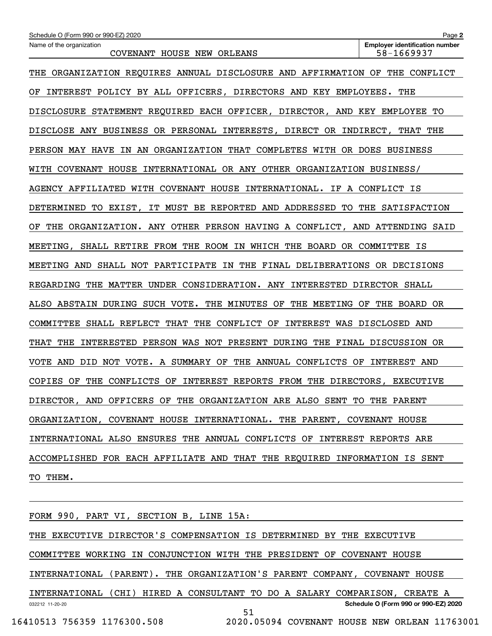| Schedule O (Form 990 or 990-EZ) 2020                                           | Page 2                                              |  |  |  |  |
|--------------------------------------------------------------------------------|-----------------------------------------------------|--|--|--|--|
| Name of the organization<br>COVENANT HOUSE NEW ORLEANS                         | <b>Employer identification number</b><br>58-1669937 |  |  |  |  |
| THE ORGANIZATION REQUIRES ANNUAL DISCLOSURE AND AFFIRMATION OF THE CONFLICT    |                                                     |  |  |  |  |
| INTEREST POLICY BY ALL OFFICERS, DIRECTORS AND KEY EMPLOYEES. THE<br>OF        |                                                     |  |  |  |  |
| DISCLOSURE STATEMENT REQUIRED EACH OFFICER, DIRECTOR, AND KEY EMPLOYEE TO      |                                                     |  |  |  |  |
| DISCLOSE ANY BUSINESS OR PERSONAL INTERESTS, DIRECT OR INDIRECT, THAT THE      |                                                     |  |  |  |  |
| PERSON MAY HAVE IN AN ORGANIZATION THAT COMPLETES WITH OR DOES BUSINESS        |                                                     |  |  |  |  |
| WITH COVENANT HOUSE INTERNATIONAL OR ANY OTHER ORGANIZATION BUSINESS/          |                                                     |  |  |  |  |
| AGENCY AFFILIATED WITH COVENANT HOUSE INTERNATIONAL. IF A CONFLICT IS          |                                                     |  |  |  |  |
| DETERMINED TO EXIST, IT MUST BE REPORTED AND ADDRESSED TO THE SATISFACTION     |                                                     |  |  |  |  |
| THE ORGANIZATION. ANY OTHER PERSON HAVING A CONFLICT, AND ATTENDING SAID<br>ОF |                                                     |  |  |  |  |
| MEETING, SHALL RETIRE FROM THE ROOM IN WHICH THE BOARD OR COMMITTEE IS         |                                                     |  |  |  |  |
| MEETING AND SHALL NOT PARTICIPATE IN THE FINAL DELIBERATIONS OR DECISIONS      |                                                     |  |  |  |  |
| REGARDING THE MATTER UNDER CONSIDERATION. ANY INTERESTED DIRECTOR SHALL        |                                                     |  |  |  |  |
| ALSO ABSTAIN DURING SUCH VOTE. THE MINUTES OF THE MEETING OF THE BOARD OR      |                                                     |  |  |  |  |
| COMMITTEE SHALL REFLECT THAT THE CONFLICT OF INTEREST WAS DISCLOSED AND        |                                                     |  |  |  |  |
| THAT THE INTERESTED PERSON WAS NOT PRESENT DURING THE FINAL DISCUSSION OR      |                                                     |  |  |  |  |
| VOTE AND DID NOT VOTE. A SUMMARY OF THE ANNUAL CONFLICTS OF INTEREST AND       |                                                     |  |  |  |  |
| COPIES OF THE CONFLICTS OF INTEREST REPORTS FROM THE DIRECTORS, EXECUTIVE      |                                                     |  |  |  |  |
| DIRECTOR, AND OFFICERS OF THE ORGANIZATION ARE ALSO SENT TO THE PARENT         |                                                     |  |  |  |  |
| ORGANIZATION, COVENANT HOUSE INTERNATIONAL. THE PARENT, COVENANT HOUSE         |                                                     |  |  |  |  |
| INTERNATIONAL ALSO ENSURES THE ANNUAL CONFLICTS OF INTEREST REPORTS ARE        |                                                     |  |  |  |  |
| ACCOMPLISHED FOR EACH AFFILIATE AND THAT THE REQUIRED INFORMATION IS SENT      |                                                     |  |  |  |  |
| TO THEM.                                                                       |                                                     |  |  |  |  |
|                                                                                |                                                     |  |  |  |  |

032212 11-20-20 **Schedule O (Form 990 or 990-EZ) 2020** THE EXECUTIVE DIRECTOR'S COMPENSATION IS DETERMINED BY THE EXECUTIVE COMMITTEE WORKING IN CONJUNCTION WITH THE PRESIDENT OF COVENANT HOUSE INTERNATIONAL (PARENT). THE ORGANIZATION'S PARENT COMPANY, COVENANT HOUSE INTERNATIONAL (CHI) HIRED A CONSULTANT TO DO A SALARY COMPARISON, CREATE A 51

FORM 990, PART VI, SECTION B, LINE 15A: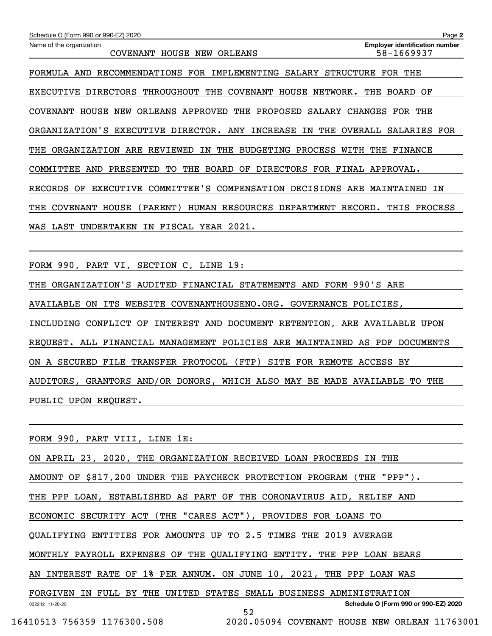| Schedule O (Form 990 or 990-EZ) 2020                                                              | Page 2                                              |
|---------------------------------------------------------------------------------------------------|-----------------------------------------------------|
| Name of the organization<br><b>COVENANT</b><br>HOUSE NEW<br>ORLEANS                               | <b>Employer identification number</b><br>58-1669937 |
| RECOMMENDATIONS<br>FOR<br>IMPLEMENTING<br>SALARY<br><b>STRUCTURE</b><br>FORMULA<br>AND            | <b>FOR</b><br>THE                                   |
| <b>DIRECTORS</b><br>THROUGHOUT<br>THE<br><b>COVENANT</b><br>HOUSE<br><b>EXECUTIVE</b><br>NETWORK. | BOARD OF<br>THE                                     |
| APPROVED<br>PROPOSED<br>HOUSE<br>NEW<br><b>ORLEANS</b><br>THE<br>SALARY<br>COVENANT               | <b>CHANGES</b><br>FOR THE                           |
| ORGANIZATION'S<br><b>EXECUTIVE</b><br>DIRECTOR.<br>ANY<br>INCREASE<br>ΙN<br>THE                   | OVERALL<br><b>FOR</b><br><b>SALARIES</b>            |
| ARE<br>REVIEWED<br>THE<br><b>BUDGETING</b><br>PROCESS<br>WITH<br>THE<br>ORGANIZATION<br>IN        | THE<br>FINANCE                                      |
| BOARD<br><b>DIRECTORS</b><br>AND<br>PRESENTED<br>TО<br>THE<br>OF<br>COMMITTEE                     | FOR FINAL APPROVAL.                                 |
| COMMITTEE'S<br>COMPENSATION DECISIONS<br><b>RECORDS</b><br><b>EXECUTIVE</b><br>ОF                 | ARE MAINTAINED<br>ΙN                                |
| <b>COVENANT</b><br>HOUSE<br>( PARENT )<br>HUMAN<br>RESOURCES<br><b>DEPARTMENT</b><br>THE          | RECORD.<br>THIS<br>PROCESS                          |
| FISCAL<br>YEAR 2021.<br>LAST<br><b>UNDERTAKEN</b><br>ΙN<br>WAS                                    |                                                     |
|                                                                                                   |                                                     |

FORM 990, PART VI, SECTION C, LINE 19:

THE ORGANIZATION'S AUDITED FINANCIAL STATEMENTS AND FORM 990'S ARE

AVAILABLE ON ITS WEBSITE COVENANTHOUSENO.ORG. GOVERNANCE POLICIES,

INCLUDING CONFLICT OF INTEREST AND DOCUMENT RETENTION, ARE AVAILABLE UPON

REQUEST. ALL FINANCIAL MANAGEMENT POLICIES ARE MAINTAINED AS PDF DOCUMENTS

ON A SECURED FILE TRANSFER PROTOCOL (FTP) SITE FOR REMOTE ACCESS BY

AUDITORS, GRANTORS AND/OR DONORS, WHICH ALSO MAY BE MADE AVAILABLE TO THE

PUBLIC UPON REQUEST.

FORM 990, PART VIII, LINE 1E:

ON APRIL 23, 2020, THE ORGANIZATION RECEIVED LOAN PROCEEDS IN THE

AMOUNT OF \$817,200 UNDER THE PAYCHECK PROTECTION PROGRAM (THE "PPP").

THE PPP LOAN, ESTABLISHED AS PART OF THE CORONAVIRUS AID, RELIEF AND

ECONOMIC SECURITY ACT (THE "CARES ACT"), PROVIDES FOR LOANS TO

QUALIFYING ENTITIES FOR AMOUNTS UP TO 2.5 TIMES THE 2019 AVERAGE

MONTHLY PAYROLL EXPENSES OF THE QUALIFYING ENTITY. THE PPP LOAN BEARS

AN INTEREST RATE OF 1% PER ANNUM. ON JUNE 10, 2021, THE PPP LOAN WAS

032212 11-20-20 **Schedule O (Form 990 or 990-EZ) 2020** FORGIVEN IN FULL BY THE UNITED STATES SMALL BUSINESS ADMINISTRATION

52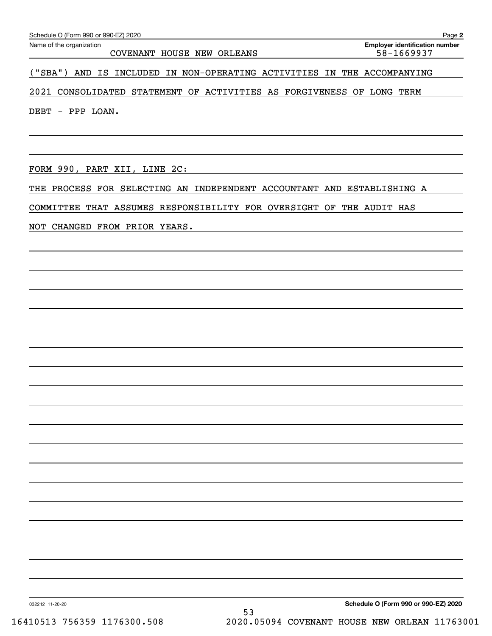COVENANT HOUSE NEW ORLEANS 58-1669937

**Employer identification number**

("SBA") AND IS INCLUDED IN NON-OPERATING ACTIVITIES IN THE ACCOMPANYING

2021 CONSOLIDATED STATEMENT OF ACTIVITIES AS FORGIVENESS OF LONG TERM

DEBT - PPP LOAN.

FORM 990, PART XII, LINE 2C:

THE PROCESS FOR SELECTING AN INDEPENDENT ACCOUNTANT AND ESTABLISHING A

COMMITTEE THAT ASSUMES RESPONSIBILITY FOR OVERSIGHT OF THE AUDIT HAS

NOT CHANGED FROM PRIOR YEARS.

**Schedule O (Form 990 or 990-EZ) 2020**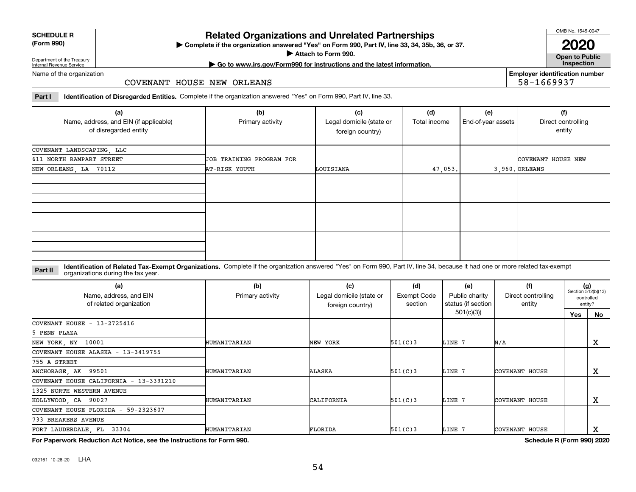| <b>SCHEDULE R</b>                          |  |
|--------------------------------------------|--|
| $\mathbf{r}$ , $\mathbf{r}$ , $\mathbf{r}$ |  |

#### **(Form 990)**

# **Related Organizations and Unrelated Partnerships**

**Complete if the organization answered "Yes" on Form 990, Part IV, line 33, 34, 35b, 36, or 37.** |

**Attach to Form 990.**  |

OMB No. 1545-0047

**Open to Public 2020**

**Employer identification number**

58-1669937

Department of the Treasury Internal Revenue Service

# **| Go to www.irs.gov/Form990 for instructions and the latest information. Inspection**

Name of the organization

#### COVENANT HOUSE NEW ORLEANS

**Part I Identification of Disregarded Entities.**  Complete if the organization answered "Yes" on Form 990, Part IV, line 33.

| (a)<br>Name, address, and EIN (if applicable)<br>of disregarded entity | (b)<br>Primary activity  | (c)<br>Legal domicile (state or<br>foreign country) | (d)<br>Total income | (e)<br>End-of-year assets | (f)<br>Direct controlling<br>entity |
|------------------------------------------------------------------------|--------------------------|-----------------------------------------------------|---------------------|---------------------------|-------------------------------------|
| COVENANT LANDSCAPING, LLC                                              |                          |                                                     |                     |                           |                                     |
| 611 NORTH RAMPART STREET                                               | JOB TRAINING PROGRAM FOR |                                                     |                     |                           | COVENANT HOUSE NEW                  |
| NEW ORLEANS, LA 70112                                                  | AT-RISK YOUTH            | LOUISIANA                                           | 47,053.             |                           | $3,960$ . ORLEANS                   |
|                                                                        |                          |                                                     |                     |                           |                                     |
|                                                                        |                          |                                                     |                     |                           |                                     |
|                                                                        |                          |                                                     |                     |                           |                                     |

#### **Identification of Related Tax-Exempt Organizations.** Complete if the organization answered "Yes" on Form 990, Part IV, line 34, because it had one or more related tax-exempt **Part II** organizations during the tax year.

| (a)<br>Name, address, and EIN<br>of related organization | (b)<br>Primary activity | (c)<br>Legal domicile (state or<br>foreign country) | (d)<br>Exempt Code<br>section | (e)<br>Public charity<br>status (if section | (f)<br>Direct controlling<br>entity |     | $(g)$<br>Section 512(b)(13)<br>controlled<br>entity? |
|----------------------------------------------------------|-------------------------|-----------------------------------------------------|-------------------------------|---------------------------------------------|-------------------------------------|-----|------------------------------------------------------|
|                                                          |                         |                                                     |                               | 501(c)(3)                                   |                                     | Yes | No.                                                  |
| COVENANT HOUSE $-13-2725416$                             |                         |                                                     |                               |                                             |                                     |     |                                                      |
| 5 PENN PLAZA                                             |                         |                                                     |                               |                                             |                                     |     |                                                      |
| NEW YORK, NY 10001                                       | HUMANITARIAN            | NEW YORK                                            | 501(C)3                       | LINE 7                                      | N/A                                 |     | х                                                    |
| COVENANT HOUSE ALASKA - 13-3419755                       |                         |                                                     |                               |                                             |                                     |     |                                                      |
| 755 A STREET                                             |                         |                                                     |                               |                                             |                                     |     |                                                      |
| ANCHORAGE, AK 99501                                      | HUMANITARIAN            | ALASKA                                              | 501(C)3                       | LINE 7                                      | COVENANT HOUSE                      |     | х                                                    |
| COVENANT HOUSE CALIFORNIA - 13-3391210                   |                         |                                                     |                               |                                             |                                     |     |                                                      |
| 1325 NORTH WESTERN AVENUE                                |                         |                                                     |                               |                                             |                                     |     |                                                      |
| HOLLYWOOD, CA 90027                                      | HUMANITARIAN            | CALIFORNIA                                          | 501(C)3                       | LINE 7                                      | COVENANT HOUSE                      |     | х                                                    |
| COVENANT HOUSE FLORIDA - 59-2323607                      |                         |                                                     |                               |                                             |                                     |     |                                                      |
| 733 BREAKERS AVENUE                                      |                         |                                                     |                               |                                             |                                     |     |                                                      |
| FORT LAUDERDALE FL 33304                                 | HUMANITARIAN            | FLORIDA                                             | 501(C)3                       | LINE 7                                      | <b>COVENANT HOUSE</b>               |     | x                                                    |

**For Paperwork Reduction Act Notice, see the Instructions for Form 990. Schedule R (Form 990) 2020**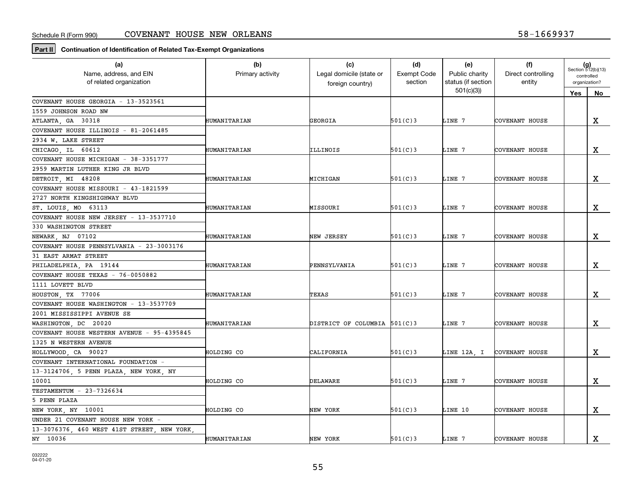**Part II Continuation of Identification of Related Tax-Exempt Organizations**

| (a)                                        | (b)                 | (c)                          | (d)                | (e)                | (f)                   | $(g)$<br>Section 512(b)(13) |             |
|--------------------------------------------|---------------------|------------------------------|--------------------|--------------------|-----------------------|-----------------------------|-------------|
| Name, address, and EIN                     | Primary activity    | Legal domicile (state or     | <b>Exempt Code</b> | Public charity     | Direct controlling    | controlled                  |             |
| of related organization                    |                     | foreign country)             | section            | status (if section | entity                | organization?               |             |
|                                            |                     |                              |                    | 501(c)(3)          |                       | Yes                         | No          |
| COVENANT HOUSE GEORGIA - 13-3523561        |                     |                              |                    |                    |                       |                             |             |
| 1559 JOHNSON ROAD NW                       |                     |                              |                    |                    |                       |                             |             |
| ATLANTA, GA 30318                          | HUMANITARIAN        | GEORGIA                      | 501(C)3            | LINE 7             | COVENANT HOUSE        |                             | X           |
| COVENANT HOUSE ILLINOIS - 81-2061485       |                     |                              |                    |                    |                       |                             |             |
| 2934 W. LAKE STREET                        |                     |                              |                    |                    |                       |                             |             |
| CHICAGO IL 60612                           | HUMANITARIAN        | ILLINOIS                     | 501(C)3            | LINE 7             | COVENANT HOUSE        |                             | $\mathbf x$ |
| COVENANT HOUSE MICHIGAN - 38-3351777       |                     |                              |                    |                    |                       |                             |             |
| 2959 MARTIN LUTHER KING JR BLVD            |                     |                              |                    |                    |                       |                             |             |
| DETROIT, MI 48208                          | HUMANITARIAN        | <b>MICHIGAN</b>              | 501(C)3            | LINE 7             | COVENANT HOUSE        |                             | X           |
| COVENANT HOUSE MISSOURI - 43-1821599       |                     |                              |                    |                    |                       |                             |             |
| 2727 NORTH KINGSHIGHWAY BLVD               |                     |                              |                    |                    |                       |                             |             |
| ST. LOUIS, MO 63113                        | HUMANITARIAN        | MISSOURI                     | 501(C)3            | LINE 7             | COVENANT HOUSE        |                             | $\mathbf x$ |
| COVENANT HOUSE NEW JERSEY - 13-3537710     |                     |                              |                    |                    |                       |                             |             |
| 330 WASHINGTON STREET                      |                     |                              |                    |                    |                       |                             |             |
| NEWARK NJ 07102                            | <b>HUMANITARIAN</b> | NEW JERSEY                   | 501(C)3            | LINE 7             | COVENANT HOUSE        |                             | $\mathbf X$ |
| COVENANT HOUSE PENNSYLVANIA - 23-3003176   |                     |                              |                    |                    |                       |                             |             |
| 31 EAST ARMAT STREET                       |                     |                              |                    |                    |                       |                             |             |
| PHILADELPHIA, PA 19144                     | HUMANITARIAN        | PENNSYLVANIA                 | 501(C)3            | LINE 7             | COVENANT HOUSE        |                             | $\mathbf X$ |
| COVENANT HOUSE TEXAS - 76-0050882          |                     |                              |                    |                    |                       |                             |             |
| 1111 LOVETT BLVD                           |                     |                              |                    |                    |                       |                             |             |
| HOUSTON, TX 77006                          | HUMANITARIAN        | TEXAS                        | 501(C)3            | LINE 7             | COVENANT HOUSE        |                             | $\mathbf x$ |
| COVENANT HOUSE WASHINGTON - 13-3537709     |                     |                              |                    |                    |                       |                             |             |
| 2001 MISSISSIPPI AVENUE SE                 |                     |                              |                    |                    |                       |                             |             |
| WASHINGTON, DC 20020                       | HUMANITARIAN        | DISTRICT OF COLUMBIA 501(C)3 |                    | LINE 7             | COVENANT HOUSE        |                             | X           |
| COVENANT HOUSE WESTERN AVENUE - 95-4395845 |                     |                              |                    |                    |                       |                             |             |
| 1325 N WESTERN AVENUE                      |                     |                              |                    |                    |                       |                             |             |
| HOLLYWOOD, CA 90027                        | HOLDING CO          | CALIFORNIA                   | 501(C)3            | LINE 12A, I        | <b>COVENANT HOUSE</b> |                             | х           |
| COVENANT INTERNATIONAL FOUNDATION          |                     |                              |                    |                    |                       |                             |             |
| 13-3124706, 5 PENN PLAZA, NEW YORK, NY     |                     |                              |                    |                    |                       |                             |             |
| 10001                                      | HOLDING CO          | DELAWARE                     | 501(C)3            | LINE 7             | COVENANT HOUSE        |                             | $\mathbf x$ |
| TESTAMENTUM - 23-7326634                   |                     |                              |                    |                    |                       |                             |             |
| 5 PENN PLAZA                               |                     |                              |                    |                    |                       |                             |             |
| NEW YORK, NY 10001                         | HOLDING CO          | NEW YORK                     | 501(C)3            | LINE 10            | COVENANT HOUSE        |                             | $\mathbf X$ |
| UNDER 21 COVENANT HOUSE NEW YORK -         |                     |                              |                    |                    |                       |                             |             |
| 13-3076376, 460 WEST 41ST STREET, NEW YORK |                     |                              |                    |                    |                       |                             |             |
| NY 10036                                   | HUMANITARIAN        | NEW YORK                     | 501(C)3            | LINE 7             | <b>COVENANT HOUSE</b> |                             | X           |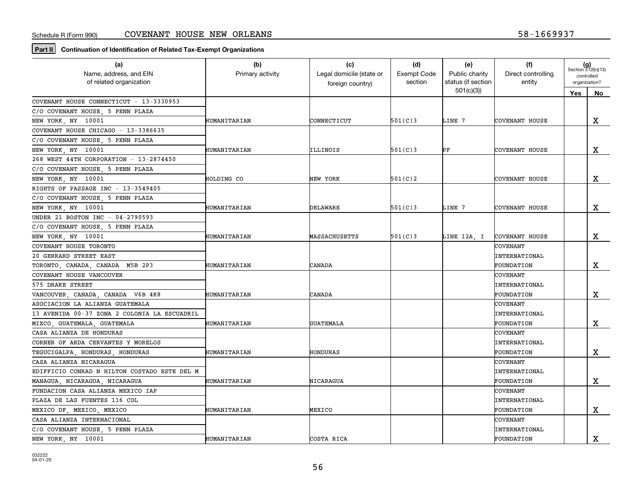**Part II Continuation of Identification of Related Tax-Exempt Organizations**

| (a)<br>Name, address, and EIN<br>of related organization | (b)<br>Primary activity | (c)<br>Legal domicile (state or | (d)<br><b>Exempt Code</b><br>section | (e)<br>Public charity<br>status (if section | (f)<br>Direct controlling<br>entity | $(g)$<br>Section 512(b)(13)<br>controlled<br>organization? |             |
|----------------------------------------------------------|-------------------------|---------------------------------|--------------------------------------|---------------------------------------------|-------------------------------------|------------------------------------------------------------|-------------|
|                                                          |                         | foreign country)                |                                      | 501(c)(3)                                   |                                     |                                                            |             |
| COVENANT HOUSE CONNECTICUT - 13-3330953                  |                         |                                 |                                      |                                             |                                     | Yes                                                        | No          |
| C/O COVENANT HOUSE, 5 PENN PLAZA                         |                         |                                 |                                      |                                             |                                     |                                                            |             |
| NEW YORK, NY 10001                                       | HUMANITARIAN            | CONNECTICUT                     | 501(C)3                              | LINE 7                                      | COVENANT HOUSE                      |                                                            | X           |
| COVENANT HOUSE CHICAGO - 13-3386635                      |                         |                                 |                                      |                                             |                                     |                                                            |             |
| C/O COVENANT HOUSE, 5 PENN PLAZA                         |                         |                                 |                                      |                                             |                                     |                                                            |             |
| NEW YORK, NY 10001                                       | HUMANITARIAN            | ILLINOIS                        | 501(C)3                              | РF                                          | COVENANT HOUSE                      |                                                            | X           |
| 268 WEST 44TH CORPORATION - 13-2874450                   |                         |                                 |                                      |                                             |                                     |                                                            |             |
| C/O COVENANT HOUSE, 5 PENN PLAZA                         |                         |                                 |                                      |                                             |                                     |                                                            |             |
| NEW YORK, NY 10001                                       | HOLDING CO              | NEW YORK                        | 501(C)2                              |                                             | COVENANT HOUSE                      |                                                            | X           |
| RIGHTS OF PASSAGE INC - 13-3549405                       |                         |                                 |                                      |                                             |                                     |                                                            |             |
| C/O COVENANT HOUSE, 5 PENN PLAZA                         |                         |                                 |                                      |                                             |                                     |                                                            |             |
| NEW YORK, NY 10001                                       | HUMANITARIAN            | DELAWARE                        | 501(C)3                              | LINE 7                                      | COVENANT HOUSE                      |                                                            | x           |
| UNDER 21 BOSTON INC - 04-2790593                         |                         |                                 |                                      |                                             |                                     |                                                            |             |
| C/O COVENANT HOUSE, 5 PENN PLAZA                         |                         |                                 |                                      |                                             |                                     |                                                            |             |
| NEW YORK, NY 10001                                       | HUMANITARIAN            | MASSACHUSETTS                   | 501(C)3                              | LINE 12A, I                                 | COVENANT HOUSE                      |                                                            | х           |
| COVENANT HOUSE TORONTO                                   |                         |                                 |                                      |                                             | COVENANT                            |                                                            |             |
| 20 GERRARD STREET EAST                                   |                         |                                 |                                      |                                             | <b>INTERNATIONAL</b>                |                                                            |             |
| TORONTO, CANADA, CANADA M5B 2P3                          | HUMANITARIAN            | CANADA                          |                                      |                                             | <b>FOUNDATION</b>                   |                                                            | X           |
| COVENANT HOUSE VANCOUVER                                 |                         |                                 |                                      |                                             | <b>COVENANT</b>                     |                                                            |             |
| 575 DRAKE STREET                                         |                         |                                 |                                      |                                             | <b>INTERNATIONAL</b>                |                                                            |             |
| VANCOUVER, CANADA, CANADA V6B 4K8                        | HUMANITARIAN            | CANADA                          |                                      |                                             | FOUNDATION                          |                                                            | X           |
| ASOCIACION LA ALIANZA GUATEMALA                          |                         |                                 |                                      |                                             | COVENANT                            |                                                            |             |
| 13 AVENIDA 00-37 ZONA 2 COLONIA LA ESCUADRIL             |                         |                                 |                                      |                                             | <b>INTERNATIONAL</b>                |                                                            |             |
| MIXCO, GUATEMALA, GUATEMALA                              | HUMANITARIAN            | <b>GUATEMALA</b>                |                                      |                                             | FOUNDATION                          |                                                            | X           |
| CASA ALIANZA DE HONDURAS                                 |                         |                                 |                                      |                                             | COVENANT                            |                                                            |             |
| CORNER OF ARDA CERVANTES Y MORELOS                       |                         |                                 |                                      |                                             | <b>INTERNATIONAL</b>                |                                                            |             |
| TEGUCIGALPA, HONDURAS, HONDURAS                          | HUMANITARIAN            | HONDURAS                        |                                      |                                             | FOUNDATION                          |                                                            | x           |
| CASA ALIANZA NICARAGUA                                   |                         |                                 |                                      |                                             | COVENANT                            |                                                            |             |
| EDIFFICIO CONRAD N HILTON COSTADO ESTE DEL M             |                         |                                 |                                      |                                             | <b>INTERNATIONAL</b>                |                                                            |             |
| MANAGUA, NICARAGUA, NICARAGUA                            | HUMANITARIAN            | NICARAGUA                       |                                      |                                             | FOUNDATION                          |                                                            | $\mathbf X$ |
| FUNDACION CASA ALIANZA MEXICO IAP                        |                         |                                 |                                      |                                             | COVENANT                            |                                                            |             |
| PLAZA DE LAS FUENTES 116 COL                             |                         |                                 |                                      |                                             | <b>INTERNATIONAL</b>                |                                                            |             |
| MEXICO DF, MEXICO, MEXICO                                | HUMANITARIAN            | MEXICO                          |                                      |                                             | FOUNDATION                          |                                                            | $\mathbf x$ |
| CASA ALIANZA INTERNACIONAL                               |                         |                                 |                                      |                                             | <b>COVENANT</b>                     |                                                            |             |
| C/O COVENANT HOUSE, 5 PENN PLAZA                         |                         |                                 |                                      |                                             | <b>INTERNATIONAL</b>                |                                                            |             |
| NEW YORK, NY 10001                                       | HUMANITARIAN            | COSTA RICA                      |                                      |                                             | FOUNDATION                          |                                                            | $\mathbf X$ |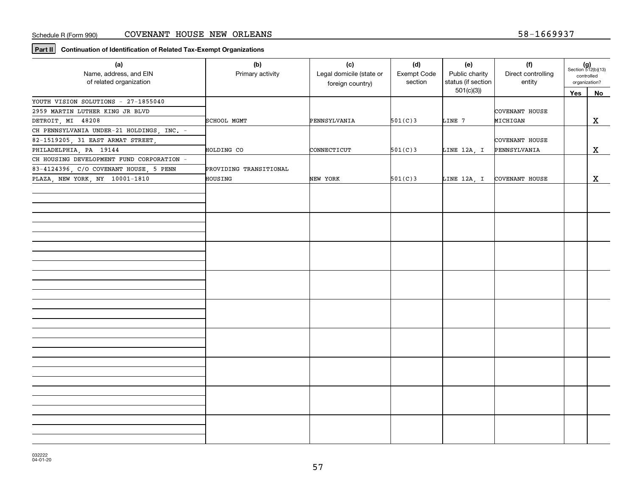**Part II Continuation of Identification of Related Tax-Exempt Organizations**

| (a)<br>Name, address, and EIN<br>of related organization | (b)<br>Primary activity | (c)<br>Legal domicile (state or<br>foreign country) | (d)<br>Exempt Code<br>section | (e)<br>Public charity<br>status (if section | (f)<br>Direct controlling<br>entity | $(g)$<br>Section 512(b)(13)<br>controlled<br>organization? |              |
|----------------------------------------------------------|-------------------------|-----------------------------------------------------|-------------------------------|---------------------------------------------|-------------------------------------|------------------------------------------------------------|--------------|
|                                                          |                         |                                                     |                               | 501(c)(3)                                   |                                     | Yes                                                        | <b>No</b>    |
| YOUTH VISION SOLUTIONS - 27-1855040                      |                         |                                                     |                               |                                             |                                     |                                                            |              |
| 2959 MARTIN LUTHER KING JR BLVD                          |                         |                                                     |                               |                                             | COVENANT HOUSE                      |                                                            |              |
| DETROIT, MI 48208                                        | SCHOOL MGMT             | PENNSYLVANIA                                        | 501(C)3                       | LINE 7                                      | MICHIGAN                            |                                                            | X            |
| CH PENNSYLVANIA UNDER-21 HOLDINGS, INC. -                |                         |                                                     |                               |                                             |                                     |                                                            |              |
| 82-1519205, 31 EAST ARMAT STREET,                        |                         |                                                     |                               |                                             | COVENANT HOUSE                      |                                                            |              |
| PHILADELPHIA, PA 19144                                   | HOLDING CO              | CONNECTICUT                                         | 501(C)3                       | LINE 12A, I                                 | PENNSYLVANIA                        |                                                            | X            |
| CH HOUSING DEVELOPMENT FUND CORPORATION -                |                         |                                                     |                               |                                             |                                     |                                                            |              |
| 83-4124396, C/O COVENANT HOUSE, 5 PENN                   | PROVIDING TRANSITIONAL  |                                                     |                               |                                             |                                     |                                                            |              |
| PLAZA, NEW YORK, NY 10001-1810                           | HOUSING                 | NEW YORK                                            | 501(C)3                       | LINE 12A, I                                 | COVENANT HOUSE                      |                                                            | $\mathbf{x}$ |
|                                                          |                         |                                                     |                               |                                             |                                     |                                                            |              |
|                                                          |                         |                                                     |                               |                                             |                                     |                                                            |              |
|                                                          |                         |                                                     |                               |                                             |                                     |                                                            |              |
|                                                          |                         |                                                     |                               |                                             |                                     |                                                            |              |
|                                                          |                         |                                                     |                               |                                             |                                     |                                                            |              |
|                                                          |                         |                                                     |                               |                                             |                                     |                                                            |              |
|                                                          |                         |                                                     |                               |                                             |                                     |                                                            |              |
|                                                          |                         |                                                     |                               |                                             |                                     |                                                            |              |
|                                                          |                         |                                                     |                               |                                             |                                     |                                                            |              |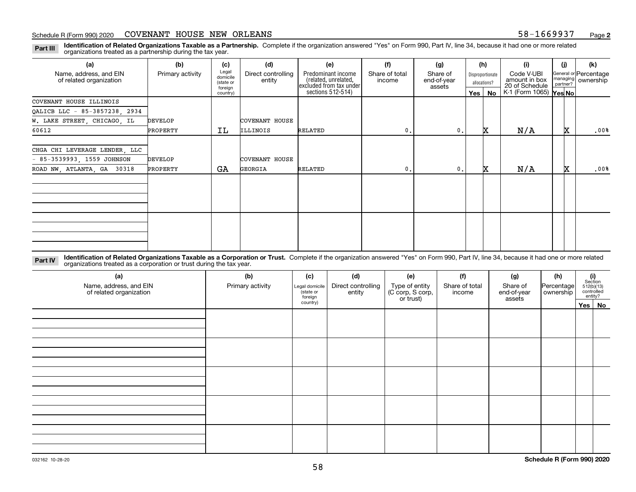#### Schedule R (Form 990) 2020 COVENANT HOUSE NEW ORLEANS 58-1669937 <sub>Page</sub>

**Identification of Related Organizations Taxable as a Partnership.** Complete if the organization answered "Yes" on Form 990, Part IV, line 34, because it had one or more related **Part III** organizations treated as a partnership during the tax year.

| (a)                                               | (b)              | (c)                                       | (d)                          | (e)                                                                   | (f)                      | (g)                               |         | (h)                              | (i)                                           | (i) | (k)                                         |
|---------------------------------------------------|------------------|-------------------------------------------|------------------------------|-----------------------------------------------------------------------|--------------------------|-----------------------------------|---------|----------------------------------|-----------------------------------------------|-----|---------------------------------------------|
| Name, address, and EIN<br>of related organization | Primary activity | Legal<br>domicile<br>(state or<br>foreign | Direct controlling<br>entity | Predominant income<br>(related, unrelated,<br>excluded from tax under | Share of total<br>income | Share of<br>end-of-year<br>assets |         | Disproportionate<br>allocations? | Code V-UBI<br>amount in box<br>20 of Schedule |     | General or Percentage<br>managing ownership |
|                                                   |                  | country)                                  |                              | sections 512-514)                                                     |                          |                                   | Yes $ $ | No                               | K-1 (Form 1065) Yes No                        |     |                                             |
| COVENANT HOUSE ILLINOIS                           |                  |                                           |                              |                                                                       |                          |                                   |         |                                  |                                               |     |                                             |
| QALICB LLC - 85-3857238, 2934                     |                  |                                           |                              |                                                                       |                          |                                   |         |                                  |                                               |     |                                             |
| W. LAKE STREET, CHICAGO, IL                       | <b>DEVELOP</b>   |                                           | COVENANT HOUSE               |                                                                       |                          |                                   |         |                                  |                                               |     |                                             |
| 60612                                             | PROPERTY         | IL                                        | ILLINOIS                     | RELATED                                                               | $\mathbf{0}$ .           | 0.                                |         | x                                | N/A                                           | x   | .00%                                        |
| CHGA CHI LEVERAGE LENDER, LLC                     |                  |                                           |                              |                                                                       |                          |                                   |         |                                  |                                               |     |                                             |
| $-85-3539993, 1559$ JOHNSON                       | <b>DEVELOP</b>   |                                           | <b>COVENANT HOUSE</b>        |                                                                       |                          |                                   |         |                                  |                                               |     |                                             |
| ROAD NW, ATLANTA, GA 30318                        | PROPERTY         | GA                                        | GEORGIA                      | RELATED                                                               | $\mathbf{0}$ .           | 0.                                |         | x                                | N/A                                           | X.  | .00%                                        |
|                                                   |                  |                                           |                              |                                                                       |                          |                                   |         |                                  |                                               |     |                                             |
|                                                   |                  |                                           |                              |                                                                       |                          |                                   |         |                                  |                                               |     |                                             |

**Identification of Related Organizations Taxable as a Corporation or Trust.** Complete if the organization answered "Yes" on Form 990, Part IV, line 34, because it had one or more related **Part IV** organizations treated as a corporation or trust during the tax year.

| (a)<br>Name, address, and EIN<br>of related organization | (b)<br>(d)<br>(c)<br>Primary activity<br>Direct controlling<br>Legal domicile<br>(state or<br>entity<br>foreign |          |  | (e)<br>Type of entity<br>(C corp, S corp,<br>or trust) | (f)<br>Share of total<br>income | (g)<br>Share of<br>end-of-year<br>assets | (h)<br> Percentage <br>ownership | $\begin{array}{c} \textbf{(i)}\\ \text{Section}\\ 512 \text{(b)} \text{(13)}\\ \text{controlled}\\ \text{entity?} \end{array}$ |
|----------------------------------------------------------|-----------------------------------------------------------------------------------------------------------------|----------|--|--------------------------------------------------------|---------------------------------|------------------------------------------|----------------------------------|--------------------------------------------------------------------------------------------------------------------------------|
|                                                          |                                                                                                                 | country) |  |                                                        |                                 |                                          |                                  | Yes No                                                                                                                         |
|                                                          |                                                                                                                 |          |  |                                                        |                                 |                                          |                                  |                                                                                                                                |
|                                                          |                                                                                                                 |          |  |                                                        |                                 |                                          |                                  |                                                                                                                                |
|                                                          |                                                                                                                 |          |  |                                                        |                                 |                                          |                                  |                                                                                                                                |
|                                                          |                                                                                                                 |          |  |                                                        |                                 |                                          |                                  |                                                                                                                                |
|                                                          |                                                                                                                 |          |  |                                                        |                                 |                                          |                                  |                                                                                                                                |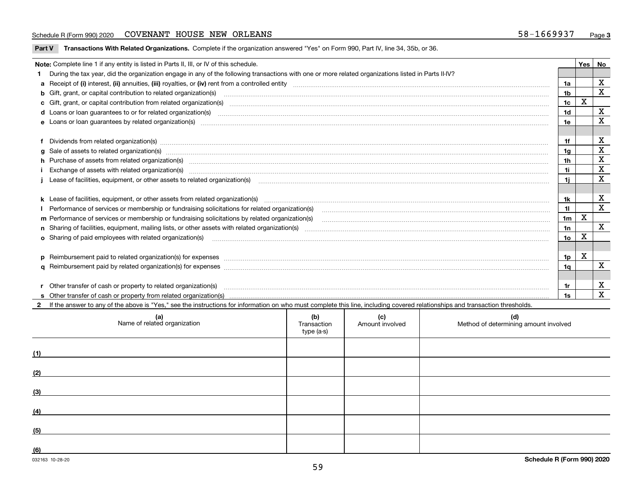#### Schedule R (Form 990) 2020 COVENANT HOUSE NEW ORLEANS 58-1669937 <sub>Page</sub>

**Part V** T**ransactions With Related Organizations.** Complete if the organization answered "Yes" on Form 990, Part IV, line 34, 35b, or 36.

| Note: Complete line 1 if any entity is listed in Parts II, III, or IV of this schedule.                                                                                                                                        |                 | Yes | No                      |
|--------------------------------------------------------------------------------------------------------------------------------------------------------------------------------------------------------------------------------|-----------------|-----|-------------------------|
| During the tax year, did the organization engage in any of the following transactions with one or more related organizations listed in Parts II-IV?                                                                            |                 |     |                         |
|                                                                                                                                                                                                                                | 1a              |     | $\mathbf x$             |
| <b>b</b> Gift, grant, or capital contribution to related organization(s)                                                                                                                                                       | 1 <sub>b</sub>  |     | $\mathbf{x}$            |
|                                                                                                                                                                                                                                | 1 <sub>c</sub>  | X   |                         |
|                                                                                                                                                                                                                                | 1 <sub>d</sub>  |     | X                       |
|                                                                                                                                                                                                                                | 1e              |     | X                       |
|                                                                                                                                                                                                                                |                 |     |                         |
| Dividends from related organization(s) manufactured and contract the contract of the contract of the contract of the contract of the contract of the contract of the contract of the contract of the contract of the contract  | 1f              |     | X                       |
|                                                                                                                                                                                                                                | 1g              |     | $\mathbf x$             |
| h Purchase of assets from related organization(s) manufactured content to content the content of the content of the content of the content of the content of the content of the content of the content of the content of the c | 1 <sub>h</sub>  |     | $\mathbf X$             |
| Exchange of assets with related organization(s) machinesis and content to the content of the content of the content of the content of the content of the content of the content of the content of the content of the content o | 1i              |     | $\overline{\mathbf{x}}$ |
|                                                                                                                                                                                                                                | 1i.             |     | $\mathbf{x}$            |
|                                                                                                                                                                                                                                |                 |     |                         |
|                                                                                                                                                                                                                                | 1k              |     | X                       |
|                                                                                                                                                                                                                                | 11              |     | $\mathbf X$             |
| m Performance of services or membership or fundraising solicitations by related organization(s)                                                                                                                                | 1 <sub>m</sub>  | X   |                         |
|                                                                                                                                                                                                                                | 1n              |     | $\mathbf{x}$            |
| <b>o</b> Sharing of paid employees with related organization(s)                                                                                                                                                                | 10 <sub>o</sub> | X   |                         |
|                                                                                                                                                                                                                                |                 |     |                         |
|                                                                                                                                                                                                                                | 1p              | х   |                         |
|                                                                                                                                                                                                                                | 1q              |     | $\overline{\mathbf{x}}$ |
|                                                                                                                                                                                                                                |                 |     |                         |
| r Other transfer of cash or property to related organization(s)                                                                                                                                                                | 1r              |     | X                       |
|                                                                                                                                                                                                                                | 1s              |     | $\mathbf{x}$            |
| 2 If the answer to any of the above is "Yes," see the instructions for information on who must complete this line, including covered relationships and transaction thresholds.                                                 |                 |     |                         |

| (a)<br>Name of related organization | (b)<br>Transaction<br>type (a-s) | (c)<br>Amount involved | (d)<br>Method of determining amount involved |
|-------------------------------------|----------------------------------|------------------------|----------------------------------------------|
| (1)                                 |                                  |                        |                                              |
| (2)                                 |                                  |                        |                                              |
| (3)                                 |                                  |                        |                                              |
| (4)                                 |                                  |                        |                                              |
| (5)                                 |                                  |                        |                                              |
| (6)                                 |                                  |                        |                                              |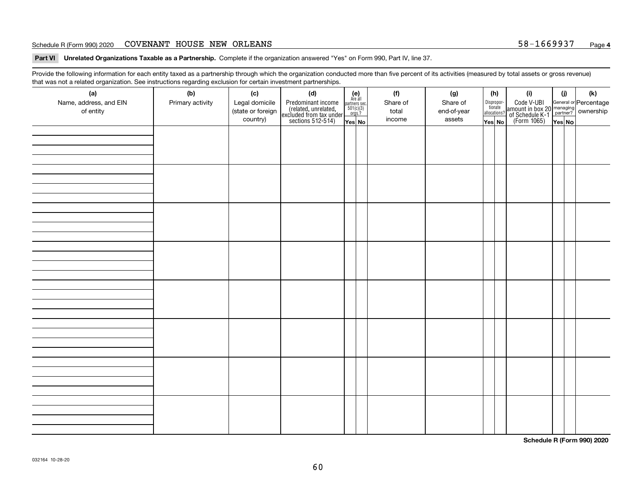#### Schedule R (Form 990) 2020 COVENANT HOUSE NEW ORLEANS 58-1669937 <sub>Page</sub>

**Part VI Unrelated Organizations Taxable as a Partnership. Complete if the organization answered "Yes" on Form 990, Part IV, line 37.** 

Provide the following information for each entity taxed as a partnership through which the organization conducted more than five percent of its activities (measured by total assets or gross revenue) that was not a related organization. See instructions regarding exclusion for certain investment partnerships.

| - - - - -<br>(a)<br>Name, address, and EIN<br>of entity | ----- <del>-</del> -------<br>(b)<br>Primary activity | (c)<br>Legal domicile<br>(state or foreign<br>country) | (d)<br>Predominant income<br>(related, unrelated,<br>excluded from tax under<br>sections 512-514) | (e)<br>Are all<br>partners sec.<br>$501(c)(3)$<br>orgs.?<br>Yes No | (f)<br>Share of<br>total<br>income | (g)<br>Share of<br>end-of-year<br>assets | allocations? | (h)<br>Dispropor-<br>tionate<br>Yes No | (i)<br>Code V-UBI<br>amount in box 20 managing<br>of Schedule K-1<br>(Form 1065)<br>$\overline{Yes}$ No | (i)<br>Yes No | (k) |
|---------------------------------------------------------|-------------------------------------------------------|--------------------------------------------------------|---------------------------------------------------------------------------------------------------|--------------------------------------------------------------------|------------------------------------|------------------------------------------|--------------|----------------------------------------|---------------------------------------------------------------------------------------------------------|---------------|-----|
|                                                         |                                                       |                                                        |                                                                                                   |                                                                    |                                    |                                          |              |                                        |                                                                                                         |               |     |
|                                                         |                                                       |                                                        |                                                                                                   |                                                                    |                                    |                                          |              |                                        |                                                                                                         |               |     |
|                                                         |                                                       |                                                        |                                                                                                   |                                                                    |                                    |                                          |              |                                        |                                                                                                         |               |     |
|                                                         |                                                       |                                                        |                                                                                                   |                                                                    |                                    |                                          |              |                                        |                                                                                                         |               |     |
|                                                         |                                                       |                                                        |                                                                                                   |                                                                    |                                    |                                          |              |                                        |                                                                                                         |               |     |
|                                                         |                                                       |                                                        |                                                                                                   |                                                                    |                                    |                                          |              |                                        |                                                                                                         |               |     |
|                                                         |                                                       |                                                        |                                                                                                   |                                                                    |                                    |                                          |              |                                        |                                                                                                         |               |     |
|                                                         |                                                       |                                                        |                                                                                                   |                                                                    |                                    |                                          |              |                                        |                                                                                                         |               |     |

**Schedule R (Form 990) 2020**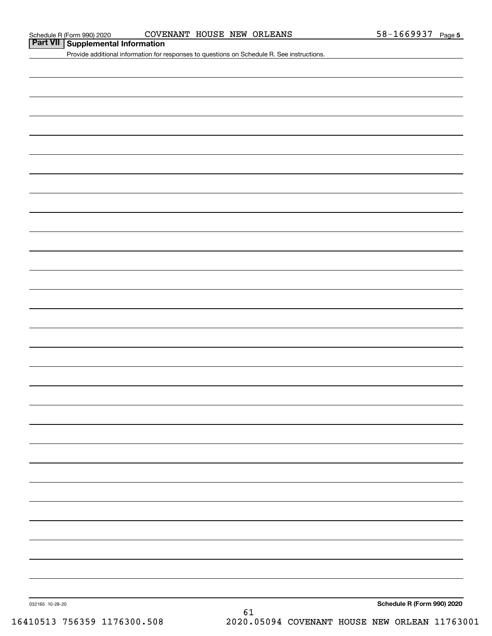# **Part VII Supplemental Information**

Provide additional information for responses to questions on Schedule R. See instructions.

032165 10-28-20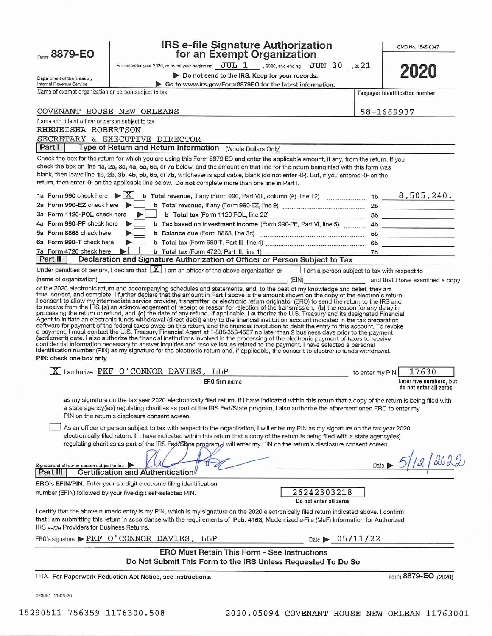| Form 8879-EO                                                                                                                                                                                                                                                                                                                                                                                                                                                                                                                     | <b>IRS e-file Signature Authorization</b><br>for an Exempt Organization                                                                                                                                                                                                                                                                                                                                                                                                                                                                                                                                                                                                                                                                                                                                                                                                                                                                                                                                                                                                                                                                   |      | OMB No. 1545-0047                                 |  |  |
|----------------------------------------------------------------------------------------------------------------------------------------------------------------------------------------------------------------------------------------------------------------------------------------------------------------------------------------------------------------------------------------------------------------------------------------------------------------------------------------------------------------------------------|-------------------------------------------------------------------------------------------------------------------------------------------------------------------------------------------------------------------------------------------------------------------------------------------------------------------------------------------------------------------------------------------------------------------------------------------------------------------------------------------------------------------------------------------------------------------------------------------------------------------------------------------------------------------------------------------------------------------------------------------------------------------------------------------------------------------------------------------------------------------------------------------------------------------------------------------------------------------------------------------------------------------------------------------------------------------------------------------------------------------------------------------|------|---------------------------------------------------|--|--|
|                                                                                                                                                                                                                                                                                                                                                                                                                                                                                                                                  | For calendar year 2020, or fiscal year beginning $JUL$ 1, 2020, and ending $JUN$ 30, 2021                                                                                                                                                                                                                                                                                                                                                                                                                                                                                                                                                                                                                                                                                                                                                                                                                                                                                                                                                                                                                                                 |      |                                                   |  |  |
| Department of the Treasury<br>Internal Revenue Service                                                                                                                                                                                                                                                                                                                                                                                                                                                                           | Do not send to the IRS. Keep for your records.<br>Go to www.irs.gov/Form8879EO for the latest information.                                                                                                                                                                                                                                                                                                                                                                                                                                                                                                                                                                                                                                                                                                                                                                                                                                                                                                                                                                                                                                |      | 2020                                              |  |  |
| Name of exempt organization or person subject to tax                                                                                                                                                                                                                                                                                                                                                                                                                                                                             |                                                                                                                                                                                                                                                                                                                                                                                                                                                                                                                                                                                                                                                                                                                                                                                                                                                                                                                                                                                                                                                                                                                                           |      | Taxpayer identification number                    |  |  |
|                                                                                                                                                                                                                                                                                                                                                                                                                                                                                                                                  |                                                                                                                                                                                                                                                                                                                                                                                                                                                                                                                                                                                                                                                                                                                                                                                                                                                                                                                                                                                                                                                                                                                                           |      |                                                   |  |  |
| COVENANT HOUSE NEW ORLEANS<br>58-1669937                                                                                                                                                                                                                                                                                                                                                                                                                                                                                         |                                                                                                                                                                                                                                                                                                                                                                                                                                                                                                                                                                                                                                                                                                                                                                                                                                                                                                                                                                                                                                                                                                                                           |      |                                                   |  |  |
| Name and title of officer or person subject to tax<br>RHENEISHA ROBERTSON<br>SECRETARY & EXECUTIVE DIRECTOR                                                                                                                                                                                                                                                                                                                                                                                                                      |                                                                                                                                                                                                                                                                                                                                                                                                                                                                                                                                                                                                                                                                                                                                                                                                                                                                                                                                                                                                                                                                                                                                           |      |                                                   |  |  |
| Part I                                                                                                                                                                                                                                                                                                                                                                                                                                                                                                                           | Type of Return and Return Information (Whole Dollars Only)                                                                                                                                                                                                                                                                                                                                                                                                                                                                                                                                                                                                                                                                                                                                                                                                                                                                                                                                                                                                                                                                                |      |                                                   |  |  |
| Check the box for the return for which you are using this Form 8879-EO and enter the applicable amount, if any, from the return. If you<br>check the box on line 1a, 2a, 3a, 4a, 5a, 6a, or 7a below, and the amount on that line for the return being filed with this form was<br>blank, then leave line 1b, 2b, 3b, 4b, 5b, 6b, or 7b, whichever is applicable, blank (do not enter -0-). But, if you entered -0- on the<br>return, then enter -0- on the applicable line below. Do not complete more than one line in Part I. |                                                                                                                                                                                                                                                                                                                                                                                                                                                                                                                                                                                                                                                                                                                                                                                                                                                                                                                                                                                                                                                                                                                                           |      |                                                   |  |  |
| 1a Form 990 check here $\blacktriangleright$ $\lfloor X \rfloor$                                                                                                                                                                                                                                                                                                                                                                                                                                                                 | <b>b</b> Total revenue, if any (Form 990, Part VIII, column (A), line 12) $\ldots$ 1b $\qquad$ 8, 505, 240.                                                                                                                                                                                                                                                                                                                                                                                                                                                                                                                                                                                                                                                                                                                                                                                                                                                                                                                                                                                                                               |      |                                                   |  |  |
| 2a Form 990-EZ check here $\blacktriangleright$                                                                                                                                                                                                                                                                                                                                                                                                                                                                                  |                                                                                                                                                                                                                                                                                                                                                                                                                                                                                                                                                                                                                                                                                                                                                                                                                                                                                                                                                                                                                                                                                                                                           |      |                                                   |  |  |
| 3a Form 1120-POL check here                                                                                                                                                                                                                                                                                                                                                                                                                                                                                                      |                                                                                                                                                                                                                                                                                                                                                                                                                                                                                                                                                                                                                                                                                                                                                                                                                                                                                                                                                                                                                                                                                                                                           |      |                                                   |  |  |
| 4a Form 990-PF check here<br>5a Form 8868 check here                                                                                                                                                                                                                                                                                                                                                                                                                                                                             | b Tax based on investment income (Form 990-PF, Part VI, line 5)  4b                                                                                                                                                                                                                                                                                                                                                                                                                                                                                                                                                                                                                                                                                                                                                                                                                                                                                                                                                                                                                                                                       |      |                                                   |  |  |
| 6a Form 990-T check here                                                                                                                                                                                                                                                                                                                                                                                                                                                                                                         |                                                                                                                                                                                                                                                                                                                                                                                                                                                                                                                                                                                                                                                                                                                                                                                                                                                                                                                                                                                                                                                                                                                                           |      |                                                   |  |  |
| 7a Form 4720 check here                                                                                                                                                                                                                                                                                                                                                                                                                                                                                                          |                                                                                                                                                                                                                                                                                                                                                                                                                                                                                                                                                                                                                                                                                                                                                                                                                                                                                                                                                                                                                                                                                                                                           |      |                                                   |  |  |
| Part II                                                                                                                                                                                                                                                                                                                                                                                                                                                                                                                          | Declaration and Signature Authorization of Officer or Person Subject to Tax                                                                                                                                                                                                                                                                                                                                                                                                                                                                                                                                                                                                                                                                                                                                                                                                                                                                                                                                                                                                                                                               |      |                                                   |  |  |
|                                                                                                                                                                                                                                                                                                                                                                                                                                                                                                                                  | Under penalties of perjury, I declare that $\boxed{X}$ I am an officer of the above organization or $\boxed{\phantom{1}}$ I am a person subject to tax with respect to                                                                                                                                                                                                                                                                                                                                                                                                                                                                                                                                                                                                                                                                                                                                                                                                                                                                                                                                                                    |      |                                                   |  |  |
| (name of organization)                                                                                                                                                                                                                                                                                                                                                                                                                                                                                                           | $\overline{\phantom{a}}$ (EIN)                                                                                                                                                                                                                                                                                                                                                                                                                                                                                                                                                                                                                                                                                                                                                                                                                                                                                                                                                                                                                                                                                                            |      | and that I have examined a copy                   |  |  |
| PIN: check one box only                                                                                                                                                                                                                                                                                                                                                                                                                                                                                                          | to receive from the IRS (a) an acknowledgement of receipt or reason for rejection of the transmission, (b) the reason for any delay in<br>processing the return or refund, and (c) the date of any refund. If applicable, I authorize the U.S. Treasury and its designated Financial<br>Agent to initiate an electronic funds withdrawal (direct debit) entry to the financial institution account indicated in the tax preparation<br>software for payment of the federal taxes owed on this return, and the financial institution to debit the entry to this account. To revoke<br>a payment, I must contact the U.S. Treasury Financial Agent at 1-888-353-4537 no later than 2 business days prior to the payment<br>(settlement) date. I also authorize the financial institutions involved in the processing of the electronic payment of taxes to receive<br>confidential information necessary to answer inquiries and resolve issues related to the payment. I have selected a personal<br>identification number (PIN) as my signature for the electronic return and, if applicable, the consent to electronic funds withdrawal. |      |                                                   |  |  |
|                                                                                                                                                                                                                                                                                                                                                                                                                                                                                                                                  | X lauthorize PKF O'CONNOR DAVIES, LLP<br>to enter my PIN                                                                                                                                                                                                                                                                                                                                                                                                                                                                                                                                                                                                                                                                                                                                                                                                                                                                                                                                                                                                                                                                                  |      | 17630                                             |  |  |
|                                                                                                                                                                                                                                                                                                                                                                                                                                                                                                                                  | ERO firm name                                                                                                                                                                                                                                                                                                                                                                                                                                                                                                                                                                                                                                                                                                                                                                                                                                                                                                                                                                                                                                                                                                                             |      | Enter five numbers, but<br>do not enter all zeros |  |  |
| as my signature on the tax year 2020 electronically filed return. If I have indicated within this return that a copy of the return is being filed with<br>a state agency(ies) regulating charities as part of the IRS Fed/State program, I also authorize the aforementioned ERO to enter my<br>PIN on the return's disclosure consent screen.                                                                                                                                                                                   |                                                                                                                                                                                                                                                                                                                                                                                                                                                                                                                                                                                                                                                                                                                                                                                                                                                                                                                                                                                                                                                                                                                                           |      |                                                   |  |  |
| As an officer or person subject to tax with respect to the organization, I will enter my PIN as my signature on the tax year 2020<br>electronically filed return. If I have indicated within this return that a copy of the return is being filed with a state agency(ies)<br>regulating charities as part of the IRS Fed/State program, will enter my PIN on the return's disclosure consent screen.                                                                                                                            |                                                                                                                                                                                                                                                                                                                                                                                                                                                                                                                                                                                                                                                                                                                                                                                                                                                                                                                                                                                                                                                                                                                                           |      |                                                   |  |  |
| Signature of officer or person subject to tax<br>Part III                                                                                                                                                                                                                                                                                                                                                                                                                                                                        | Certification and Authentication                                                                                                                                                                                                                                                                                                                                                                                                                                                                                                                                                                                                                                                                                                                                                                                                                                                                                                                                                                                                                                                                                                          | Date | 12/2022                                           |  |  |
|                                                                                                                                                                                                                                                                                                                                                                                                                                                                                                                                  | ERO's EFIN/PIN. Enter your six-digit electronic filing identification                                                                                                                                                                                                                                                                                                                                                                                                                                                                                                                                                                                                                                                                                                                                                                                                                                                                                                                                                                                                                                                                     |      |                                                   |  |  |
|                                                                                                                                                                                                                                                                                                                                                                                                                                                                                                                                  | 26242303218<br>number (EFIN) followed by your five-digit self-selected PIN.<br>Do not enter all zeros                                                                                                                                                                                                                                                                                                                                                                                                                                                                                                                                                                                                                                                                                                                                                                                                                                                                                                                                                                                                                                     |      |                                                   |  |  |
| IRS e-file Providers for Business Returns.                                                                                                                                                                                                                                                                                                                                                                                                                                                                                       | I certify that the above numeric entry is my PIN, which is my signature on the 2020 electronically filed return indicated above. I confirm<br>that I am submitting this return in accordance with the requirements of Pub. 4163, Modernized e-File (MeF) Information for Authorized                                                                                                                                                                                                                                                                                                                                                                                                                                                                                                                                                                                                                                                                                                                                                                                                                                                       |      |                                                   |  |  |
|                                                                                                                                                                                                                                                                                                                                                                                                                                                                                                                                  | ERO's signature PEKF O'CONNOR DAVIES, LLP<br>Date $\geq 05/11/22$                                                                                                                                                                                                                                                                                                                                                                                                                                                                                                                                                                                                                                                                                                                                                                                                                                                                                                                                                                                                                                                                         |      |                                                   |  |  |
| ERO Must Retain This Form - See Instructions<br>Do Not Submit This Form to the IRS Unless Requested To Do So                                                                                                                                                                                                                                                                                                                                                                                                                     |                                                                                                                                                                                                                                                                                                                                                                                                                                                                                                                                                                                                                                                                                                                                                                                                                                                                                                                                                                                                                                                                                                                                           |      |                                                   |  |  |
|                                                                                                                                                                                                                                                                                                                                                                                                                                                                                                                                  | LHA For Paperwork Reduction Act Notice, see instructions.                                                                                                                                                                                                                                                                                                                                                                                                                                                                                                                                                                                                                                                                                                                                                                                                                                                                                                                                                                                                                                                                                 |      | Form 8879-EO (2020)                               |  |  |
| 023051 11-03-20                                                                                                                                                                                                                                                                                                                                                                                                                                                                                                                  |                                                                                                                                                                                                                                                                                                                                                                                                                                                                                                                                                                                                                                                                                                                                                                                                                                                                                                                                                                                                                                                                                                                                           |      |                                                   |  |  |